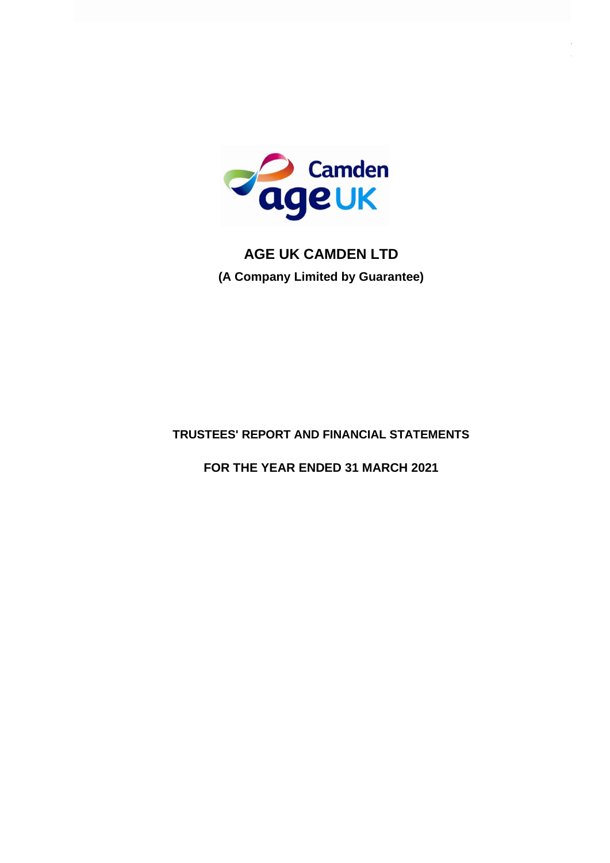

# **TRUSTEES' REPORT AND FINANCIAL STATEMENTS**

# **FOR THE YEAR ENDED 31 MARCH 2021**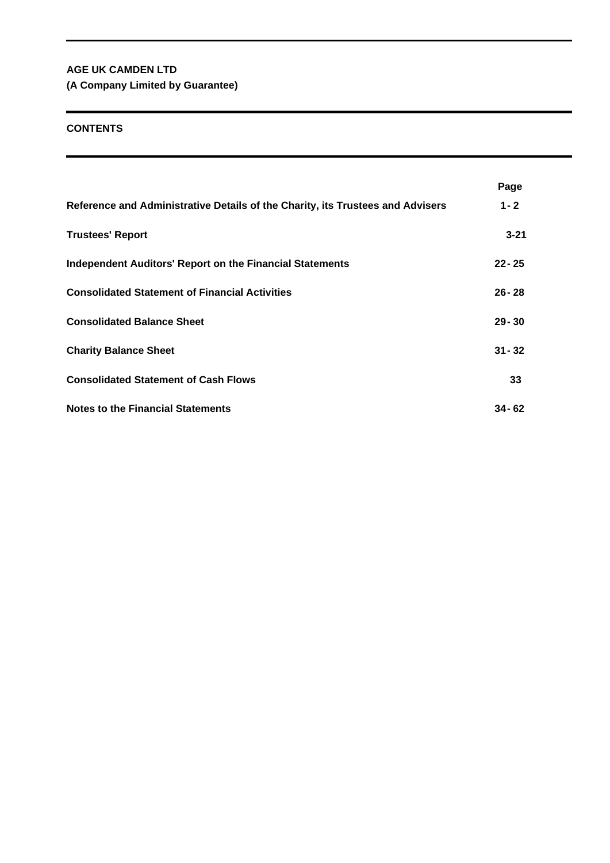**(A Company Limited by Guarantee)**

# **CONTENTS**

|                                                                                | Page      |
|--------------------------------------------------------------------------------|-----------|
| Reference and Administrative Details of the Charity, its Trustees and Advisers | $1 - 2$   |
| <b>Trustees' Report</b>                                                        | $3 - 21$  |
| <b>Independent Auditors' Report on the Financial Statements</b>                | $22 - 25$ |
| <b>Consolidated Statement of Financial Activities</b>                          | $26 - 28$ |
| <b>Consolidated Balance Sheet</b>                                              | $29 - 30$ |
| <b>Charity Balance Sheet</b>                                                   | $31 - 32$ |
| <b>Consolidated Statement of Cash Flows</b>                                    | 33        |
| <b>Notes to the Financial Statements</b>                                       | $34 - 62$ |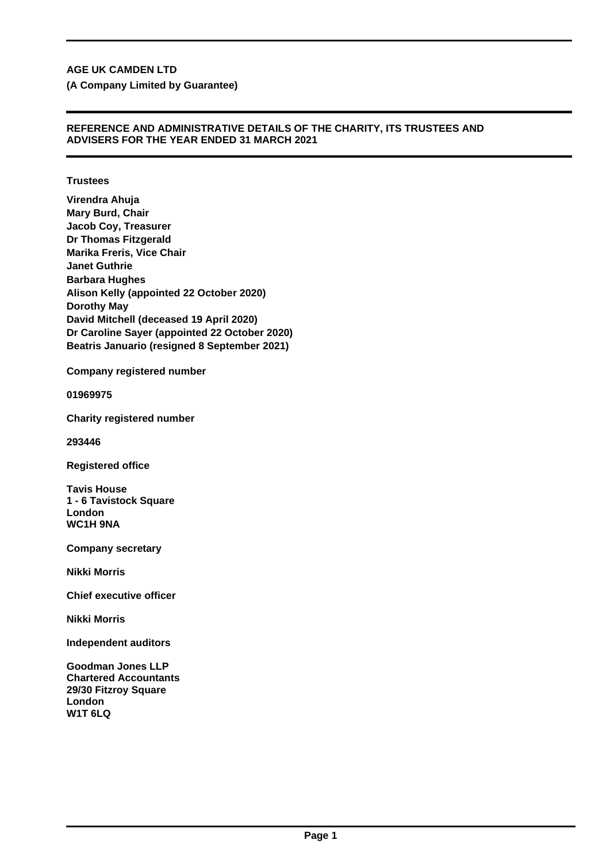**(A Company Limited by Guarantee)**

# **REFERENCE AND ADMINISTRATIVE DETAILS OF THE CHARITY, ITS TRUSTEES AND ADVISERS FOR THE YEAR ENDED 31 MARCH 2021**

## **Trustees**

**Virendra Ahuja Mary Burd, Chair Jacob Coy, Treasurer Dr Thomas Fitzgerald Marika Freris, Vice Chair Janet Guthrie Barbara Hughes Alison Kelly (appointed 22 October 2020) Dorothy May David Mitchell (deceased 19 April 2020) Dr Caroline Sayer (appointed 22 October 2020) Beatris Januario (resigned 8 September 2021)**

**Company registered number**

**01969975**

**Charity registered number**

**293446**

**Registered office**

**Tavis House 1 - 6 Tavistock Square London WC1H 9NA**

**Company secretary**

**Nikki Morris**

**Chief executive officer**

**Nikki Morris**

**Independent auditors**

**Goodman Jones LLP Chartered Accountants 29/30 Fitzroy Square London W1T 6LQ**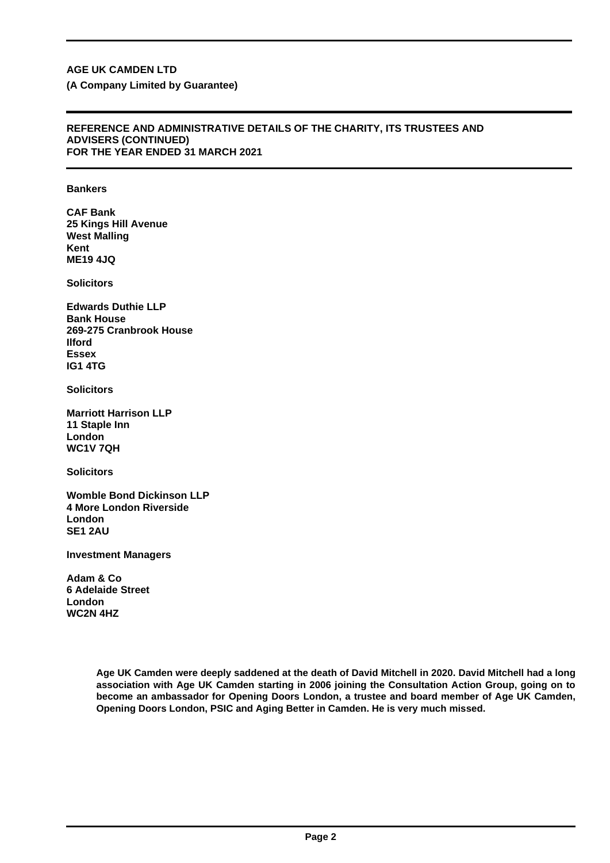#### **REFERENCE AND ADMINISTRATIVE DETAILS OF THE CHARITY, ITS TRUSTEES AND ADVISERS (CONTINUED) FOR THE YEAR ENDED 31 MARCH 2021**

## **Bankers**

**CAF Bank 25 Kings Hill Avenue West Malling Kent ME19 4JQ**

**Solicitors**

**Edwards Duthie LLP Bank House 269-275 Cranbrook House Ilford Essex IG1 4TG**

**Solicitors**

**Marriott Harrison LLP 11 Staple Inn London WC1V 7QH**

**Solicitors**

**Womble Bond Dickinson LLP 4 More London Riverside London SE1 2AU**

**Investment Managers**

**Adam & Co 6 Adelaide Street London WC2N 4HZ**

> **Age UK Camden were deeply saddened at the death of David Mitchell in 2020. David Mitchell had a long association with Age UK Camden starting in 2006 joining the Consultation Action Group, going on to become an ambassador for Opening Doors London, a trustee and board member of Age UK Camden, Opening Doors London, PSIC and Aging Better in Camden. He is very much missed.**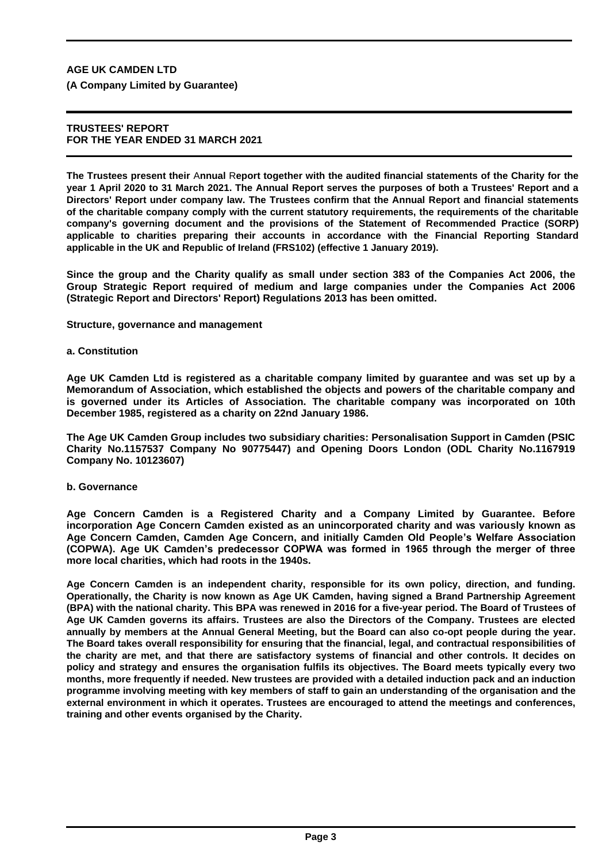**(A Company Limited by Guarantee)**

## **TRUSTEES' REPORT FOR THE YEAR ENDED 31 MARCH 2021**

**The Trustees present their** A**nnual** R**eport together with the audited financial statements of the Charity for the year 1 April 2020 to 31 March 2021. The Annual Report serves the purposes of both a Trustees' Report and a Directors' Report under company law. The Trustees confirm that the Annual Report and financial statements of the charitable company comply with the current statutory requirements, the requirements of the charitable company's governing document and the provisions of the Statement of Recommended Practice (SORP) applicable to charities preparing their accounts in accordance with the Financial Reporting Standard applicable in the UK and Republic of Ireland (FRS102) (effective 1 January 2019).**

**Since the group and the Charity qualify as small under section 383 of the Companies Act 2006, the Group Strategic Report required of medium and large companies under the Companies Act 2006 (Strategic Report and Directors' Report) Regulations 2013 has been omitted.**

**Structure, governance and management**

#### **a. Constitution**

**Age UK Camden Ltd is registered as a charitable company limited by guarantee and was set up by a Memorandum of Association, which established the objects and powers of the charitable company and is governed under its Articles of Association. The charitable company was incorporated on 10th December 1985, registered as a charity on 22nd January 1986.**

**The Age UK Camden Group includes two subsidiary charities: Personalisation Support in Camden (PSIC Charity No.1157537 Company No 90775447) and Opening Doors London (ODL Charity No.1167919 Company No. 10123607)**

#### **b. Governance**

**Age Concern Camden is a Registered Charity and a Company Limited by Guarantee. Before incorporation Age Concern Camden existed as an unincorporated charity and was variously known as Age Concern Camden, Camden Age Concern, and initially Camden Old People's Welfare Association (COPWA). Age UK Camden's predecessor COPWA was formed in 1965 through the merger of three more local charities, which had roots in the 1940s.**

**Age Concern Camden is an independent charity, responsible for its own policy, direction, and funding. Operationally, the Charity is now known as Age UK Camden, having signed a Brand Partnership Agreement (BPA) with the national charity. This BPA was renewed in 2016 for a five-year period. The Board of Trustees of Age UK Camden governs its affairs. Trustees are also the Directors of the Company. Trustees are elected annually by members at the Annual General Meeting, but the Board can also co-opt people during the year. The Board takes overall responsibility for ensuring that the financial, legal, and contractual responsibilities of the charity are met, and that there are satisfactory systems of financial and other controls. It decides on policy and strategy and ensures the organisation fulfils its objectives. The Board meets typically every two months, more frequently if needed. New trustees are provided with a detailed induction pack and an induction programme involving meeting with key members of staff to gain an understanding of the organisation and the external environment in which it operates. Trustees are encouraged to attend the meetings and conferences, training and other events organised by the Charity.**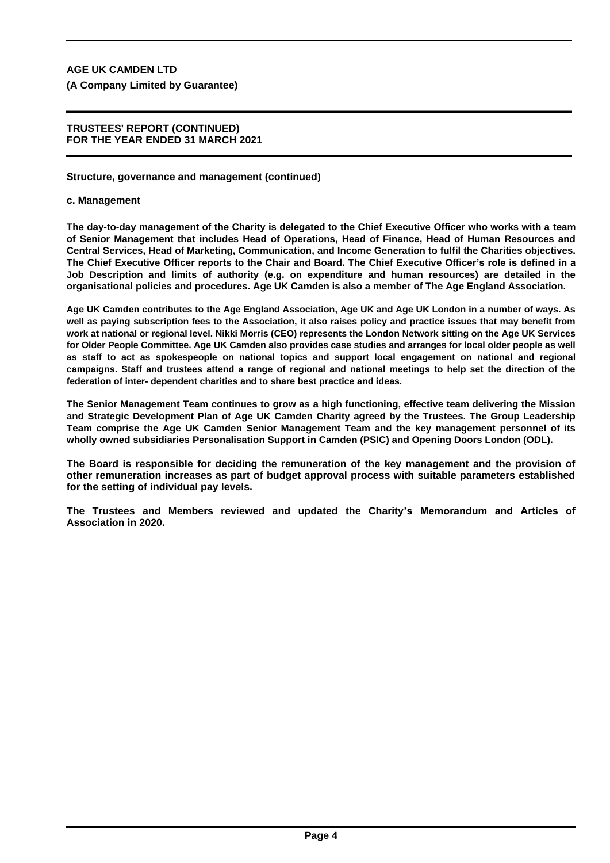# **TRUSTEES' REPORT (CONTINUED) FOR THE YEAR ENDED 31 MARCH 2021**

# **Structure, governance and management (continued)**

# **c. Management**

**The day-to-day management of the Charity is delegated to the Chief Executive Officer who works with a team of Senior Management that includes Head of Operations, Head of Finance, Head of Human Resources and Central Services, Head of Marketing, Communication, and Income Generation to fulfil the Charities objectives. The Chief Executive Officer reports to the Chair and Board. The Chief Executive Officer's role is defined in a Job Description and limits of authority (e.g. on expenditure and human resources) are detailed in the organisational policies and procedures. Age UK Camden is also a member of The Age England Association.**

**Age UK Camden contributes to the Age England Association, Age UK and Age UK London in a number of ways. As well as paying subscription fees to the Association, it also raises policy and practice issues that may benefit from work at national or regional level. Nikki Morris (CEO) represents the London Network sitting on the Age UK Services for Older People Committee. Age UK Camden also provides case studies and arranges for local older people as well as staff to act as spokespeople on national topics and support local engagement on national and regional campaigns. Staff and trustees attend a range of regional and national meetings to help set the direction of the federation of inter- dependent charities and to share best practice and ideas.**

**The Senior Management Team continues to grow as a high functioning, effective team delivering the Mission and Strategic Development Plan of Age UK Camden Charity agreed by the Trustees. The Group Leadership Team comprise the Age UK Camden Senior Management Team and the key management personnel of its wholly owned subsidiaries Personalisation Support in Camden (PSIC) and Opening Doors London (ODL).**

**The Board is responsible for deciding the remuneration of the key management and the provision of other remuneration increases as part of budget approval process with suitable parameters established for the setting of individual pay levels.**

**The Trustees and Members reviewed and updated the Charity's Memorandum and Articles of Association in 2020.**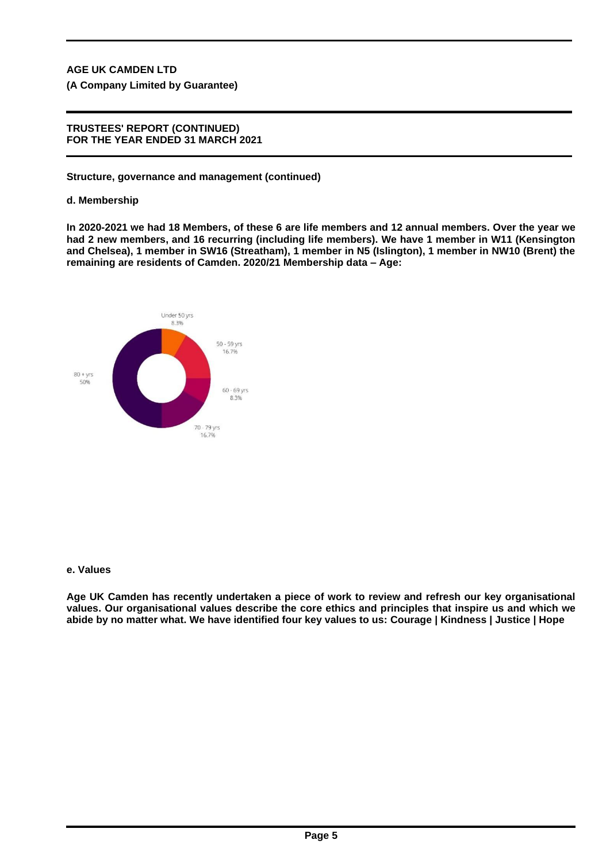**(A Company Limited by Guarantee)**

## **TRUSTEES' REPORT (CONTINUED) FOR THE YEAR ENDED 31 MARCH 2021**

## **Structure, governance and management (continued)**

#### **d. Membership**

**In 2020-2021 we had 18 Members, of these 6 are life members and 12 annual members. Over the year we had 2 new members, and 16 recurring (including life members). We have 1 member in W11 (Kensington and Chelsea), 1 member in SW16 (Streatham), 1 member in N5 (Islington), 1 member in NW10 (Brent) the remaining are residents of Camden. 2020/21 Membership data – Age:**



#### **e. Values**

**Age UK Camden has recently undertaken a piece of work to review and refresh our key organisational values. Our organisational values describe the core ethics and principles that inspire us and which we abide by no matter what. We have identified four key values to us: Courage | Kindness | Justice | Hope**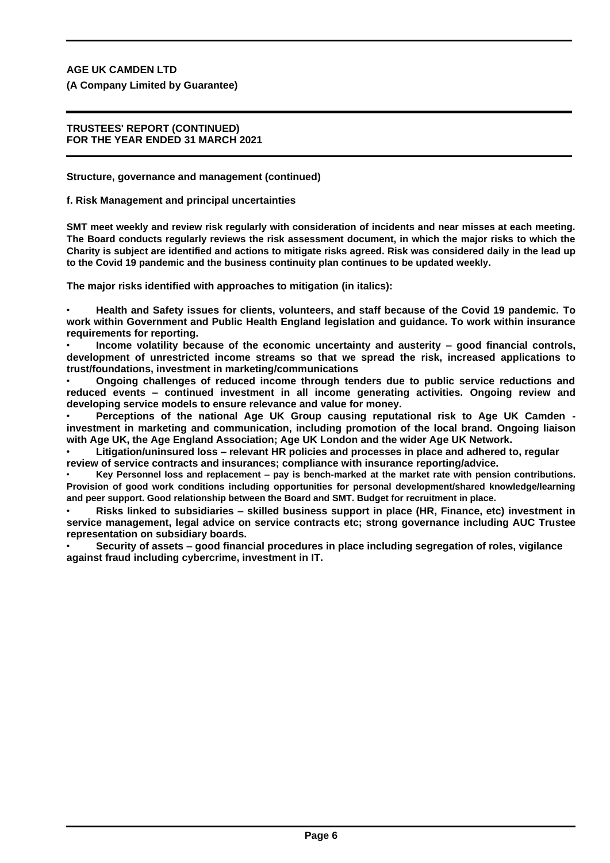**(A Company Limited by Guarantee)**

## **TRUSTEES' REPORT (CONTINUED) FOR THE YEAR ENDED 31 MARCH 2021**

**Structure, governance and management (continued)**

**f. Risk Management and principal uncertainties**

**SMT meet weekly and review risk regularly with consideration of incidents and near misses at each meeting. The Board conducts regularly reviews the risk assessment document, in which the major risks to which the Charity is subject are identified and actions to mitigate risks agreed. Risk was considered daily in the lead up to the Covid 19 pandemic and the business continuity plan continues to be updated weekly.**

**The major risks identified with approaches to mitigation (in italics):**

• **Health and Safety issues for clients, volunteers, and staff because of the Covid 19 pandemic. To work within Government and Public Health England legislation and guidance. To work within insurance requirements for reporting.**

• **Income volatility because of the economic uncertainty and austerity – good financial controls, development of unrestricted income streams so that we spread the risk, increased applications to trust/foundations, investment in marketing/communications**

• **Ongoing challenges of reduced income through tenders due to public service reductions and reduced events – continued investment in all income generating activities. Ongoing review and developing service models to ensure relevance and value for money.**

• **Perceptions of the national Age UK Group causing reputational risk to Age UK Camden investment in marketing and communication, including promotion of the local brand. Ongoing liaison with Age UK, the Age England Association; Age UK London and the wider Age UK Network.**

• **Litigation/uninsured loss – relevant HR policies and processes in place and adhered to, regular review of service contracts and insurances; compliance with insurance reporting/advice.**

• **Key Personnel loss and replacement – pay is bench-marked at the market rate with pension contributions. Provision of good work conditions including opportunities for personal development/shared knowledge/learning and peer support. Good relationship between the Board and SMT. Budget for recruitment in place.**

• **Risks linked to subsidiaries – skilled business support in place (HR, Finance, etc) investment in service management, legal advice on service contracts etc; strong governance including AUC Trustee representation on subsidiary boards.**

• **Security of assets – good financial procedures in place including segregation of roles, vigilance against fraud including cybercrime, investment in IT.**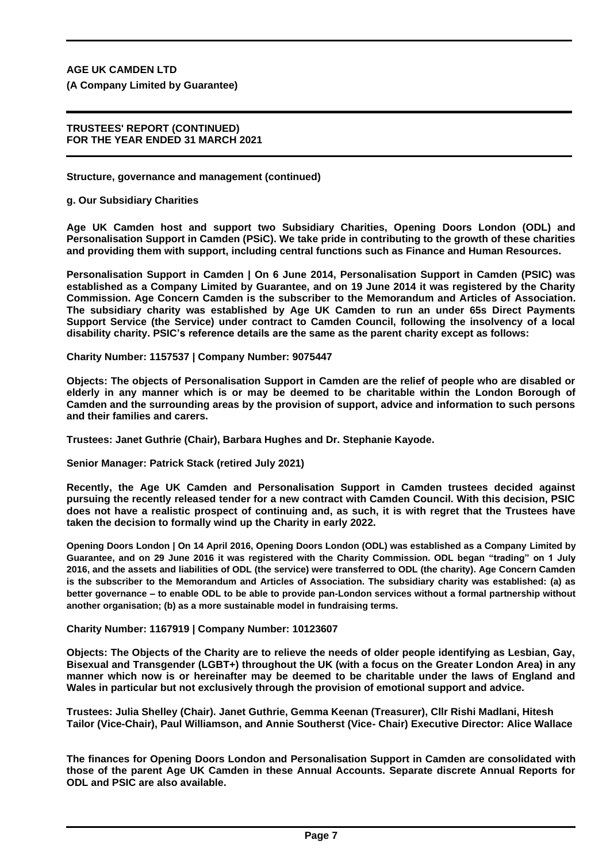**(A Company Limited by Guarantee)**

## **TRUSTEES' REPORT (CONTINUED) FOR THE YEAR ENDED 31 MARCH 2021**

**Structure, governance and management (continued)**

**g. Our Subsidiary Charities**

**Age UK Camden host and support two Subsidiary Charities, Opening Doors London (ODL) and Personalisation Support in Camden (PSiC). We take pride in contributing to the growth of these charities and providing them with support, including central functions such as Finance and Human Resources.**

**Personalisation Support in Camden | On 6 June 2014, Personalisation Support in Camden (PSIC) was established as a Company Limited by Guarantee, and on 19 June 2014 it was registered by the Charity Commission. Age Concern Camden is the subscriber to the Memorandum and Articles of Association. The subsidiary charity was established by Age UK Camden to run an under 65s Direct Payments Support Service (the Service) under contract to Camden Council, following the insolvency of a local disability charity. PSIC's reference details are the same as the parent charity except as follows:**

**Charity Number: 1157537 | Company Number: 9075447**

**Objects: The objects of Personalisation Support in Camden are the relief of people who are disabled or elderly in any manner which is or may be deemed to be charitable within the London Borough of Camden and the surrounding areas by the provision of support, advice and information to such persons and their families and carers.**

**Trustees: Janet Guthrie (Chair), Barbara Hughes and Dr. Stephanie Kayode.**

**Senior Manager: Patrick Stack (retired July 2021)**

**Recently, the Age UK Camden and Personalisation Support in Camden trustees decided against pursuing the recently released tender for a new contract with Camden Council. With this decision, PSIC does not have a realistic prospect of continuing and, as such, it is with regret that the Trustees have taken the decision to formally wind up the Charity in early 2022.**

**Opening Doors London | On 14 April 2016, Opening Doors London (ODL) was established as a Company Limited by Guarantee, and on 29 June 2016 it was registered with the Charity Commission. ODL began "trading" on 1 July 2016, and the assets and liabilities of ODL (the service) were transferred to ODL (the charity). Age Concern Camden is the subscriber to the Memorandum and Articles of Association. The subsidiary charity was established: (a) as better governance – to enable ODL to be able to provide pan-London services without a formal partnership without another organisation; (b) as a more sustainable model in fundraising terms.**

**Charity Number: 1167919 | Company Number: 10123607**

**Objects: The Objects of the Charity are to relieve the needs of older people identifying as Lesbian, Gay, Bisexual and Transgender (LGBT+) throughout the UK (with a focus on the Greater London Area) in any manner which now is or hereinafter may be deemed to be charitable under the laws of England and Wales in particular but not exclusively through the provision of emotional support and advice.**

**Trustees: Julia Shelley (Chair). Janet Guthrie, Gemma Keenan (Treasurer), Cllr Rishi Madlani, Hitesh Tailor (Vice-Chair), Paul Williamson, and Annie Southerst (Vice- Chair) Executive Director: Alice Wallace**

**The finances for Opening Doors London and Personalisation Support in Camden are consolidated with those of the parent Age UK Camden in these Annual Accounts. Separate discrete Annual Reports for ODL and PSIC are also available.**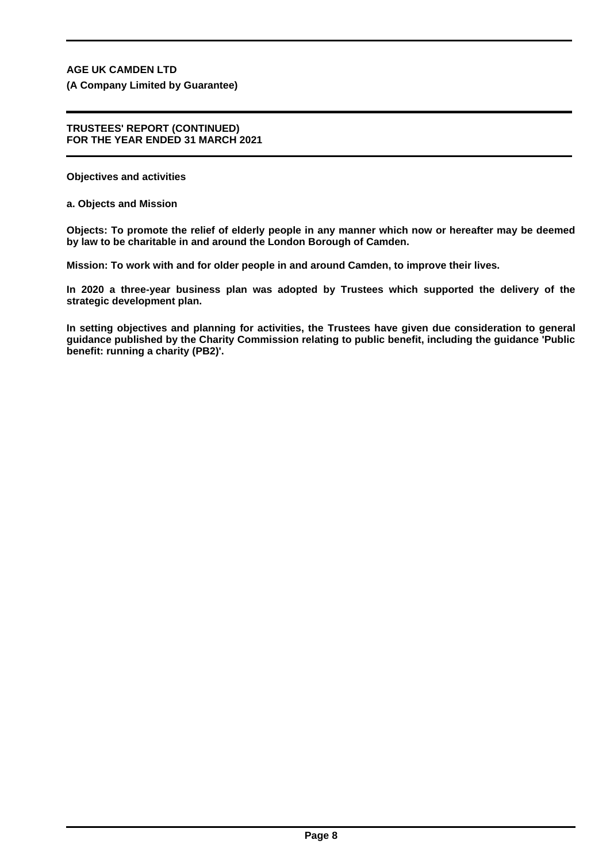**(A Company Limited by Guarantee)**

#### **TRUSTEES' REPORT (CONTINUED) FOR THE YEAR ENDED 31 MARCH 2021**

**Objectives and activities**

**a. Objects and Mission**

**Objects: To promote the relief of elderly people in any manner which now or hereafter may be deemed by law to be charitable in and around the London Borough of Camden.**

**Mission: To work with and for older people in and around Camden, to improve their lives.**

**In 2020 a three-year business plan was adopted by Trustees which supported the delivery of the strategic development plan.**

**In setting objectives and planning for activities, the Trustees have given due consideration to general guidance published by the Charity Commission relating to public benefit, including the guidance 'Public benefit: running a charity (PB2)'.**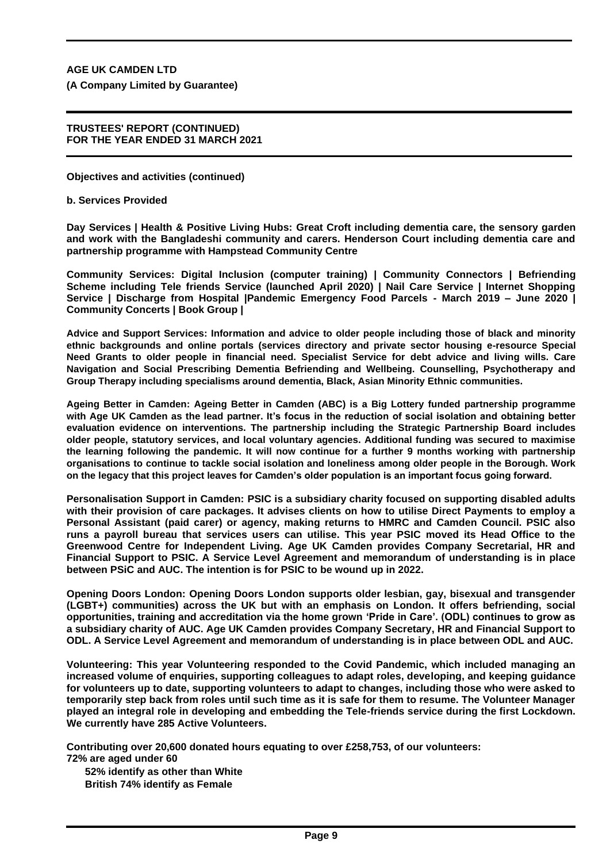**(A Company Limited by Guarantee)**

## **TRUSTEES' REPORT (CONTINUED) FOR THE YEAR ENDED 31 MARCH 2021**

**Objectives and activities (continued)**

**b. Services Provided**

**Day Services | Health & Positive Living Hubs: Great Croft including dementia care, the sensory garden and work with the Bangladeshi community and carers. Henderson Court including dementia care and partnership programme with Hampstead Community Centre**

**Community Services: Digital Inclusion (computer training) | Community Connectors | Befriending Scheme including Tele friends Service (launched April 2020) | Nail Care Service | Internet Shopping Service | Discharge from Hospital |Pandemic Emergency Food Parcels - March 2019 – June 2020 | Community Concerts | Book Group |**

**Advice and Support Services: Information and advice to older people including those of black and minority ethnic backgrounds and online portals (services directory and private sector housing e-resource Special Need Grants to older people in financial need. Specialist Service for debt advice and living wills. Care Navigation and Social Prescribing Dementia Befriending and Wellbeing. Counselling, Psychotherapy and Group Therapy including specialisms around dementia, Black, Asian Minority Ethnic communities.**

**Ageing Better in Camden: Ageing Better in Camden (ABC) is a Big Lottery funded partnership programme with Age UK Camden as the lead partner. It's focus in the reduction of social isolation and obtaining better evaluation evidence on interventions. The partnership including the Strategic Partnership Board includes older people, statutory services, and local voluntary agencies. Additional funding was secured to maximise the learning following the pandemic. It will now continue for a further 9 months working with partnership organisations to continue to tackle social isolation and loneliness among older people in the Borough. Work on the legacy that this project leaves for Camden's older population is an important focus going forward.**

**Personalisation Support in Camden: PSIC is a subsidiary charity focused on supporting disabled adults with their provision of care packages. It advises clients on how to utilise Direct Payments to employ a Personal Assistant (paid carer) or agency, making returns to HMRC and Camden Council. PSIC also runs a payroll bureau that services users can utilise. This year PSIC moved its Head Office to the Greenwood Centre for Independent Living. Age UK Camden provides Company Secretarial, HR and Financial Support to PSIC. A Service Level Agreement and memorandum of understanding is in place between PSiC and AUC. The intention is for PSIC to be wound up in 2022.**

**Opening Doors London: Opening Doors London supports older lesbian, gay, bisexual and transgender (LGBT+) communities) across the UK but with an emphasis on London. It offers befriending, social opportunities, training and accreditation via the home grown 'Pride in Care'. (ODL) continues to grow as a subsidiary charity of AUC. Age UK Camden provides Company Secretary, HR and Financial Support to ODL. A Service Level Agreement and memorandum of understanding is in place between ODL and AUC.**

**Volunteering: This year Volunteering responded to the Covid Pandemic, which included managing an increased volume of enquiries, supporting colleagues to adapt roles, developing, and keeping guidance for volunteers up to date, supporting volunteers to adapt to changes, including those who were asked to temporarily step back from roles until such time as it is safe for them to resume. The Volunteer Manager played an integral role in developing and embedding the Tele-friends service during the first Lockdown. We currently have 285 Active Volunteers.**

**Contributing over 20,600 donated hours equating to over £258,753, of our volunteers: 72% are aged under 60**

**52% identify as other than White British 74% identify as Female**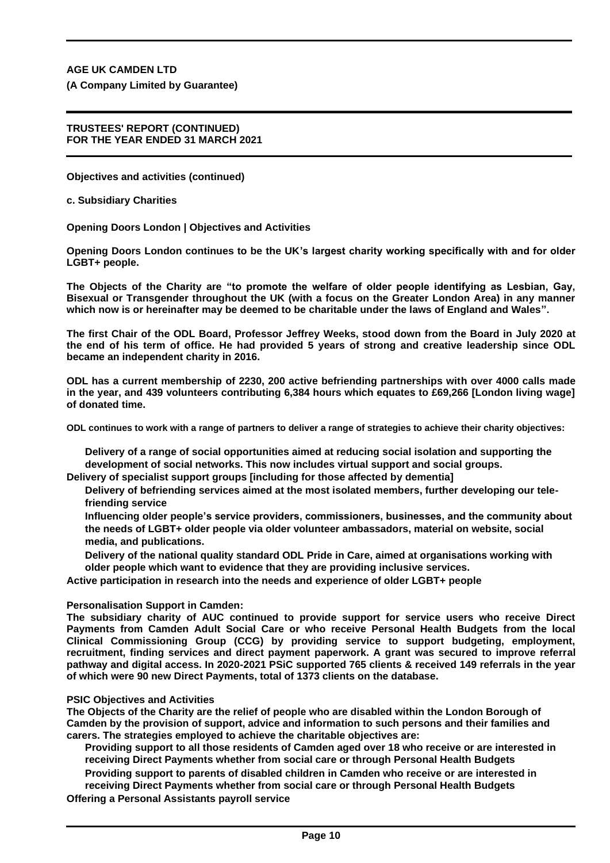**(A Company Limited by Guarantee)**

## **TRUSTEES' REPORT (CONTINUED) FOR THE YEAR ENDED 31 MARCH 2021**

**Objectives and activities (continued)**

**c. Subsidiary Charities**

**Opening Doors London | Objectives and Activities**

**Opening Doors London continues to be the UK's largest charity working specifically with and for older LGBT+ people.**

**The Objects of the Charity are "to promote the welfare of older people identifying as Lesbian, Gay, Bisexual or Transgender throughout the UK (with a focus on the Greater London Area) in any manner which now is or hereinafter may be deemed to be charitable under the laws of England and Wales".**

**The first Chair of the ODL Board, Professor Jeffrey Weeks, stood down from the Board in July 2020 at the end of his term of office. He had provided 5 years of strong and creative leadership since ODL became an independent charity in 2016.**

**ODL has a current membership of 2230, 200 active befriending partnerships with over 4000 calls made in the year, and 439 volunteers contributing 6,384 hours which equates to £69,266 [London living wage] of donated time.**

**ODL continues to work with a range of partners to deliver a range of strategies to achieve their charity objectives:**

**Delivery of a range of social opportunities aimed at reducing social isolation and supporting the development of social networks. This now includes virtual support and social groups.**

**Delivery of specialist support groups [including for those affected by dementia]**

**Delivery of befriending services aimed at the most isolated members, further developing our telefriending service**

- **Influencing older people's service providers, commissioners, businesses, and the community about the needs of LGBT+ older people via older volunteer ambassadors, material on website, social media, and publications.**
- **Delivery of the national quality standard ODL Pride in Care, aimed at organisations working with older people which want to evidence that they are providing inclusive services.**

**Active participation in research into the needs and experience of older LGBT+ people**

# **Personalisation Support in Camden:**

**The subsidiary charity of AUC continued to provide support for service users who receive Direct Payments from Camden Adult Social Care or who receive Personal Health Budgets from the local Clinical Commissioning Group (CCG) by providing service to support budgeting, employment, recruitment, finding services and direct payment paperwork. A grant was secured to improve referral pathway and digital access. In 2020-2021 PSiC supported 765 clients & received 149 referrals in the year of which were 90 new Direct Payments, total of 1373 clients on the database.**

#### **PSIC Objectives and Activities**

**The Objects of the Charity are the relief of people who are disabled within the London Borough of Camden by the provision of support, advice and information to such persons and their families and carers. The strategies employed to achieve the charitable objectives are:**

**Providing support to all those residents of Camden aged over 18 who receive or are interested in receiving Direct Payments whether from social care or through Personal Health Budgets**

**Providing support to parents of disabled children in Camden who receive or are interested in receiving Direct Payments whether from social care or through Personal Health Budgets**

**Offering a Personal Assistants payroll service**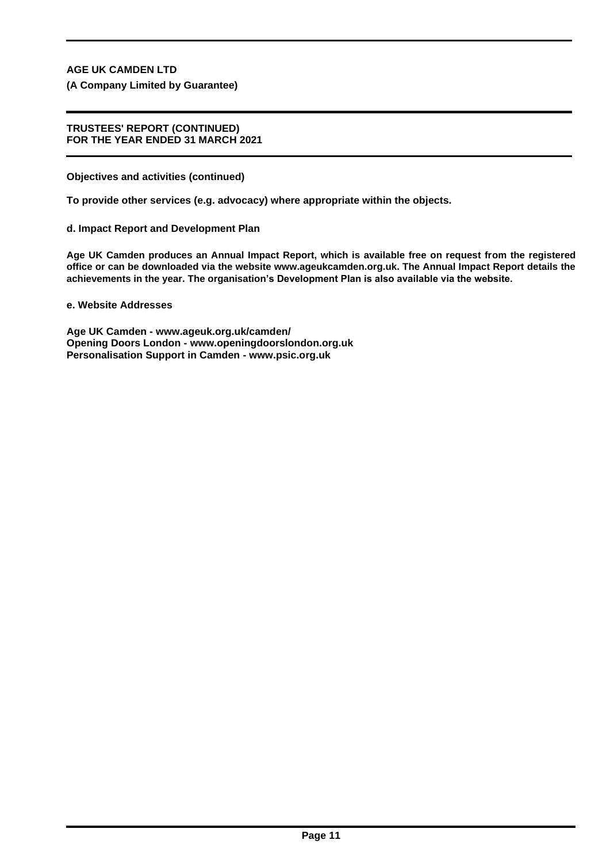**(A Company Limited by Guarantee)**

## **TRUSTEES' REPORT (CONTINUED) FOR THE YEAR ENDED 31 MARCH 2021**

**Objectives and activities (continued)**

**To provide other services (e.g. advocacy) where appropriate within the objects.**

**d. Impact Report and Development Plan**

**Age UK Camden produces an Annual Impact Report, which is available free on request from the registered office or can be downloaded via the website www.ageukcamden.org.uk. The Annual Impact Report details the achievements in the year. The organisation's Development Plan is also available via the website.**

**e. Website Addresses**

**Age UK Camden - www.ageuk.org.uk/camden/ Opening Doors London - www.openingdoorslondon.org.uk Personalisation Support in Camden - www.psic.org.uk**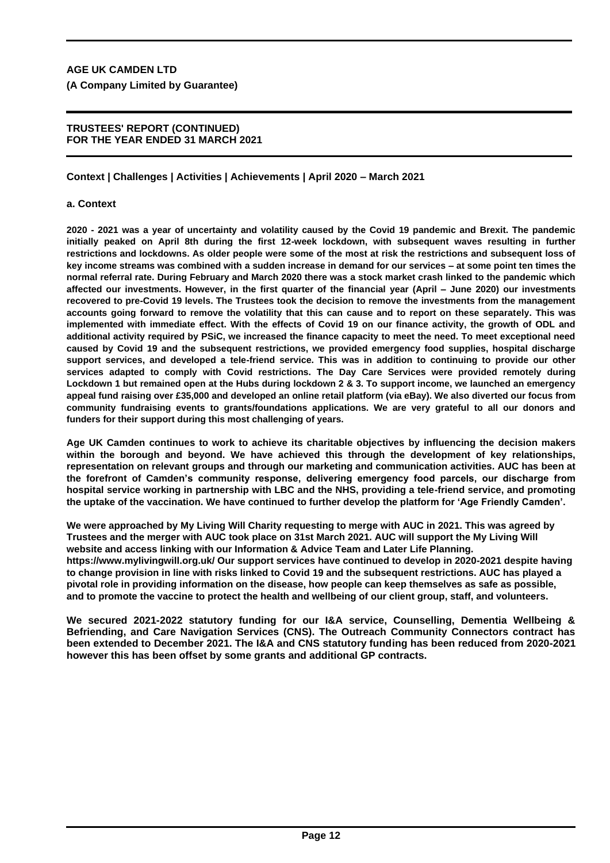# **TRUSTEES' REPORT (CONTINUED) FOR THE YEAR ENDED 31 MARCH 2021**

# **Context | Challenges | Activities | Achievements | April 2020 – March 2021**

# **a. Context**

**2020 - 2021 was a year of uncertainty and volatility caused by the Covid 19 pandemic and Brexit. The pandemic initially peaked on April 8th during the first 12-week lockdown, with subsequent waves resulting in further restrictions and lockdowns. As older people were some of the most at risk the restrictions and subsequent loss of key income streams was combined with a sudden increase in demand for our services – at some point ten times the normal referral rate. During February and March 2020 there was a stock market crash linked to the pandemic which affected our investments. However, in the first quarter of the financial year (April – June 2020) our investments recovered to pre-Covid 19 levels. The Trustees took the decision to remove the investments from the management accounts going forward to remove the volatility that this can cause and to report on these separately. This was implemented with immediate effect. With the effects of Covid 19 on our finance activity, the growth of ODL and additional activity required by PSiC, we increased the finance capacity to meet the need. To meet exceptional need caused by Covid 19 and the subsequent restrictions, we provided emergency food supplies, hospital discharge support services, and developed a tele-friend service. This was in addition to continuing to provide our other services adapted to comply with Covid restrictions. The Day Care Services were provided remotely during Lockdown 1 but remained open at the Hubs during lockdown 2 & 3. To support income, we launched an emergency appeal fund raising over £35,000 and developed an online retail platform (via eBay). We also diverted our focus from community fundraising events to grants/foundations applications. We are very grateful to all our donors and funders for their support during this most challenging of years.**

**Age UK Camden continues to work to achieve its charitable objectives by influencing the decision makers within the borough and beyond. We have achieved this through the development of key relationships, representation on relevant groups and through our marketing and communication activities. AUC has been at the forefront of Camden's community response, delivering emergency food parcels, our discharge from hospital service working in partnership with LBC and the NHS, providing a tele-friend service, and promoting the uptake of the vaccination. We have continued to further develop the platform for 'Age Friendly Camden'.**

**We were approached by My Living Will Charity requesting to merge with AUC in 2021. This was agreed by Trustees and the merger with AUC took place on 31st March 2021. AUC will support the My Living Will website and access linking with our Information & Advice Team and Later Life Planning. https://www.mylivingwill.org.uk/ Our support services have continued to develop in 2020-2021 despite having to change provision in line with risks linked to Covid 19 and the subsequent restrictions. AUC has played a pivotal role in providing information on the disease, how people can keep themselves as safe as possible, and to promote the vaccine to protect the health and wellbeing of our client group, staff, and volunteers.**

**We secured 2021-2022 statutory funding for our I&A service, Counselling, Dementia Wellbeing & Befriending, and Care Navigation Services (CNS). The Outreach Community Connectors contract has been extended to December 2021. The I&A and CNS statutory funding has been reduced from 2020-2021 however this has been offset by some grants and additional GP contracts.**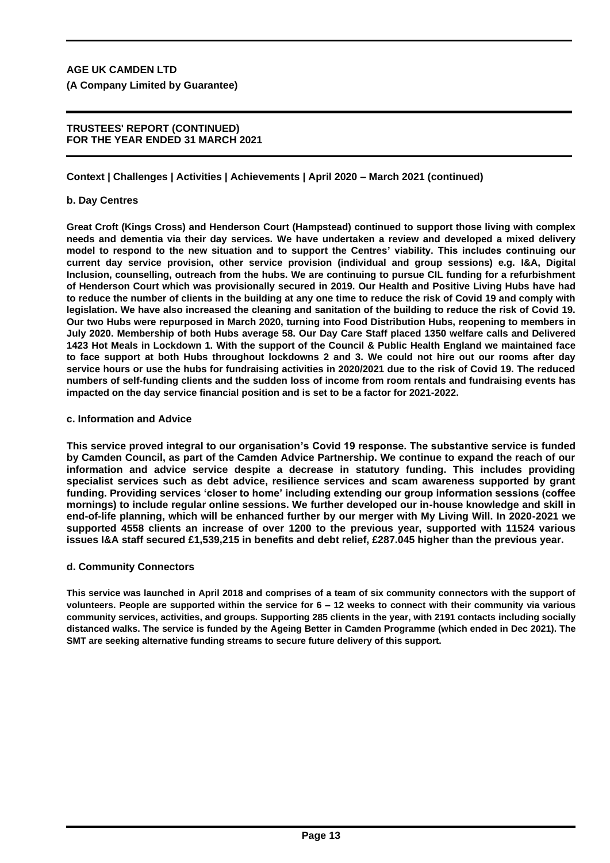# **TRUSTEES' REPORT (CONTINUED) FOR THE YEAR ENDED 31 MARCH 2021**

**Context | Challenges | Activities | Achievements | April 2020 – March 2021 (continued)**

# **b. Day Centres**

**Great Croft (Kings Cross) and Henderson Court (Hampstead) continued to support those living with complex needs and dementia via their day services. We have undertaken a review and developed a mixed delivery model to respond to the new situation and to support the Centres' viability. This includes continuing our current day service provision, other service provision (individual and group sessions) e.g. I&A, Digital Inclusion, counselling, outreach from the hubs. We are continuing to pursue CIL funding for a refurbishment of Henderson Court which was provisionally secured in 2019. Our Health and Positive Living Hubs have had to reduce the number of clients in the building at any one time to reduce the risk of Covid 19 and comply with legislation. We have also increased the cleaning and sanitation of the building to reduce the risk of Covid 19. Our two Hubs were repurposed in March 2020, turning into Food Distribution Hubs, reopening to members in July 2020. Membership of both Hubs average 58. Our Day Care Staff placed 1350 welfare calls and Delivered 1423 Hot Meals in Lockdown 1. With the support of the Council & Public Health England we maintained face to face support at both Hubs throughout lockdowns 2 and 3. We could not hire out our rooms after day service hours or use the hubs for fundraising activities in 2020/2021 due to the risk of Covid 19. The reduced numbers of self-funding clients and the sudden loss of income from room rentals and fundraising events has impacted on the day service financial position and is set to be a factor for 2021-2022.**

#### **c. Information and Advice**

**This service proved integral to our organisation's Covid 19 response. The substantive service is funded by Camden Council, as part of the Camden Advice Partnership. We continue to expand the reach of our information and advice service despite a decrease in statutory funding. This includes providing specialist services such as debt advice, resilience services and scam awareness supported by grant funding. Providing services 'closer to home' including extending our group information sessions (coffee mornings) to include regular online sessions. We further developed our in-house knowledge and skill in end-of-life planning, which will be enhanced further by our merger with My Living Will. In 2020-2021 we supported 4558 clients an increase of over 1200 to the previous year, supported with 11524 various issues I&A staff secured £1,539,215 in benefits and debt relief, £287.045 higher than the previous year.**

# **d. Community Connectors**

**This service was launched in April 2018 and comprises of a team of six community connectors with the support of volunteers. People are supported within the service for 6 – 12 weeks to connect with their community via various community services, activities, and groups. Supporting 285 clients in the year, with 2191 contacts including socially distanced walks. The service is funded by the Ageing Better in Camden Programme (which ended in Dec 2021). The SMT are seeking alternative funding streams to secure future delivery of this support.**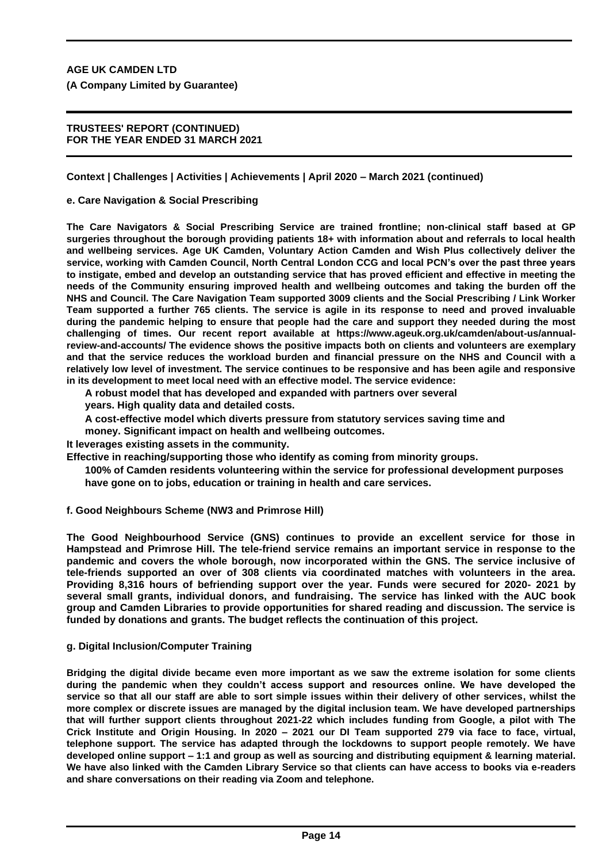# **TRUSTEES' REPORT (CONTINUED) FOR THE YEAR ENDED 31 MARCH 2021**

**Context | Challenges | Activities | Achievements | April 2020 – March 2021 (continued)**

# **e. Care Navigation & Social Prescribing**

**The Care Navigators & Social Prescribing Service are trained frontline; non-clinical staff based at GP surgeries throughout the borough providing patients 18+ with information about and referrals to local health and wellbeing services. Age UK Camden, Voluntary Action Camden and Wish Plus collectively deliver the service, working with Camden Council, North Central London CCG and local PCN's over the past three years to instigate, embed and develop an outstanding service that has proved efficient and effective in meeting the needs of the Community ensuring improved health and wellbeing outcomes and taking the burden off the NHS and Council. The Care Navigation Team supported 3009 clients and the Social Prescribing / Link Worker Team supported a further 765 clients. The service is agile in its response to need and proved invaluable during the pandemic helping to ensure that people had the care and support they needed during the most challenging of times. Our recent report available at https://www.ageuk.org.uk/camden/about-us/annualreview-and-accounts/ The evidence shows the positive impacts both on clients and volunteers are exemplary and that the service reduces the workload burden and financial pressure on the NHS and Council with a relatively low level of investment. The service continues to be responsive and has been agile and responsive in its development to meet local need with an effective model. The service evidence:**

**A robust model that has developed and expanded with partners over several** 

**years. High quality data and detailed costs.**

**A cost-effective model which diverts pressure from statutory services saving time and** 

**money. Significant impact on health and wellbeing outcomes.**

**It leverages existing assets in the community.**

**Effective in reaching/supporting those who identify as coming from minority groups.**

**100% of Camden residents volunteering within the service for professional development purposes have gone on to jobs, education or training in health and care services.**

**f. Good Neighbours Scheme (NW3 and Primrose Hill)**

**The Good Neighbourhood Service (GNS) continues to provide an excellent service for those in Hampstead and Primrose Hill. The tele-friend service remains an important service in response to the pandemic and covers the whole borough, now incorporated within the GNS. The service inclusive of tele-friends supported an over of 308 clients via coordinated matches with volunteers in the area. Providing 8,316 hours of befriending support over the year. Funds were secured for 2020- 2021 by several small grants, individual donors, and fundraising. The service has linked with the AUC book group and Camden Libraries to provide opportunities for shared reading and discussion. The service is funded by donations and grants. The budget reflects the continuation of this project.**

# **g. Digital Inclusion/Computer Training**

**Bridging the digital divide became even more important as we saw the extreme isolation for some clients during the pandemic when they couldn't access support and resources online. We have developed the service so that all our staff are able to sort simple issues within their delivery of other services, whilst the more complex or discrete issues are managed by the digital inclusion team. We have developed partnerships that will further support clients throughout 2021-22 which includes funding from Google, a pilot with The Crick Institute and Origin Housing. In 2020 – 2021 our DI Team supported 279 via face to face, virtual, telephone support. The service has adapted through the lockdowns to support people remotely. We have developed online support – 1:1 and group as well as sourcing and distributing equipment & learning material. We have also linked with the Camden Library Service so that clients can have access to books via e-readers and share conversations on their reading via Zoom and telephone.**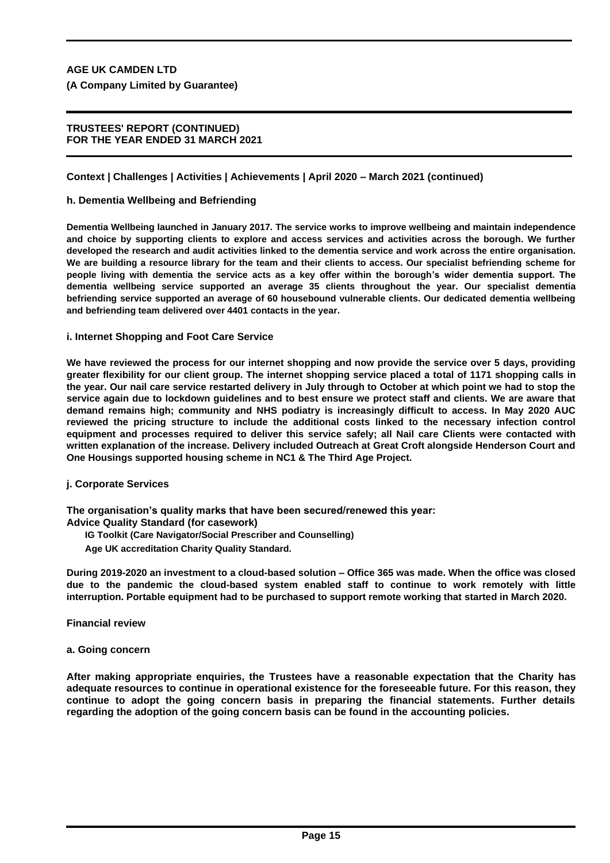## **TRUSTEES' REPORT (CONTINUED) FOR THE YEAR ENDED 31 MARCH 2021**

# **Context | Challenges | Activities | Achievements | April 2020 – March 2021 (continued)**

# **h. Dementia Wellbeing and Befriending**

**Dementia Wellbeing launched in January 2017. The service works to improve wellbeing and maintain independence and choice by supporting clients to explore and access services and activities across the borough. We further developed the research and audit activities linked to the dementia service and work across the entire organisation. We are building a resource library for the team and their clients to access. Our specialist befriending scheme for people living with dementia the service acts as a key offer within the borough's wider dementia support. The dementia wellbeing service supported an average 35 clients throughout the year. Our specialist dementia befriending service supported an average of 60 housebound vulnerable clients. Our dedicated dementia wellbeing and befriending team delivered over 4401 contacts in the year.**

# **i. Internet Shopping and Foot Care Service**

**We have reviewed the process for our internet shopping and now provide the service over 5 days, providing greater flexibility for our client group. The internet shopping service placed a total of 1171 shopping calls in the year. Our nail care service restarted delivery in July through to October at which point we had to stop the service again due to lockdown guidelines and to best ensure we protect staff and clients. We are aware that demand remains high; community and NHS podiatry is increasingly difficult to access. In May 2020 AUC reviewed the pricing structure to include the additional costs linked to the necessary infection control equipment and processes required to deliver this service safely; all Nail care Clients were contacted with written explanation of the increase. Delivery included Outreach at Great Croft alongside Henderson Court and One Housings supported housing scheme in NC1 & The Third Age Project.**

# **j. Corporate Services**

**The organisation's quality marks that have been secured/renewed this year: Advice Quality Standard (for casework)**

**IG Toolkit (Care Navigator/Social Prescriber and Counselling)** 

**Age UK accreditation Charity Quality Standard.**

**During 2019-2020 an investment to a cloud-based solution – Office 365 was made. When the office was closed due to the pandemic the cloud-based system enabled staff to continue to work remotely with little interruption. Portable equipment had to be purchased to support remote working that started in March 2020.**

**Financial review**

**a. Going concern**

**After making appropriate enquiries, the Trustees have a reasonable expectation that the Charity has adequate resources to continue in operational existence for the foreseeable future. For this reason, they continue to adopt the going concern basis in preparing the financial statements. Further details regarding the adoption of the going concern basis can be found in the accounting policies.**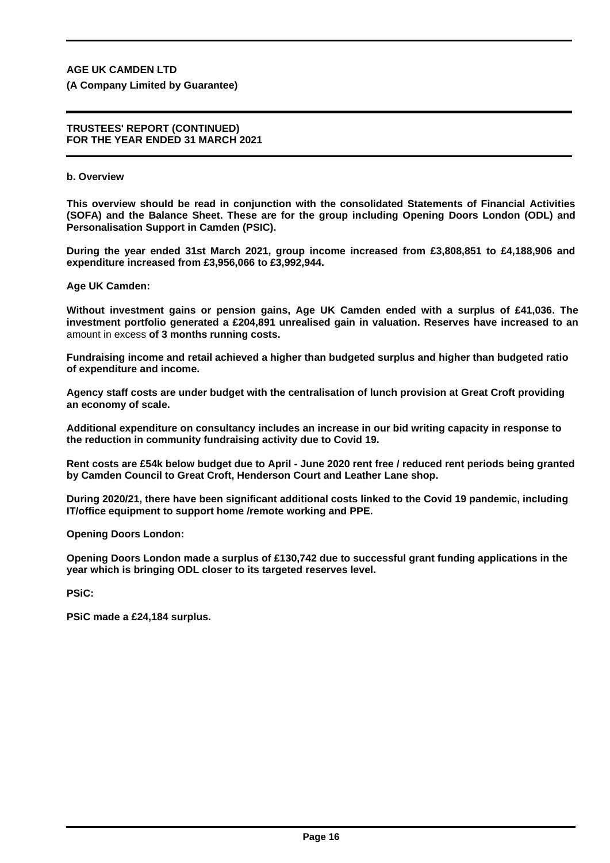**(A Company Limited by Guarantee)**

#### **TRUSTEES' REPORT (CONTINUED) FOR THE YEAR ENDED 31 MARCH 2021**

## **b. Overview**

**This overview should be read in conjunction with the consolidated Statements of Financial Activities (SOFA) and the Balance Sheet. These are for the group including Opening Doors London (ODL) and Personalisation Support in Camden (PSIC).**

**During the year ended 31st March 2021, group income increased from £3,808,851 to £4,188,906 and expenditure increased from £3,956,066 to £3,992,944.**

**Age UK Camden:**

**Without investment gains or pension gains, Age UK Camden ended with a surplus of £41,036. The investment portfolio generated a £204,891 unrealised gain in valuation. Reserves have increased to an** amount in excess **of 3 months running costs.**

**Fundraising income and retail achieved a higher than budgeted surplus and higher than budgeted ratio of expenditure and income.**

**Agency staff costs are under budget with the centralisation of lunch provision at Great Croft providing an economy of scale.**

**Additional expenditure on consultancy includes an increase in our bid writing capacity in response to the reduction in community fundraising activity due to Covid 19.**

**Rent costs are £54k below budget due to April - June 2020 rent free / reduced rent periods being granted by Camden Council to Great Croft, Henderson Court and Leather Lane shop.**

**During 2020/21, there have been significant additional costs linked to the Covid 19 pandemic, including IT/office equipment to support home /remote working and PPE.**

**Opening Doors London:**

**Opening Doors London made a surplus of £130,742 due to successful grant funding applications in the year which is bringing ODL closer to its targeted reserves level.**

**PSiC:**

**PSiC made a £24,184 surplus.**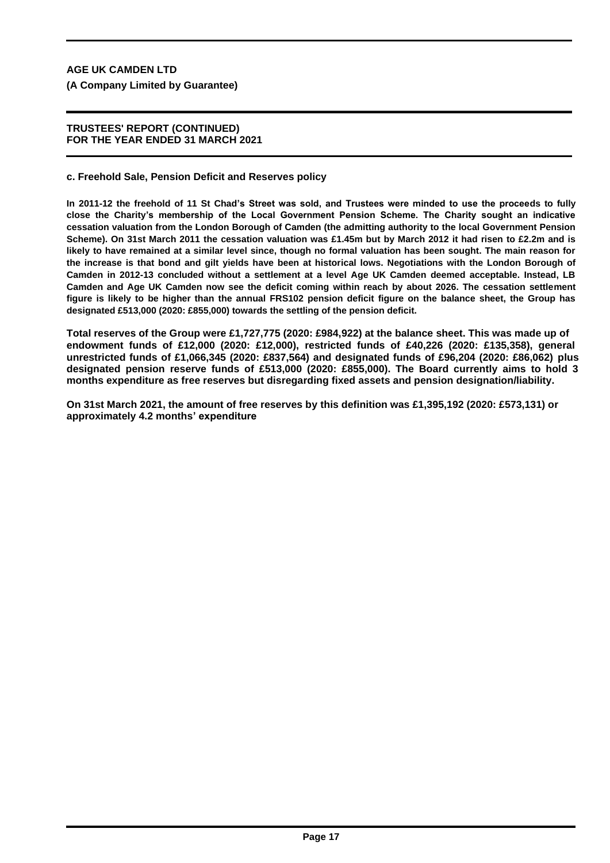# **(A Company Limited by Guarantee)**

## **TRUSTEES' REPORT (CONTINUED) FOR THE YEAR ENDED 31 MARCH 2021**

## **c. Freehold Sale, Pension Deficit and Reserves policy**

**In 2011-12 the freehold of 11 St Chad's Street was sold, and Trustees were minded to use the proceeds to fully close the Charity's membership of the Local Government Pension Scheme. The Charity sought an indicative cessation valuation from the London Borough of Camden (the admitting authority to the local Government Pension Scheme). On 31st March 2011 the cessation valuation was £1.45m but by March 2012 it had risen to £2.2m and is likely to have remained at a similar level since, though no formal valuation has been sought. The main reason for the increase is that bond and gilt yields have been at historical lows. Negotiations with the London Borough of Camden in 2012-13 concluded without a settlement at a level Age UK Camden deemed acceptable. Instead, LB Camden and Age UK Camden now see the deficit coming within reach by about 2026. The cessation settlement figure is likely to be higher than the annual FRS102 pension deficit figure on the balance sheet, the Group has designated £513,000 (2020: £855,000) towards the settling of the pension deficit.**

**Total reserves of the Group were £1,727,775 (2020: £984,922) at the balance sheet. This was made up of endowment funds of £12,000 (2020: £12,000), restricted funds of £40,226 (2020: £135,358), general unrestricted funds of £1,066,345 (2020: £837,564) and designated funds of £96,204 (2020: £86,062) plus designated pension reserve funds of £513,000 (2020: £855,000). The Board currently aims to hold 3 months expenditure as free reserves but disregarding fixed assets and pension designation/liability.**

**On 31st March 2021, the amount of free reserves by this definition was £1,395,192 (2020: £573,131) or approximately 4.2 months' expenditure**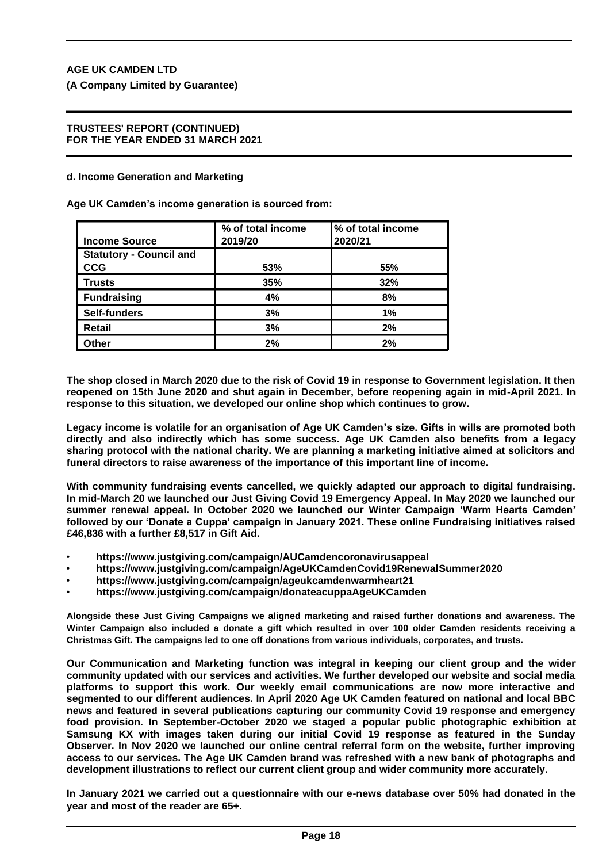**(A Company Limited by Guarantee)**

## **TRUSTEES' REPORT (CONTINUED) FOR THE YEAR ENDED 31 MARCH 2021**

#### **d. Income Generation and Marketing**

**Age UK Camden's income generation is sourced from:**

|                                | % of total income | % of total income |
|--------------------------------|-------------------|-------------------|
| <b>Income Source</b>           | 2019/20           | 2020/21           |
| <b>Statutory - Council and</b> |                   |                   |
| <b>CCG</b>                     | 53%               | 55%               |
| <b>Trusts</b>                  | 35%               | 32%               |
| <b>Fundraising</b>             | 4%                | 8%                |
| <b>Self-funders</b>            | 3%                | 1%                |
| Retail                         | 3%                | 2%                |
| Other                          | 2%                | 2%                |

**The shop closed in March 2020 due to the risk of Covid 19 in response to Government legislation. It then reopened on 15th June 2020 and shut again in December, before reopening again in mid-April 2021. In response to this situation, we developed our online shop which continues to grow.**

**Legacy income is volatile for an organisation of Age UK Camden's size. Gifts in wills are promoted both directly and also indirectly which has some success. Age UK Camden also benefits from a legacy sharing protocol with the national charity. We are planning a marketing initiative aimed at solicitors and funeral directors to raise awareness of the importance of this important line of income.**

**With community fundraising events cancelled, we quickly adapted our approach to digital fundraising. In mid-March 20 we launched our Just Giving Covid 19 Emergency Appeal. In May 2020 we launched our summer renewal appeal. In October 2020 we launched our Winter Campaign 'Warm Hearts Camden' followed by our 'Donate a Cuppa' campaign in January 2021. These online Fundraising initiatives raised £46,836 with a further £8,517 in Gift Aid.**

- **https://www.justgiving.com/campaign/AUCamdencoronavirusappeal**
- **https://www.justgiving.com/campaign/AgeUKCamdenCovid19RenewalSummer2020**
- **https://www.justgiving.com/campaign/ageukcamdenwarmheart21**
- **https://www.justgiving.com/campaign/donateacuppaAgeUKCamden**

**Alongside these Just Giving Campaigns we aligned marketing and raised further donations and awareness. The Winter Campaign also included a donate a gift which resulted in over 100 older Camden residents receiving a Christmas Gift. The campaigns led to one off donations from various individuals, corporates, and trusts.**

**Our Communication and Marketing function was integral in keeping our client group and the wider community updated with our services and activities. We further developed our website and social media platforms to support this work. Our weekly email communications are now more interactive and segmented to our different audiences. In April 2020 Age UK Camden featured on national and local BBC news and featured in several publications capturing our community Covid 19 response and emergency food provision. In September-October 2020 we staged a popular public photographic exhibition at Samsung KX with images taken during our initial Covid 19 response as featured in the Sunday Observer. In Nov 2020 we launched our online central referral form on the website, further improving access to our services. The Age UK Camden brand was refreshed with a new bank of photographs and development illustrations to reflect our current client group and wider community more accurately.**

**In January 2021 we carried out a questionnaire with our e-news database over 50% had donated in the year and most of the reader are 65+.**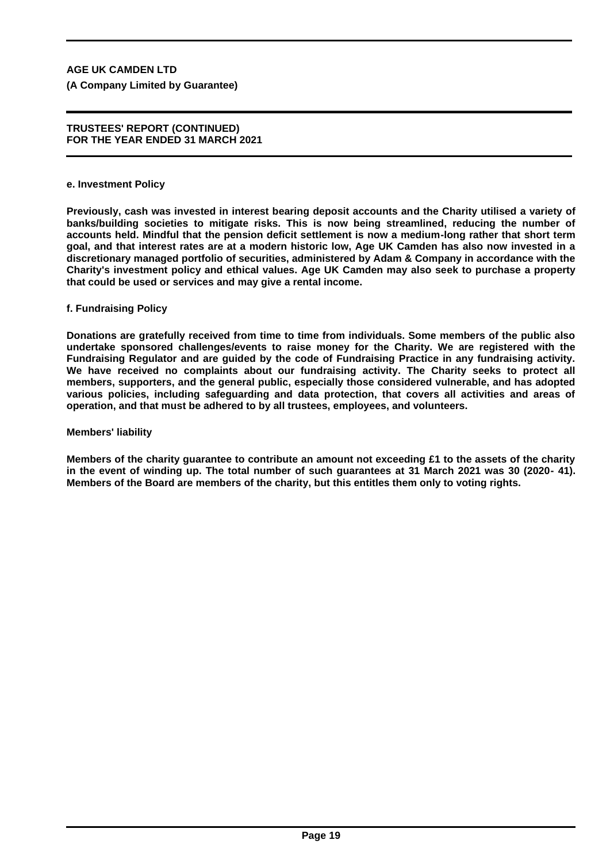**(A Company Limited by Guarantee)**

#### **TRUSTEES' REPORT (CONTINUED) FOR THE YEAR ENDED 31 MARCH 2021**

#### **e. Investment Policy**

**Previously, cash was invested in interest bearing deposit accounts and the Charity utilised a variety of banks/building societies to mitigate risks. This is now being streamlined, reducing the number of accounts held. Mindful that the pension deficit settlement is now a medium-long rather that short term goal, and that interest rates are at a modern historic low, Age UK Camden has also now invested in a discretionary managed portfolio of securities, administered by Adam & Company in accordance with the Charity's investment policy and ethical values. Age UK Camden may also seek to purchase a property that could be used or services and may give a rental income.**

# **f. Fundraising Policy**

**Donations are gratefully received from time to time from individuals. Some members of the public also undertake sponsored challenges/events to raise money for the Charity. We are registered with the Fundraising Regulator and are guided by the code of Fundraising Practice in any fundraising activity. We have received no complaints about our fundraising activity. The Charity seeks to protect all members, supporters, and the general public, especially those considered vulnerable, and has adopted various policies, including safeguarding and data protection, that covers all activities and areas of operation, and that must be adhered to by all trustees, employees, and volunteers.**

#### **Members' liability**

**Members of the charity guarantee to contribute an amount not exceeding £1 to the assets of the charity in the event of winding up. The total number of such guarantees at 31 March 2021 was 30 (2020- 41). Members of the Board are members of the charity, but this entitles them only to voting rights.**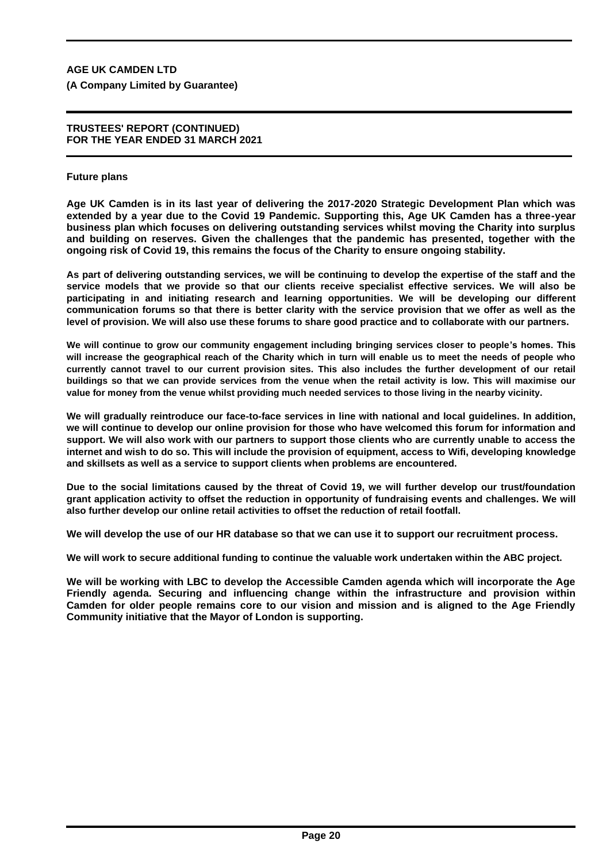**(A Company Limited by Guarantee)**

#### **TRUSTEES' REPORT (CONTINUED) FOR THE YEAR ENDED 31 MARCH 2021**

## **Future plans**

**Age UK Camden is in its last year of delivering the 2017-2020 Strategic Development Plan which was extended by a year due to the Covid 19 Pandemic. Supporting this, Age UK Camden has a three-year business plan which focuses on delivering outstanding services whilst moving the Charity into surplus and building on reserves. Given the challenges that the pandemic has presented, together with the ongoing risk of Covid 19, this remains the focus of the Charity to ensure ongoing stability.**

**As part of delivering outstanding services, we will be continuing to develop the expertise of the staff and the service models that we provide so that our clients receive specialist effective services. We will also be participating in and initiating research and learning opportunities. We will be developing our different communication forums so that there is better clarity with the service provision that we offer as well as the level of provision. We will also use these forums to share good practice and to collaborate with our partners.**

**We will continue to grow our community engagement including bringing services closer to people's homes. This will increase the geographical reach of the Charity which in turn will enable us to meet the needs of people who currently cannot travel to our current provision sites. This also includes the further development of our retail buildings so that we can provide services from the venue when the retail activity is low. This will maximise our value for money from the venue whilst providing much needed services to those living in the nearby vicinity.**

**We will gradually reintroduce our face-to-face services in line with national and local guidelines. In addition, we will continue to develop our online provision for those who have welcomed this forum for information and support. We will also work with our partners to support those clients who are currently unable to access the internet and wish to do so. This will include the provision of equipment, access to Wifi, developing knowledge and skillsets as well as a service to support clients when problems are encountered.**

**Due to the social limitations caused by the threat of Covid 19, we will further develop our trust/foundation grant application activity to offset the reduction in opportunity of fundraising events and challenges. We will also further develop our online retail activities to offset the reduction of retail footfall.**

**We will develop the use of our HR database so that we can use it to support our recruitment process.**

**We will work to secure additional funding to continue the valuable work undertaken within the ABC project.**

**We will be working with LBC to develop the Accessible Camden agenda which will incorporate the Age Friendly agenda. Securing and influencing change within the infrastructure and provision within Camden for older people remains core to our vision and mission and is aligned to the Age Friendly Community initiative that the Mayor of London is supporting.**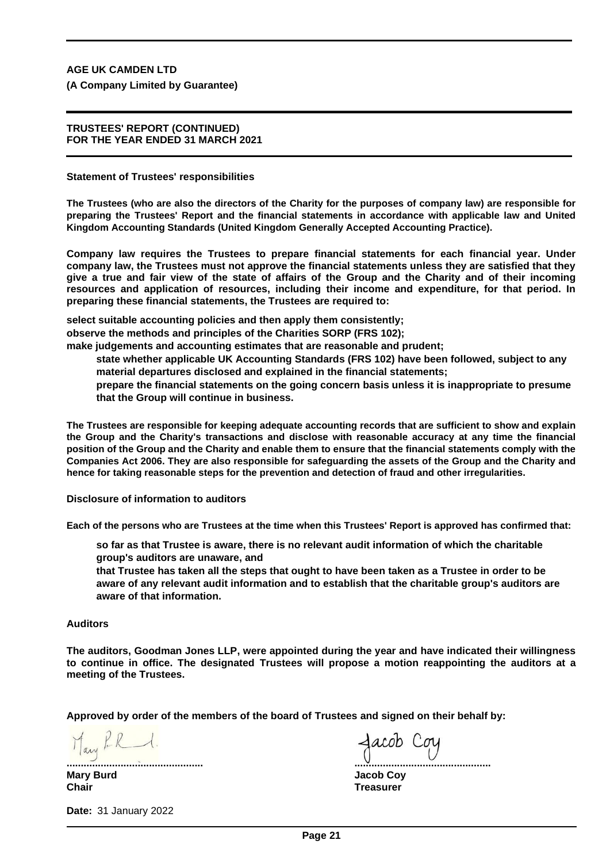**(A Company Limited by Guarantee)**

#### **TRUSTEES' REPORT (CONTINUED) FOR THE YEAR ENDED 31 MARCH 2021**

**Statement of Trustees' responsibilities**

**The Trustees (who are also the directors of the Charity for the purposes of company law) are responsible for preparing the Trustees' Report and the financial statements in accordance with applicable law and United Kingdom Accounting Standards (United Kingdom Generally Accepted Accounting Practice).**

**Company law requires the Trustees to prepare financial statements for each financial year. Under company law, the Trustees must not approve the financial statements unless they are satisfied that they give a true and fair view of the state of affairs of the Group and the Charity and of their incoming resources and application of resources, including their income and expenditure, for that period. In preparing these financial statements, the Trustees are required to:**

**select suitable accounting policies and then apply them consistently;**

**observe the methods and principles of the Charities SORP (FRS 102);**

**make judgements and accounting estimates that are reasonable and prudent;**

**state whether applicable UK Accounting Standards (FRS 102) have been followed, subject to any material departures disclosed and explained in the financial statements;**

**prepare the financial statements on the going concern basis unless it is inappropriate to presume that the Group will continue in business.**

**The Trustees are responsible for keeping adequate accounting records that are sufficient to show and explain the Group and the Charity's transactions and disclose with reasonable accuracy at any time the financial position of the Group and the Charity and enable them to ensure that the financial statements comply with the Companies Act 2006. They are also responsible for safeguarding the assets of the Group and the Charity and hence for taking reasonable steps for the prevention and detection of fraud and other irregularities.**

**Disclosure of information to auditors**

**Each of the persons who are Trustees at the time when this Trustees' Report is approved has confirmed that:**

**so far as that Trustee is aware, there is no relevant audit information of which the charitable group's auditors are unaware, and**

**that Trustee has taken all the steps that ought to have been taken as a Trustee in order to be aware of any relevant audit information and to establish that the charitable group's auditors are aware of that information.**

#### **Auditors**

**The auditors, Goodman Jones LLP, were appointed during the year and have indicated their willingness to continue in office. The designated Trustees will propose a motion reappointing the auditors at a meeting of the Trustees.**

**Approved by order of the members of the board of Trustees and signed on their behalf by:**

May PR 1.

**................................................ ................................................ Mary Burd Jacob Coy Chair Treasurer**

**Date:** 31 January 2022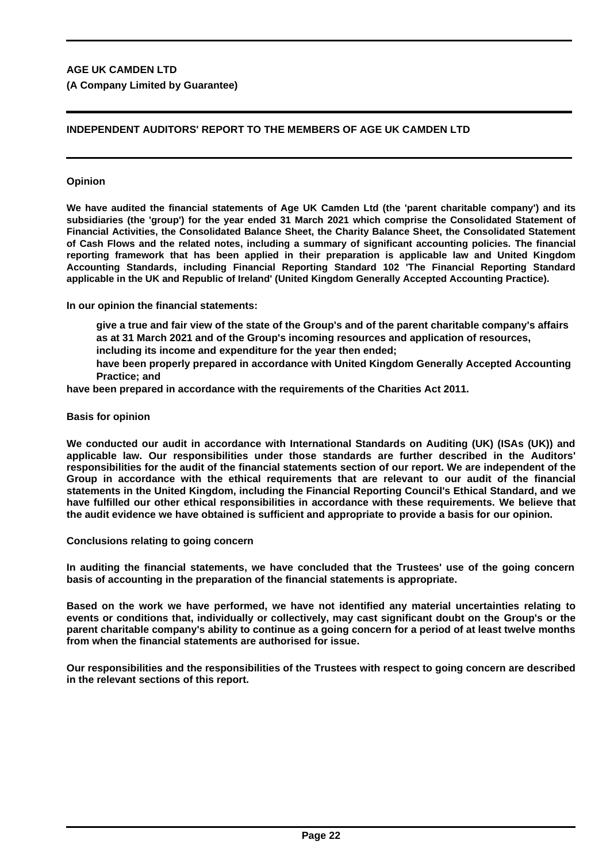# **INDEPENDENT AUDITORS' REPORT TO THE MEMBERS OF AGE UK CAMDEN LTD**

# **Opinion**

**We have audited the financial statements of Age UK Camden Ltd (the 'parent charitable company') and its subsidiaries (the 'group') for the year ended 31 March 2021 which comprise the Consolidated Statement of Financial Activities, the Consolidated Balance Sheet, the Charity Balance Sheet, the Consolidated Statement of Cash Flows and the related notes, including a summary of significant accounting policies. The financial reporting framework that has been applied in their preparation is applicable law and United Kingdom Accounting Standards, including Financial Reporting Standard 102 'The Financial Reporting Standard applicable in the UK and Republic of Ireland' (United Kingdom Generally Accepted Accounting Practice).**

**In our opinion the financial statements:**

- **give a true and fair view of the state of the Group's and of the parent charitable company's affairs as at 31 March 2021 and of the Group's incoming resources and application of resources,**
- **including its income and expenditure for the year then ended;**
- **have been properly prepared in accordance with United Kingdom Generally Accepted Accounting Practice; and**

**have been prepared in accordance with the requirements of the Charities Act 2011.**

#### **Basis for opinion**

**We conducted our audit in accordance with International Standards on Auditing (UK) (ISAs (UK)) and applicable law. Our responsibilities under those standards are further described in the Auditors' responsibilities for the audit of the financial statements section of our report. We are independent of the Group in accordance with the ethical requirements that are relevant to our audit of the financial statements in the United Kingdom, including the Financial Reporting Council's Ethical Standard, and we have fulfilled our other ethical responsibilities in accordance with these requirements. We believe that the audit evidence we have obtained is sufficient and appropriate to provide a basis for our opinion.**

**Conclusions relating to going concern**

**In auditing the financial statements, we have concluded that the Trustees' use of the going concern basis of accounting in the preparation of the financial statements is appropriate.**

**Based on the work we have performed, we have not identified any material uncertainties relating to events or conditions that, individually or collectively, may cast significant doubt on the Group's or the parent charitable company's ability to continue as a going concern for a period of at least twelve months from when the financial statements are authorised for issue.**

**Our responsibilities and the responsibilities of the Trustees with respect to going concern are described in the relevant sections of this report.**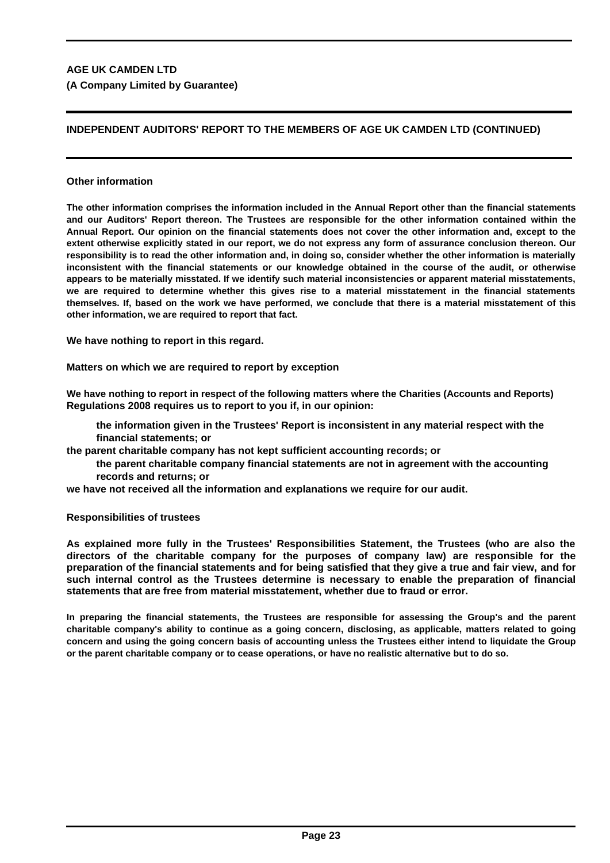# **INDEPENDENT AUDITORS' REPORT TO THE MEMBERS OF AGE UK CAMDEN LTD (CONTINUED)**

# **Other information**

**The other information comprises the information included in the Annual Report other than the financial statements and our Auditors' Report thereon. The Trustees are responsible for the other information contained within the Annual Report. Our opinion on the financial statements does not cover the other information and, except to the extent otherwise explicitly stated in our report, we do not express any form of assurance conclusion thereon. Our responsibility is to read the other information and, in doing so, consider whether the other information is materially inconsistent with the financial statements or our knowledge obtained in the course of the audit, or otherwise appears to be materially misstated. If we identify such material inconsistencies or apparent material misstatements, we are required to determine whether this gives rise to a material misstatement in the financial statements themselves. If, based on the work we have performed, we conclude that there is a material misstatement of this other information, we are required to report that fact.**

**We have nothing to report in this regard.**

**Matters on which we are required to report by exception**

**We have nothing to report in respect of the following matters where the Charities (Accounts and Reports) Regulations 2008 requires us to report to you if, in our opinion:**

**the information given in the Trustees' Report is inconsistent in any material respect with the financial statements; or**

**the parent charitable company has not kept sufficient accounting records; or**

**the parent charitable company financial statements are not in agreement with the accounting records and returns; or**

**we have not received all the information and explanations we require for our audit.**

**Responsibilities of trustees**

**As explained more fully in the Trustees' Responsibilities Statement, the Trustees (who are also the directors of the charitable company for the purposes of company law) are responsible for the preparation of the financial statements and for being satisfied that they give a true and fair view, and for such internal control as the Trustees determine is necessary to enable the preparation of financial statements that are free from material misstatement, whether due to fraud or error.**

**In preparing the financial statements, the Trustees are responsible for assessing the Group's and the parent charitable company's ability to continue as a going concern, disclosing, as applicable, matters related to going concern and using the going concern basis of accounting unless the Trustees either intend to liquidate the Group or the parent charitable company or to cease operations, or have no realistic alternative but to do so.**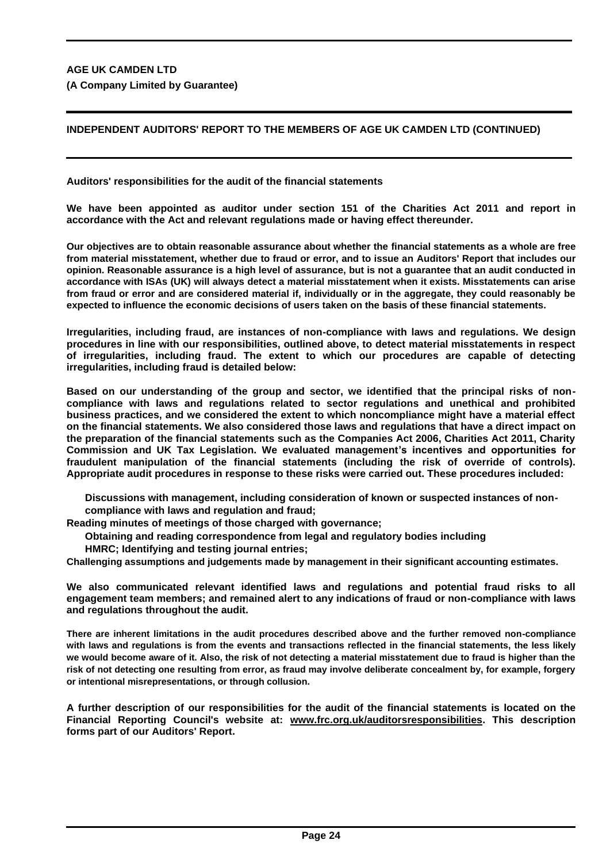# **INDEPENDENT AUDITORS' REPORT TO THE MEMBERS OF AGE UK CAMDEN LTD (CONTINUED)**

**Auditors' responsibilities for the audit of the financial statements**

**We have been appointed as auditor under section 151 of the Charities Act 2011 and report in accordance with the Act and relevant regulations made or having effect thereunder.**

**Our objectives are to obtain reasonable assurance about whether the financial statements as a whole are free from material misstatement, whether due to fraud or error, and to issue an Auditors' Report that includes our opinion. Reasonable assurance is a high level of assurance, but is not a guarantee that an audit conducted in accordance with ISAs (UK) will always detect a material misstatement when it exists. Misstatements can arise from fraud or error and are considered material if, individually or in the aggregate, they could reasonably be expected to influence the economic decisions of users taken on the basis of these financial statements.**

**Irregularities, including fraud, are instances of non-compliance with laws and regulations. We design procedures in line with our responsibilities, outlined above, to detect material misstatements in respect of irregularities, including fraud. The extent to which our procedures are capable of detecting irregularities, including fraud is detailed below:**

**Based on our understanding of the group and sector, we identified that the principal risks of noncompliance with laws and regulations related to sector regulations and unethical and prohibited business practices, and we considered the extent to which noncompliance might have a material effect on the financial statements. We also considered those laws and regulations that have a direct impact on the preparation of the financial statements such as the Companies Act 2006, Charities Act 2011, Charity Commission and UK Tax Legislation. We evaluated management's incentives and opportunities for fraudulent manipulation of the financial statements (including the risk of override of controls). Appropriate audit procedures in response to these risks were carried out. These procedures included:**

**Discussions with management, including consideration of known or suspected instances of noncompliance with laws and regulation and fraud;**

**Reading minutes of meetings of those charged with governance;**

**Obtaining and reading correspondence from legal and regulatory bodies including** 

**HMRC; Identifying and testing journal entries;**

**Challenging assumptions and judgements made by management in their significant accounting estimates.**

**We also communicated relevant identified laws and regulations and potential fraud risks to all engagement team members; and remained alert to any indications of fraud or non-compliance with laws and regulations throughout the audit.**

**There are inherent limitations in the audit procedures described above and the further removed non-compliance with laws and regulations is from the events and transactions reflected in the financial statements, the less likely we would become aware of it. Also, the risk of not detecting a material misstatement due to fraud is higher than the risk of not detecting one resulting from error, as fraud may involve deliberate concealment by, for example, forgery or intentional misrepresentations, or through collusion.**

**A further description of our responsibilities for the audit of the financial statements is located on the Financial Reporting Council's website at: www.frc.org.uk/auditorsresponsibilities. This description forms part of our Auditors' Report.**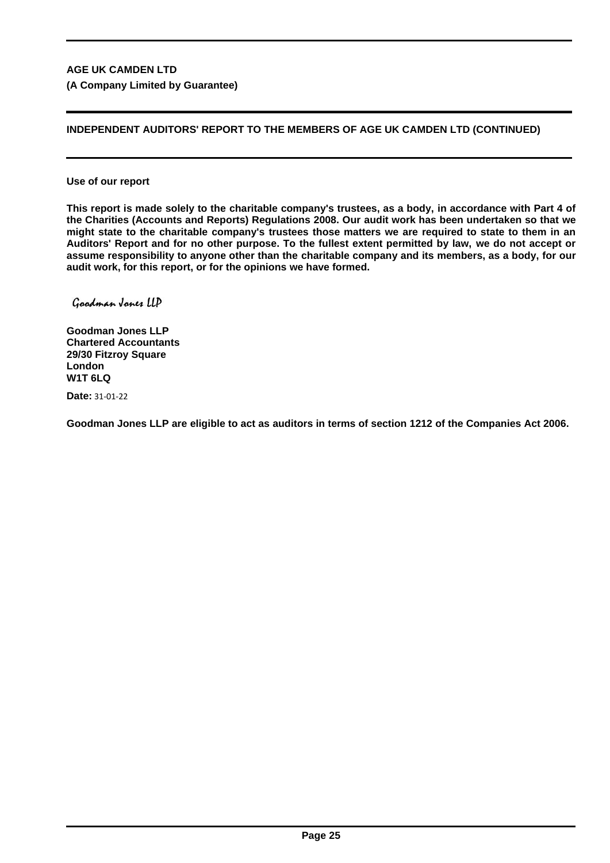# **INDEPENDENT AUDITORS' REPORT TO THE MEMBERS OF AGE UK CAMDEN LTD (CONTINUED)**

**Use of our report**

**This report is made solely to the charitable company's trustees, as a body, in accordance with Part 4 of the Charities (Accounts and Reports) Regulations 2008. Our audit work has been undertaken so that we might state to the charitable company's trustees those matters we are required to state to them in an Auditors' Report and for no other purpose. To the fullest extent permitted by law, we do not accept or assume responsibility to anyone other than the charitable company and its members, as a body, for our audit work, for this report, or for the opinions we have formed.**

Goodman Jones LLD

**Goodman Jones LLP Chartered Accountants 29/30 Fitzroy Square London W1T 6LQ**

**Date:** 31-01-22

**Goodman Jones LLP are eligible to act as auditors in terms of section 1212 of the Companies Act 2006.**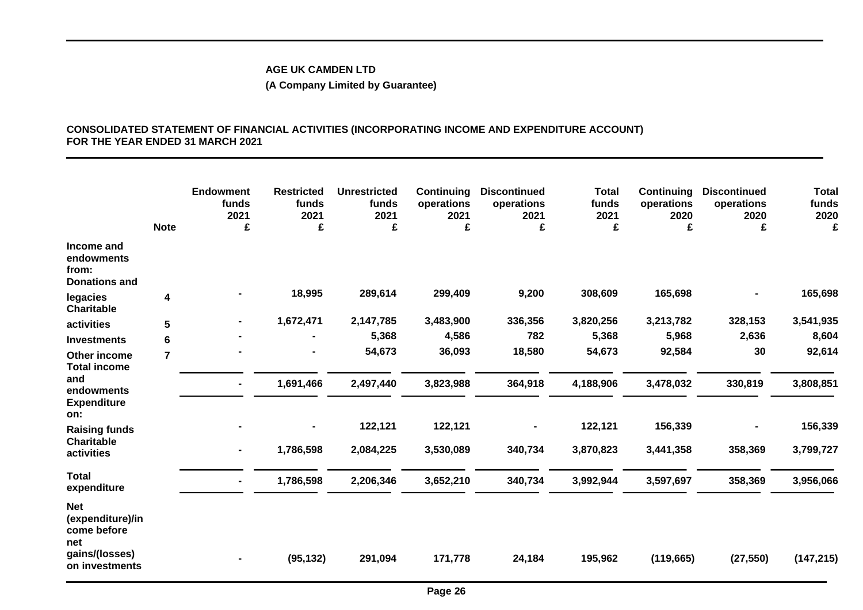# **(A Company Limited by Guarantee)**

# **CONSOLIDATED STATEMENT OF FINANCIAL ACTIVITIES (INCORPORATING INCOME AND EXPENDITURE ACCOUNT) FOR THE YEAR ENDED 31 MARCH 2021**

|                                                                                          | <b>Note</b>    | <b>Endowment</b><br>funds<br>2021<br>£ | <b>Restricted</b><br>funds<br>2021<br>£ | <b>Unrestricted</b><br>funds<br>2021<br>£ | Continuing<br>operations<br>2021<br>£ | <b>Discontinued</b><br>operations<br>2021<br>£ | <b>Total</b><br>funds<br>2021<br>£ | <b>Continuing</b><br>operations<br>2020<br>£ | <b>Discontinued</b><br>operations<br>2020<br>£ | <b>Total</b><br>funds<br>2020<br>£ |
|------------------------------------------------------------------------------------------|----------------|----------------------------------------|-----------------------------------------|-------------------------------------------|---------------------------------------|------------------------------------------------|------------------------------------|----------------------------------------------|------------------------------------------------|------------------------------------|
| Income and<br>endowments<br>from:<br><b>Donations and</b>                                |                |                                        |                                         |                                           |                                       |                                                |                                    |                                              |                                                |                                    |
| legacies<br><b>Charitable</b>                                                            | 4              |                                        | 18,995                                  | 289,614                                   | 299,409                               | 9,200                                          | 308,609                            | 165,698                                      |                                                | 165,698                            |
| activities                                                                               | 5              |                                        | 1,672,471                               | 2,147,785                                 | 3,483,900                             | 336,356                                        | 3,820,256                          | 3,213,782                                    | 328,153                                        | 3,541,935                          |
| <b>Investments</b>                                                                       | 6              |                                        |                                         | 5,368                                     | 4,586                                 | 782                                            | 5,368                              | 5,968                                        | 2,636                                          | 8,604                              |
| Other income<br><b>Total income</b>                                                      | $\overline{7}$ |                                        |                                         | 54,673                                    | 36,093                                | 18,580                                         | 54,673                             | 92,584                                       | 30                                             | 92,614                             |
| and<br>endowments<br><b>Expenditure</b>                                                  |                |                                        | 1,691,466                               | 2,497,440                                 | 3,823,988                             | 364,918                                        | 4,188,906                          | 3,478,032                                    | 330,819                                        | 3,808,851                          |
| on:<br><b>Raising funds</b>                                                              |                |                                        |                                         | 122,121                                   | 122,121                               | $\blacksquare$                                 | 122,121                            | 156,339                                      |                                                | 156,339                            |
| <b>Charitable</b><br>activities                                                          |                |                                        | 1,786,598                               | 2,084,225                                 | 3,530,089                             | 340,734                                        | 3,870,823                          | 3,441,358                                    | 358,369                                        | 3,799,727                          |
| <b>Total</b><br>expenditure                                                              |                |                                        | 1,786,598                               | 2,206,346                                 | 3,652,210                             | 340,734                                        | 3,992,944                          | 3,597,697                                    | 358,369                                        | 3,956,066                          |
| <b>Net</b><br>(expenditure)/in<br>come before<br>net<br>gains/(losses)<br>on investments |                |                                        | (95, 132)                               | 291,094                                   | 171,778                               | 24,184                                         | 195,962                            | (119, 665)                                   | (27, 550)                                      | (147, 215)                         |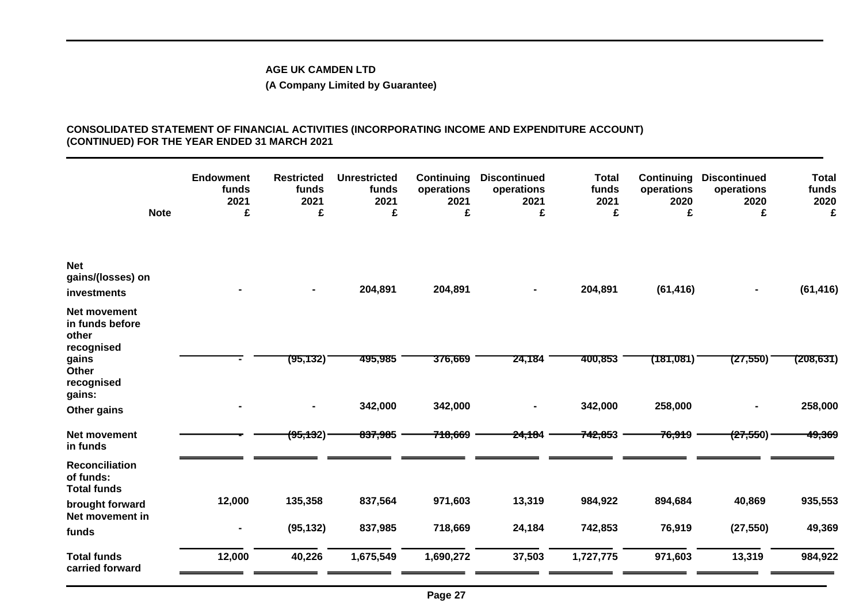# **(A Company Limited by Guarantee)**

#### **CONSOLIDATED STATEMENT OF FINANCIAL ACTIVITIES (INCORPORATING INCOME AND EXPENDITURE ACCOUNT) (CONTINUED) FOR THE YEAR ENDED 31 MARCH 2021**

|                                                                                                         | <b>Note</b> | <b>Endowment</b><br>funds<br>2021<br>£ | <b>Restricted</b><br>funds<br>2021<br>£ | <b>Unrestricted</b><br>funds<br>2021<br>£ | Continuing<br>operations<br>2021<br>£ | <b>Discontinued</b><br>operations<br>2021<br>£ | <b>Total</b><br>funds<br>2021<br>£ | <b>Continuing</b><br>operations<br>2020<br>£ | <b>Discontinued</b><br>operations<br>2020<br>£ | <b>Total</b><br>funds<br>2020<br>£ |
|---------------------------------------------------------------------------------------------------------|-------------|----------------------------------------|-----------------------------------------|-------------------------------------------|---------------------------------------|------------------------------------------------|------------------------------------|----------------------------------------------|------------------------------------------------|------------------------------------|
| <b>Net</b><br>gains/(losses) on<br>investments                                                          |             |                                        |                                         | 204,891                                   | 204,891                               | $\blacksquare$                                 | 204,891                            | (61, 416)                                    |                                                | (61, 416)                          |
| Net movement<br>in funds before<br>other<br>recognised<br>gains<br>Other<br>recognised<br>gains:        |             |                                        | (95,132)                                | 495,985                                   | 376,669                               | 24,184                                         | 400,853                            | (181,081)                                    | (27,550)                                       | (208,631)                          |
| Other gains                                                                                             |             |                                        |                                         | 342,000                                   | 342,000                               | $\blacksquare$                                 | 342,000                            | 258,000                                      |                                                | 258,000                            |
| Net movement<br>in funds                                                                                |             |                                        | (95, 132)                               | 837,985                                   | 718,669                               | <del>24,18</del> 4                             | 742,853                            | <del>76,91</del> 9                           | (27,550)                                       | 49,369                             |
| <b>Reconciliation</b><br>of funds:<br><b>Total funds</b><br>brought forward<br>Net movement in<br>funds |             | 12,000<br>٠                            | 135,358<br>(95, 132)                    | 837,564<br>837,985                        | 971,603<br>718,669                    | 13,319<br>24,184                               | 984,922<br>742,853                 | 894,684<br>76,919                            | 40,869<br>(27, 550)                            | 935,553<br>49,369                  |
| <b>Total funds</b><br>carried forward                                                                   |             | 12,000                                 | 40,226                                  | 1,675,549                                 | 1,690,272                             | 37,503                                         | 1,727,775                          | 971,603                                      | 13,319                                         | 984,922                            |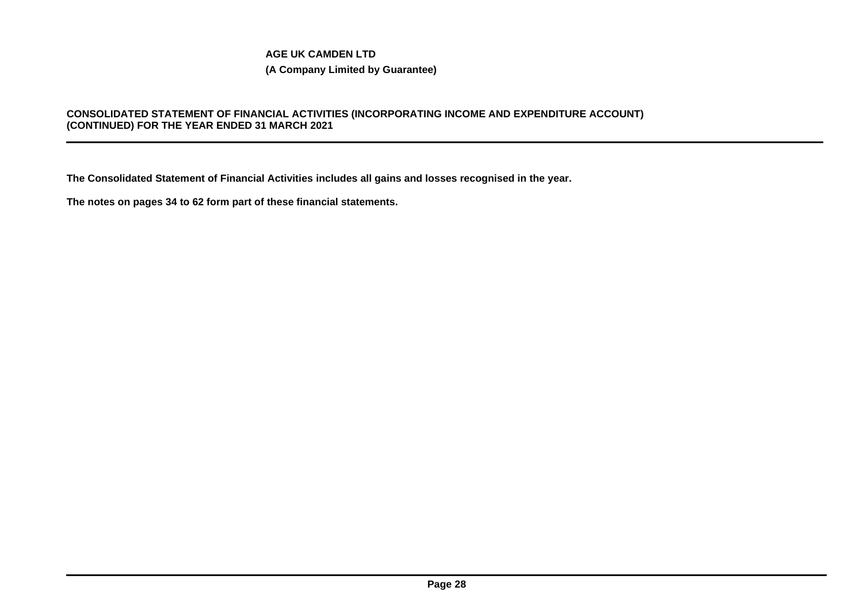# **(A Company Limited by Guarantee)**

# **CONSOLIDATED STATEMENT OF FINANCIAL ACTIVITIES (INCORPORATING INCOME AND EXPENDITURE ACCOUNT) (CONTINUED) FOR THE YEAR ENDED 31 MARCH 2021**

**The Consolidated Statement of Financial Activities includes all gains and losses recognised in the year.**

**The notes on pages 34 to 62 form part of these financial statements.**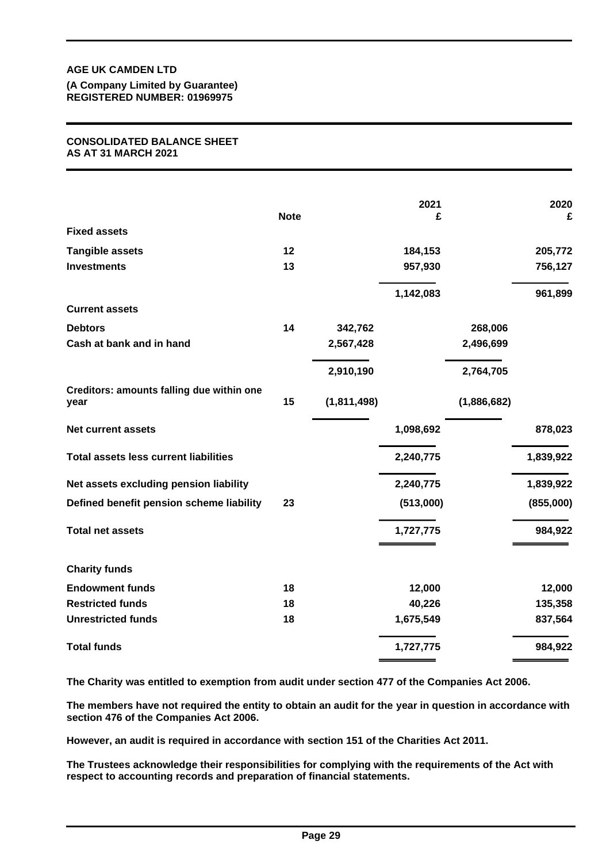**(A Company Limited by Guarantee) REGISTERED NUMBER: 01969975**

#### **CONSOLIDATED BALANCE SHEET AS AT 31 MARCH 2021**

|                                                   | <b>Note</b> |             | 2021<br>£ |             | 2020<br>£ |
|---------------------------------------------------|-------------|-------------|-----------|-------------|-----------|
| <b>Fixed assets</b>                               |             |             |           |             |           |
| <b>Tangible assets</b>                            | 12          |             | 184,153   |             | 205,772   |
| <b>Investments</b>                                | 13          |             | 957,930   |             | 756,127   |
|                                                   |             |             | 1,142,083 |             | 961,899   |
| <b>Current assets</b>                             |             |             |           |             |           |
| <b>Debtors</b>                                    | 14          | 342,762     |           | 268,006     |           |
| Cash at bank and in hand                          |             | 2,567,428   |           | 2,496,699   |           |
|                                                   |             | 2,910,190   |           | 2,764,705   |           |
| Creditors: amounts falling due within one<br>year | 15          | (1,811,498) |           | (1,886,682) |           |
| <b>Net current assets</b>                         |             |             | 1,098,692 |             | 878,023   |
| <b>Total assets less current liabilities</b>      |             |             | 2,240,775 |             | 1,839,922 |
| Net assets excluding pension liability            |             |             | 2,240,775 |             | 1,839,922 |
| Defined benefit pension scheme liability          | 23          |             | (513,000) |             | (855,000) |
| <b>Total net assets</b>                           |             |             | 1,727,775 |             | 984,922   |
| <b>Charity funds</b>                              |             |             |           |             |           |
| <b>Endowment funds</b>                            | 18          |             | 12,000    |             | 12,000    |
| <b>Restricted funds</b>                           | 18          |             | 40,226    |             | 135,358   |
| <b>Unrestricted funds</b>                         | 18          |             | 1,675,549 |             | 837,564   |
| <b>Total funds</b>                                |             |             | 1,727,775 |             | 984,922   |

**The Charity was entitled to exemption from audit under section 477 of the Companies Act 2006.**

**The members have not required the entity to obtain an audit for the year in question in accordance with section 476 of the Companies Act 2006.**

**However, an audit is required in accordance with section 151 of the Charities Act 2011.**

**The Trustees acknowledge their responsibilities for complying with the requirements of the Act with respect to accounting records and preparation of financial statements.**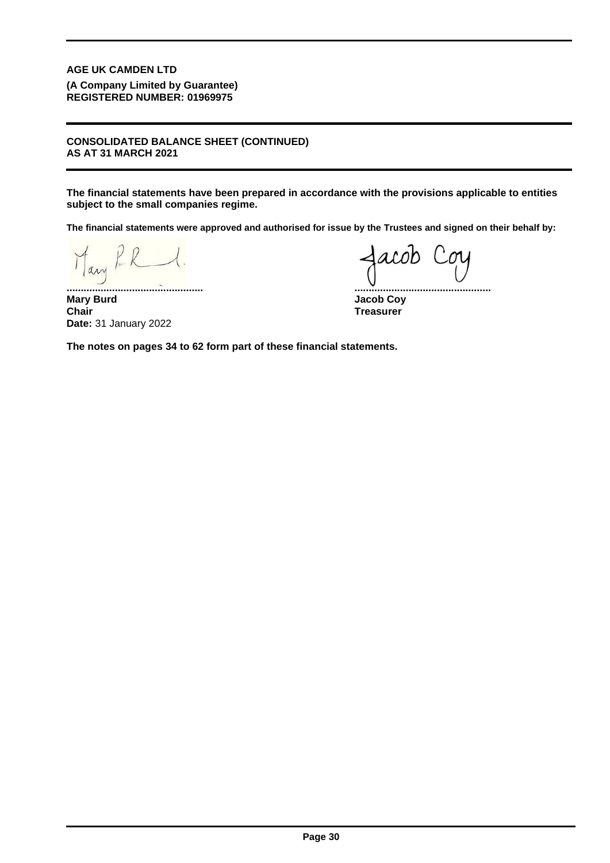**(A Company Limited by Guarantee) REGISTERED NUMBER: 01969975**

#### **CONSOLIDATED BALANCE SHEET (CONTINUED) AS AT 31 MARCH 2021**

**The financial statements have been prepared in accordance with the provisions applicable to entities subject to the small companies regime.**

**The financial statements were approved and authorised for issue by the Trustees and signed on their behalf by:**

any

**Mary Burd Jacob Coy Chair** 31 January 2022 **Date:**

**................................................ ................................................**

**Treasurer**

**The notes on pages 34 to 62 form part of these financial statements.**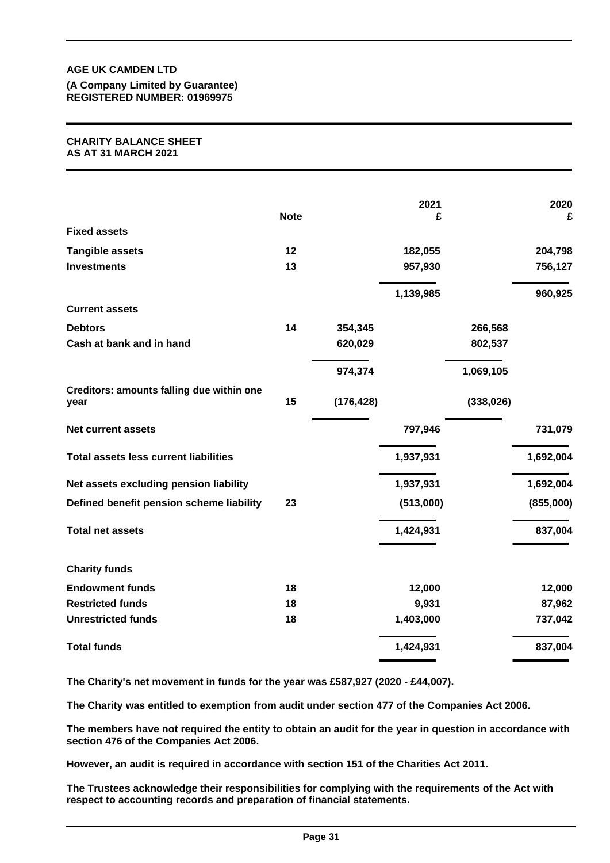**(A Company Limited by Guarantee) REGISTERED NUMBER: 01969975**

#### **CHARITY BALANCE SHEET AS AT 31 MARCH 2021**

|                                                   | <b>Note</b> |            | 2021<br>£ |            | 2020<br>£ |
|---------------------------------------------------|-------------|------------|-----------|------------|-----------|
| <b>Fixed assets</b>                               |             |            |           |            |           |
| <b>Tangible assets</b>                            | 12          |            | 182,055   |            | 204,798   |
| <b>Investments</b>                                | 13          |            | 957,930   |            | 756,127   |
|                                                   |             |            | 1,139,985 |            | 960,925   |
| <b>Current assets</b>                             |             |            |           |            |           |
| <b>Debtors</b>                                    | 14          | 354,345    |           | 266,568    |           |
| Cash at bank and in hand                          |             | 620,029    |           | 802,537    |           |
|                                                   |             | 974,374    |           | 1,069,105  |           |
| Creditors: amounts falling due within one<br>year | 15          | (176, 428) |           | (338, 026) |           |
| <b>Net current assets</b>                         |             |            | 797,946   |            | 731,079   |
| <b>Total assets less current liabilities</b>      |             |            | 1,937,931 |            | 1,692,004 |
| Net assets excluding pension liability            |             |            | 1,937,931 |            | 1,692,004 |
| Defined benefit pension scheme liability          | 23          |            | (513,000) |            | (855,000) |
| <b>Total net assets</b>                           |             |            | 1,424,931 |            | 837,004   |
| <b>Charity funds</b>                              |             |            |           |            |           |
| <b>Endowment funds</b>                            | 18          |            | 12,000    |            | 12,000    |
| <b>Restricted funds</b>                           | 18          |            | 9,931     |            | 87,962    |
| <b>Unrestricted funds</b>                         | 18          |            | 1,403,000 |            | 737,042   |
| <b>Total funds</b>                                |             |            | 1,424,931 |            | 837,004   |

**The Charity's net movement in funds for the year was £587,927 (2020 - £44,007).**

**The Charity was entitled to exemption from audit under section 477 of the Companies Act 2006.**

**The members have not required the entity to obtain an audit for the year in question in accordance with section 476 of the Companies Act 2006.**

**However, an audit is required in accordance with section 151 of the Charities Act 2011.**

**The Trustees acknowledge their responsibilities for complying with the requirements of the Act with respect to accounting records and preparation of financial statements.**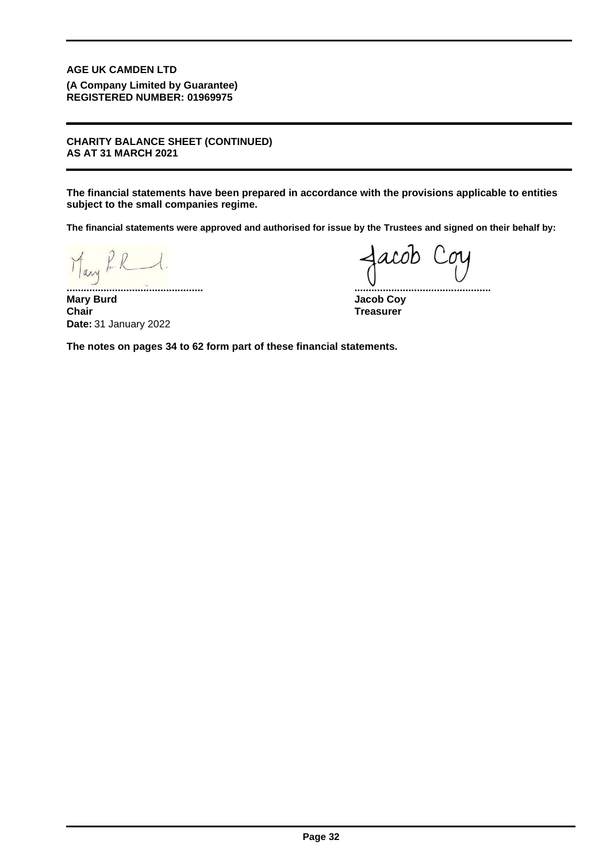**(A Company Limited by Guarantee) REGISTERED NUMBER: 01969975**

**CHARITY BALANCE SHEET (CONTINUED) AS AT 31 MARCH 2021**

**The financial statements have been prepared in accordance with the provisions applicable to entities subject to the small companies regime.**

**The financial statements were approved and authorised for issue by the Trustees and signed on their behalf by:**

Mary RR

**................................................ ................................................ Mary Burd Jacob Coy Chair** 31 January 2022 **Date:**

**Treasurer**

**The notes on pages 34 to 62 form part of these financial statements.**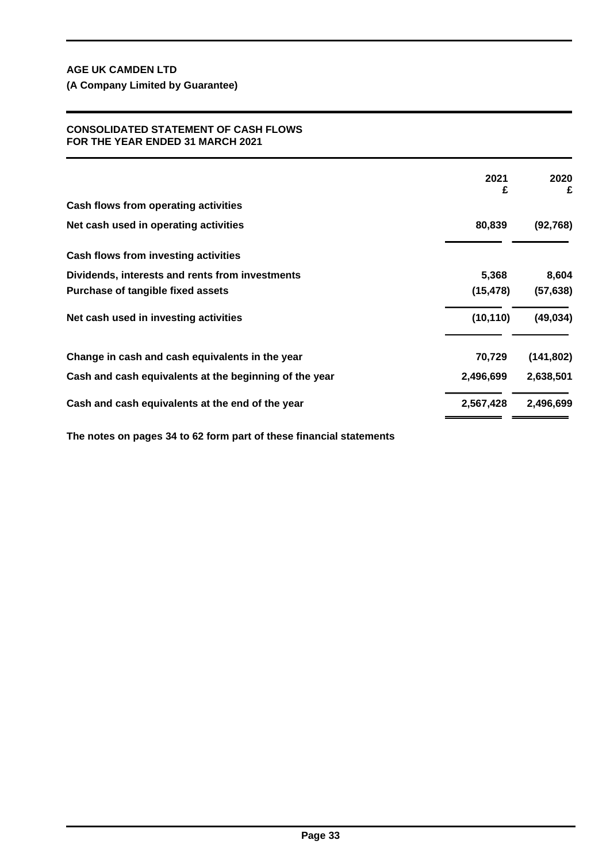**(A Company Limited by Guarantee)**

## **CONSOLIDATED STATEMENT OF CASH FLOWS FOR THE YEAR ENDED 31 MARCH 2021**

|                                                        | 2021<br>£ | 2020<br>£  |
|--------------------------------------------------------|-----------|------------|
| Cash flows from operating activities                   |           |            |
| Net cash used in operating activities                  | 80,839    | (92, 768)  |
| Cash flows from investing activities                   |           |            |
| Dividends, interests and rents from investments        | 5,368     | 8,604      |
| Purchase of tangible fixed assets                      | (15, 478) | (57, 638)  |
| Net cash used in investing activities                  | (10, 110) | (49, 034)  |
| Change in cash and cash equivalents in the year        | 70,729    | (141, 802) |
| Cash and cash equivalents at the beginning of the year | 2,496,699 | 2,638,501  |
| Cash and cash equivalents at the end of the year       | 2,567,428 | 2,496,699  |

**The notes on pages 34 to 62 form part of these financial statements**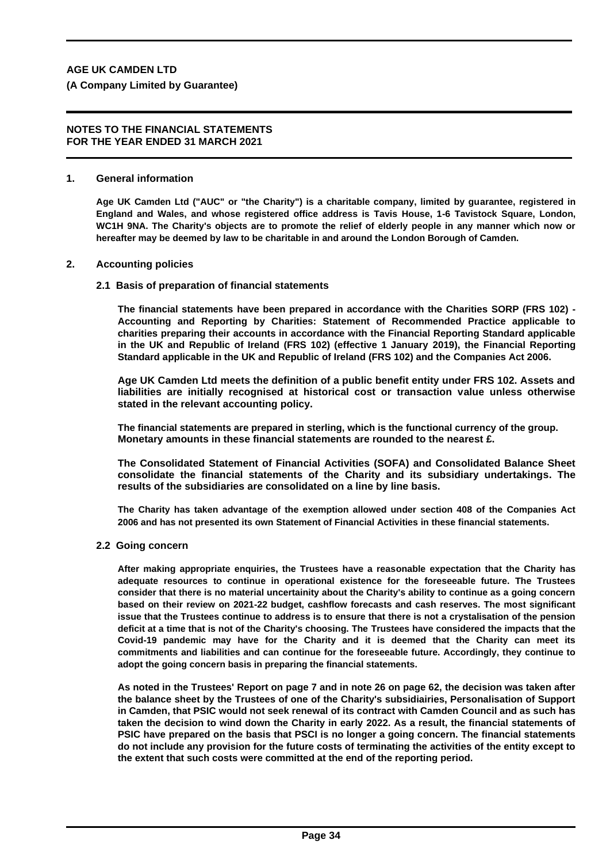#### **NOTES TO THE FINANCIAL STATEMENTS FOR THE YEAR ENDED 31 MARCH 2021**

#### **1. General information**

**Age UK Camden Ltd ("AUC" or "the Charity") is a charitable company, limited by guarantee, registered in England and Wales, and whose registered office address is Tavis House, 1-6 Tavistock Square, London, WC1H 9NA. The Charity's objects are to promote the relief of elderly people in any manner which now or hereafter may be deemed by law to be charitable in and around the London Borough of Camden.**

#### **2. Accounting policies**

#### **2.1 Basis of preparation of financial statements**

**The financial statements have been prepared in accordance with the Charities SORP (FRS 102) - Accounting and Reporting by Charities: Statement of Recommended Practice applicable to charities preparing their accounts in accordance with the Financial Reporting Standard applicable in the UK and Republic of Ireland (FRS 102) (effective 1 January 2019), the Financial Reporting Standard applicable in the UK and Republic of Ireland (FRS 102) and the Companies Act 2006.**

**Age UK Camden Ltd meets the definition of a public benefit entity under FRS 102. Assets and liabilities are initially recognised at historical cost or transaction value unless otherwise stated in the relevant accounting policy.**

**The financial statements are prepared in sterling, which is the functional currency of the group. Monetary amounts in these financial statements are rounded to the nearest £.**

**The Consolidated Statement of Financial Activities (SOFA) and Consolidated Balance Sheet consolidate the financial statements of the Charity and its subsidiary undertakings. The results of the subsidiaries are consolidated on a line by line basis.**

**The Charity has taken advantage of the exemption allowed under section 408 of the Companies Act 2006 and has not presented its own Statement of Financial Activities in these financial statements.**

#### **2.2 Going concern**

**After making appropriate enquiries, the Trustees have a reasonable expectation that the Charity has adequate resources to continue in operational existence for the foreseeable future. The Trustees consider that there is no material uncertainity about the Charity's ability to continue as a going concern based on their review on 2021-22 budget, cashflow forecasts and cash reserves. The most significant issue that the Trustees continue to address is to ensure that there is not a crystalisation of the pension deficit at a time that is not of the Charity's choosing. The Trustees have considered the impacts that the Covid-19 pandemic may have for the Charity and it is deemed that the Charity can meet its commitments and liabilities and can continue for the foreseeable future. Accordingly, they continue to adopt the going concern basis in preparing the financial statements.**

**As noted in the Trustees' Report on page 7 and in note 26 on page 62, the decision was taken after the balance sheet by the Trustees of one of the Charity's subsidiairies, Personalisation of Support in Camden, that PSIC would not seek renewal of its contract with Camden Council and as such has taken the decision to wind down the Charity in early 2022. As a result, the financial statements of PSIC have prepared on the basis that PSCI is no longer a going concern. The financial statements do not include any provision for the future costs of terminating the activities of the entity except to the extent that such costs were committed at the end of the reporting period.**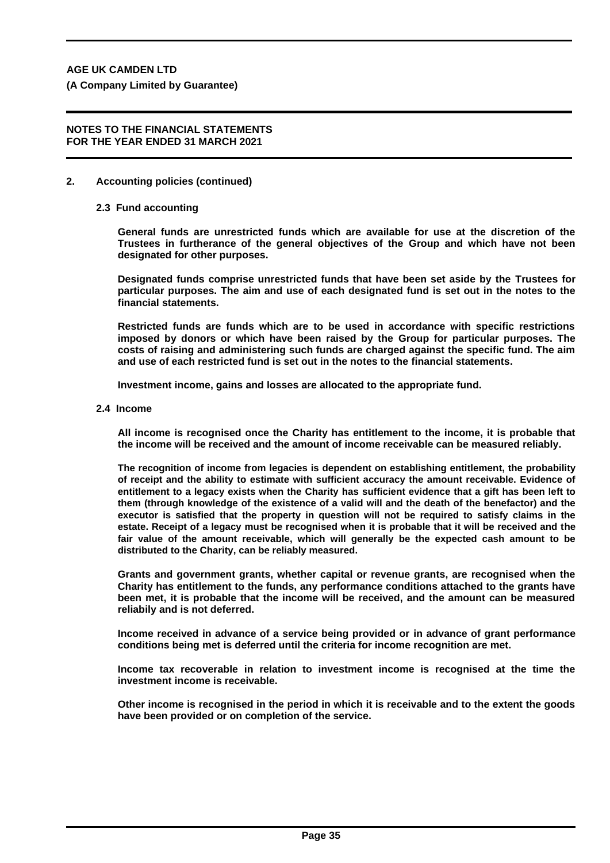**(A Company Limited by Guarantee)**

#### **NOTES TO THE FINANCIAL STATEMENTS FOR THE YEAR ENDED 31 MARCH 2021**

#### **2. Accounting policies (continued)**

#### **2.3 Fund accounting**

**General funds are unrestricted funds which are available for use at the discretion of the Trustees in furtherance of the general objectives of the Group and which have not been designated for other purposes.**

**Designated funds comprise unrestricted funds that have been set aside by the Trustees for particular purposes. The aim and use of each designated fund is set out in the notes to the financial statements.**

**Restricted funds are funds which are to be used in accordance with specific restrictions imposed by donors or which have been raised by the Group for particular purposes. The costs of raising and administering such funds are charged against the specific fund. The aim and use of each restricted fund is set out in the notes to the financial statements.**

**Investment income, gains and losses are allocated to the appropriate fund.**

**2.4 Income**

**All income is recognised once the Charity has entitlement to the income, it is probable that the income will be received and the amount of income receivable can be measured reliably.**

**The recognition of income from legacies is dependent on establishing entitlement, the probability of receipt and the ability to estimate with sufficient accuracy the amount receivable. Evidence of entitlement to a legacy exists when the Charity has sufficient evidence that a gift has been left to them (through knowledge of the existence of a valid will and the death of the benefactor) and the executor is satisfied that the property in question will not be required to satisfy claims in the estate. Receipt of a legacy must be recognised when it is probable that it will be received and the fair value of the amount receivable, which will generally be the expected cash amount to be distributed to the Charity, can be reliably measured.**

**Grants and government grants, whether capital or revenue grants, are recognised when the Charity has entitlement to the funds, any performance conditions attached to the grants have been met, it is probable that the income will be received, and the amount can be measured reliabily and is not deferred.**

**Income received in advance of a service being provided or in advance of grant performance conditions being met is deferred until the criteria for income recognition are met.**

**Income tax recoverable in relation to investment income is recognised at the time the investment income is receivable.**

**Other income is recognised in the period in which it is receivable and to the extent the goods have been provided or on completion of the service.**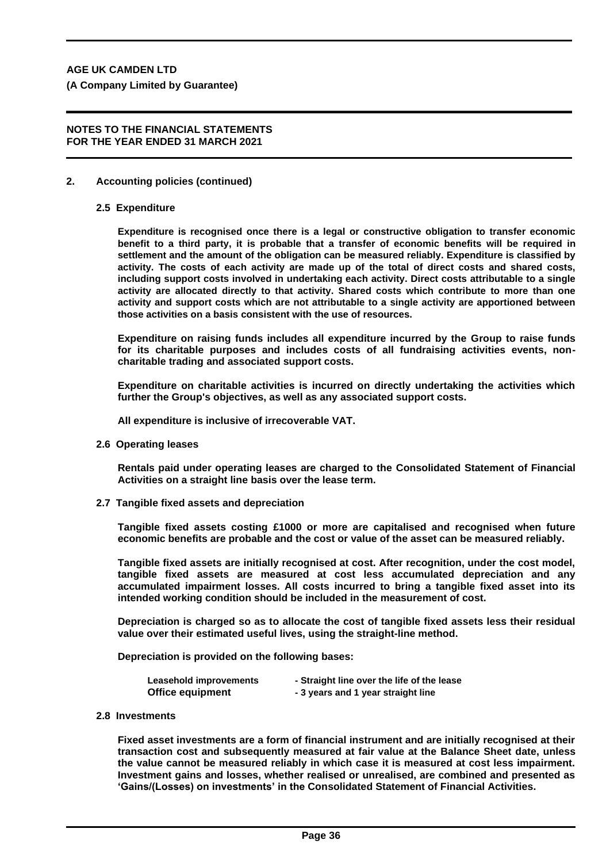**(A Company Limited by Guarantee)**

#### **NOTES TO THE FINANCIAL STATEMENTS FOR THE YEAR ENDED 31 MARCH 2021**

#### **2. Accounting policies (continued)**

#### **2.5 Expenditure**

**Expenditure is recognised once there is a legal or constructive obligation to transfer economic benefit to a third party, it is probable that a transfer of economic benefits will be required in settlement and the amount of the obligation can be measured reliably. Expenditure is classified by activity. The costs of each activity are made up of the total of direct costs and shared costs, including support costs involved in undertaking each activity. Direct costs attributable to a single activity are allocated directly to that activity. Shared costs which contribute to more than one activity and support costs which are not attributable to a single activity are apportioned between those activities on a basis consistent with the use of resources.**

**Expenditure on raising funds includes all expenditure incurred by the Group to raise funds for its charitable purposes and includes costs of all fundraising activities events, noncharitable trading and associated support costs.**

**Expenditure on charitable activities is incurred on directly undertaking the activities which further the Group's objectives, as well as any associated support costs.**

**All expenditure is inclusive of irrecoverable VAT.**

**2.6 Operating leases**

**Rentals paid under operating leases are charged to the Consolidated Statement of Financial Activities on a straight line basis over the lease term.**

**2.7 Tangible fixed assets and depreciation**

**Tangible fixed assets costing £1000 or more are capitalised and recognised when future economic benefits are probable and the cost or value of the asset can be measured reliably.**

**Tangible fixed assets are initially recognised at cost. After recognition, under the cost model, tangible fixed assets are measured at cost less accumulated depreciation and any accumulated impairment losses. All costs incurred to bring a tangible fixed asset into its intended working condition should be included in the measurement of cost.**

**Depreciation is charged so as to allocate the cost of tangible fixed assets less their residual value over their estimated useful lives, using the straight-line method.**

**Depreciation is provided on the following bases:**

| Leasehold improvements  | - Straight line over the life of the lease |
|-------------------------|--------------------------------------------|
| <b>Office equipment</b> | - 3 years and 1 year straight line         |

**2.8 Investments**

**Fixed asset investments are a form of financial instrument and are initially recognised at their transaction cost and subsequently measured at fair value at the Balance Sheet date, unless the value cannot be measured reliably in which case it is measured at cost less impairment. Investment gains and losses, whether realised or unrealised, are combined and presented as 'Gains/(Losses) on investments' in the Consolidated Statement of Financial Activities.**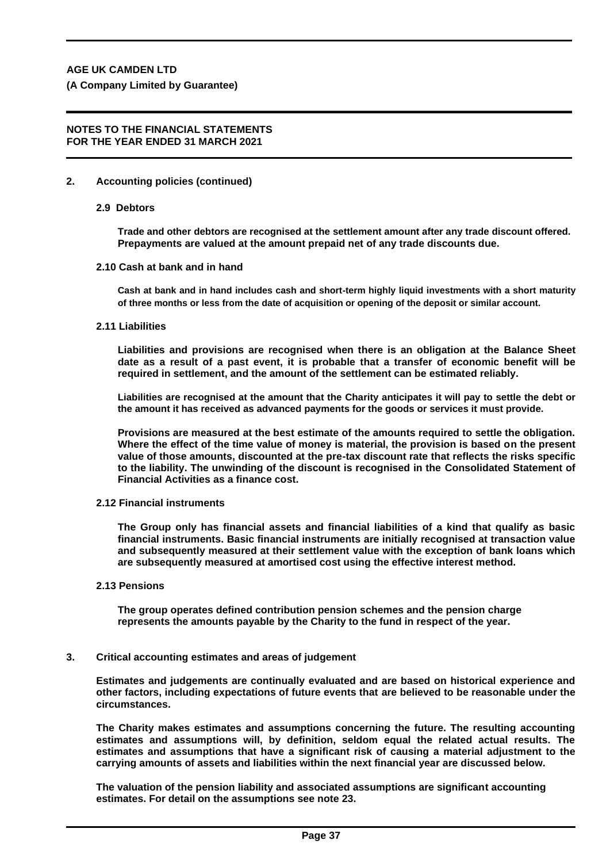## **NOTES TO THE FINANCIAL STATEMENTS FOR THE YEAR ENDED 31 MARCH 2021**

# **2. Accounting policies (continued)**

# **2.9 Debtors**

**Trade and other debtors are recognised at the settlement amount after any trade discount offered. Prepayments are valued at the amount prepaid net of any trade discounts due.**

# **2.10 Cash at bank and in hand**

**Cash at bank and in hand includes cash and short-term highly liquid investments with a short maturity of three months or less from the date of acquisition or opening of the deposit or similar account.**

# **2.11 Liabilities**

**Liabilities and provisions are recognised when there is an obligation at the Balance Sheet date as a result of a past event, it is probable that a transfer of economic benefit will be required in settlement, and the amount of the settlement can be estimated reliably.**

**Liabilities are recognised at the amount that the Charity anticipates it will pay to settle the debt or the amount it has received as advanced payments for the goods or services it must provide.**

**Provisions are measured at the best estimate of the amounts required to settle the obligation. Where the effect of the time value of money is material, the provision is based on the present value of those amounts, discounted at the pre-tax discount rate that reflects the risks specific to the liability. The unwinding of the discount is recognised in the Consolidated Statement of Financial Activities as a finance cost.**

# **2.12 Financial instruments**

**The Group only has financial assets and financial liabilities of a kind that qualify as basic financial instruments. Basic financial instruments are initially recognised at transaction value and subsequently measured at their settlement value with the exception of bank loans which are subsequently measured at amortised cost using the effective interest method.**

# **2.13 Pensions**

**The group operates defined contribution pension schemes and the pension charge represents the amounts payable by the Charity to the fund in respect of the year.**

# **3. Critical accounting estimates and areas of judgement**

**Estimates and judgements are continually evaluated and are based on historical experience and other factors, including expectations of future events that are believed to be reasonable under the circumstances.**

**The Charity makes estimates and assumptions concerning the future. The resulting accounting estimates and assumptions will, by definition, seldom equal the related actual results. The estimates and assumptions that have a significant risk of causing a material adjustment to the carrying amounts of assets and liabilities within the next financial year are discussed below.**

**The valuation of the pension liability and associated assumptions are significant accounting estimates. For detail on the assumptions see note 23.**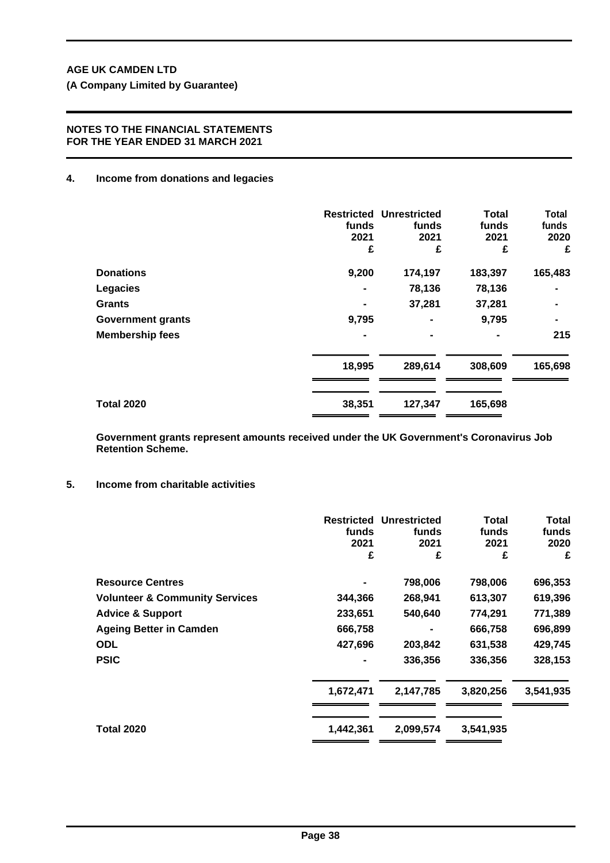# **NOTES TO THE FINANCIAL STATEMENTS FOR THE YEAR ENDED 31 MARCH 2021**

# **4. Income from donations and legacies**

|                          | funds<br>2021<br>£ | <b>Restricted Unrestricted</b><br>funds<br>2021<br>£ | <b>Total</b><br>funds<br>2021<br>£ | <b>Total</b><br>funds<br>2020<br>£ |
|--------------------------|--------------------|------------------------------------------------------|------------------------------------|------------------------------------|
| <b>Donations</b>         | 9,200              | 174,197                                              | 183,397                            | 165,483                            |
| <b>Legacies</b>          |                    | 78,136                                               | 78,136                             |                                    |
| <b>Grants</b>            |                    | 37,281                                               | 37,281                             |                                    |
| <b>Government grants</b> | 9,795              |                                                      | 9,795                              | $\blacksquare$                     |
| <b>Membership fees</b>   |                    |                                                      |                                    | 215                                |
|                          | 18,995             | 289,614                                              | 308,609                            | 165,698                            |
| <b>Total 2020</b>        | 38,351             | 127,347                                              | 165,698                            |                                    |

**Government grants represent amounts received under the UK Government's Coronavirus Job Retention Scheme.**

# **5. Income from charitable activities**

|                                           | <b>Restricted</b><br>funds<br>2021<br>£ | <b>Unrestricted</b><br>funds<br>2021<br>£ | Total<br>funds<br>2021<br>£ | Total<br>funds<br>2020<br>£ |
|-------------------------------------------|-----------------------------------------|-------------------------------------------|-----------------------------|-----------------------------|
| <b>Resource Centres</b>                   |                                         | 798,006                                   | 798,006                     | 696,353                     |
| <b>Volunteer &amp; Community Services</b> | 344,366                                 | 268,941                                   | 613,307                     | 619,396                     |
| <b>Advice &amp; Support</b>               | 233,651                                 | 540,640                                   | 774,291                     | 771,389                     |
| <b>Ageing Better in Camden</b>            | 666,758                                 |                                           | 666,758                     | 696,899                     |
| <b>ODL</b>                                | 427,696                                 | 203,842                                   | 631,538                     | 429,745                     |
| <b>PSIC</b>                               |                                         | 336,356                                   | 336,356                     | 328,153                     |
|                                           | 1,672,471                               | 2,147,785                                 | 3,820,256                   | 3,541,935                   |
| <b>Total 2020</b>                         | 1,442,361                               | 2,099,574                                 | 3,541,935                   |                             |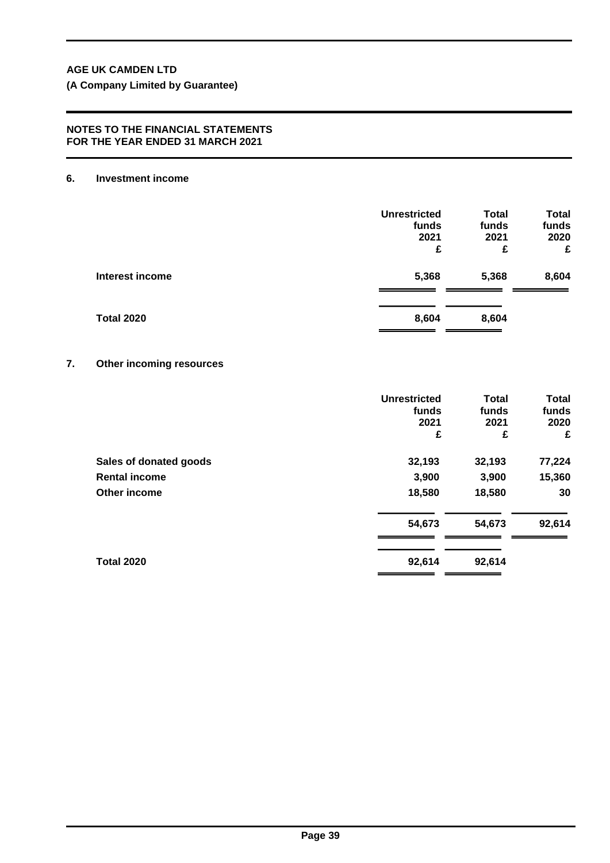**(A Company Limited by Guarantee)**

## **NOTES TO THE FINANCIAL STATEMENTS FOR THE YEAR ENDED 31 MARCH 2021**

#### **6. Investment income**

|                   | <b>Unrestricted</b><br>funds<br>2021<br>£ | <b>Total</b><br>funds<br>2021<br>£ | <b>Total</b><br>funds<br>2020<br>£ |
|-------------------|-------------------------------------------|------------------------------------|------------------------------------|
| Interest income   | 5,368                                     | 5,368                              | 8,604                              |
| <b>Total 2020</b> | 8,604                                     | 8,604                              |                                    |

# **7. Other incoming resources**

|                        | <b>Unrestricted</b><br>funds<br>2021<br>£ | <b>Total</b><br>funds<br>2021<br>£ | <b>Total</b><br>funds<br>2020<br>£ |
|------------------------|-------------------------------------------|------------------------------------|------------------------------------|
| Sales of donated goods | 32,193                                    | 32,193                             | 77,224                             |
| <b>Rental income</b>   | 3,900                                     | 3,900                              | 15,360                             |
| Other income           | 18,580                                    | 18,580                             | 30                                 |
|                        | 54,673                                    | 54,673                             | 92,614                             |
| <b>Total 2020</b>      | 92,614                                    | 92,614                             |                                    |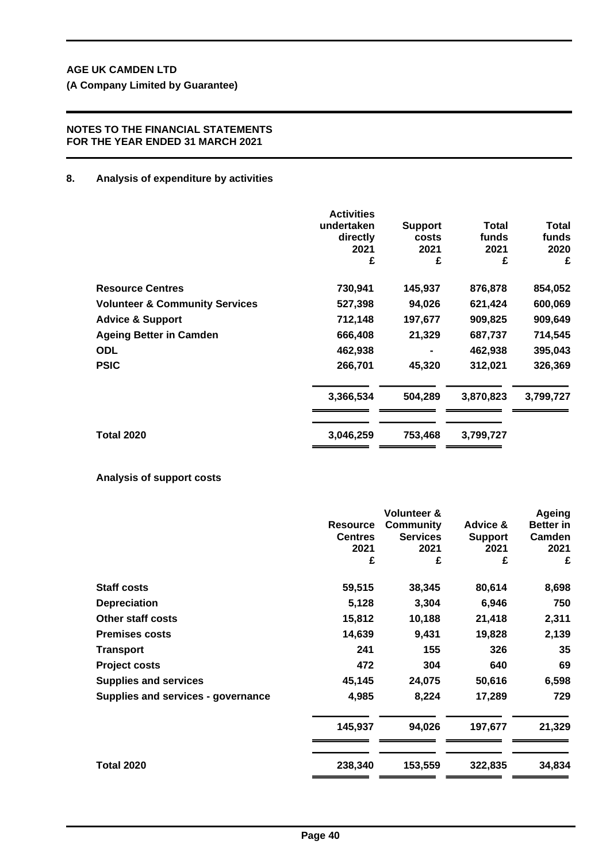**(A Company Limited by Guarantee)**

# **NOTES TO THE FINANCIAL STATEMENTS FOR THE YEAR ENDED 31 MARCH 2021**

## **8. Analysis of expenditure by activities**

|                                           | <b>Activities</b><br>undertaken<br>directly<br>2021<br>£ | <b>Support</b><br>costs<br>2021<br>£ | Total<br>funds<br>2021<br>£ | Total<br>funds<br>2020<br>£ |
|-------------------------------------------|----------------------------------------------------------|--------------------------------------|-----------------------------|-----------------------------|
| <b>Resource Centres</b>                   | 730,941                                                  | 145,937                              | 876,878                     | 854,052                     |
| <b>Volunteer &amp; Community Services</b> | 527,398                                                  | 94,026                               | 621,424                     | 600,069                     |
| <b>Advice &amp; Support</b>               | 712,148                                                  | 197,677                              | 909,825                     | 909,649                     |
| <b>Ageing Better in Camden</b>            | 666,408                                                  | 21,329                               | 687,737                     | 714,545                     |
| <b>ODL</b>                                | 462,938                                                  |                                      | 462,938                     | 395,043                     |
| <b>PSIC</b>                               | 266,701                                                  | 45,320                               | 312,021                     | 326,369                     |
|                                           | 3,366,534                                                | 504,289                              | 3,870,823                   | 3,799,727                   |
| <b>Total 2020</b>                         | 3,046,259                                                | 753,468                              | 3,799,727                   |                             |

# **Analysis of support costs**

|                                    |                 | <b>Volunteer &amp;</b> |                | Ageing           |
|------------------------------------|-----------------|------------------------|----------------|------------------|
|                                    | <b>Resource</b> | <b>Community</b>       | Advice &       | <b>Better in</b> |
|                                    | <b>Centres</b>  | <b>Services</b>        | <b>Support</b> | Camden           |
|                                    | 2021            | 2021                   | 2021           | 2021             |
|                                    | £               | £                      | £              | £                |
| <b>Staff costs</b>                 | 59,515          | 38,345                 | 80,614         | 8,698            |
| <b>Depreciation</b>                | 5,128           | 3,304                  | 6,946          | 750              |
| <b>Other staff costs</b>           | 15,812          | 10,188                 | 21,418         | 2,311            |
| <b>Premises costs</b>              | 14,639          | 9,431                  | 19,828         | 2,139            |
| Transport                          | 241             | 155                    | 326            | 35               |
| <b>Project costs</b>               | 472             | 304                    | 640            | 69               |
| <b>Supplies and services</b>       | 45,145          | 24,075                 | 50,616         | 6,598            |
| Supplies and services - governance | 4,985           | 8,224                  | 17,289         | 729              |
|                                    | 145,937         | 94,026                 | 197,677        | 21,329           |
| <b>Total 2020</b>                  | 238,340         | 153,559                | 322,835        | 34,834           |
|                                    |                 |                        |                |                  |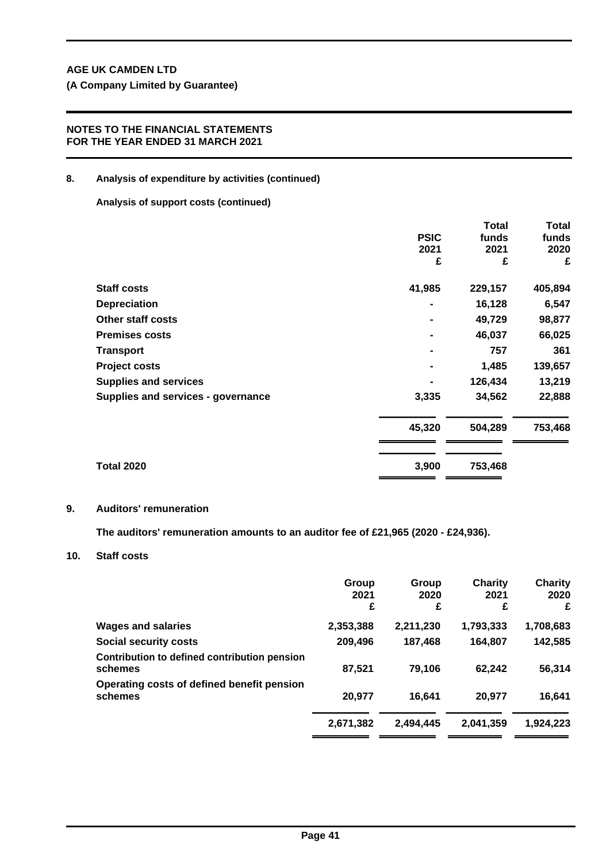# **NOTES TO THE FINANCIAL STATEMENTS FOR THE YEAR ENDED 31 MARCH 2021**

# **8. Analysis of expenditure by activities (continued)**

**Analysis of support costs (continued)**

|                                    |             | Total   | Total   |
|------------------------------------|-------------|---------|---------|
|                                    | <b>PSIC</b> | funds   | funds   |
|                                    | 2021        | 2021    | 2020    |
|                                    | £           | £       | £       |
| <b>Staff costs</b>                 | 41,985      | 229,157 | 405,894 |
| <b>Depreciation</b>                |             | 16,128  | 6,547   |
| <b>Other staff costs</b>           |             | 49,729  | 98,877  |
| <b>Premises costs</b>              |             | 46,037  | 66,025  |
| <b>Transport</b>                   |             | 757     | 361     |
| <b>Project costs</b>               |             | 1,485   | 139,657 |
| <b>Supplies and services</b>       |             | 126,434 | 13,219  |
| Supplies and services - governance | 3,335       | 34,562  | 22,888  |
|                                    | 45,320      | 504,289 | 753,468 |
| <b>Total 2020</b>                  | 3,900       | 753,468 |         |
|                                    |             |         |         |

# **9. Auditors' remuneration**

**The auditors' remuneration amounts to an auditor fee of £21,965 (2020 - £24,936).**

# **10. Staff costs**

|                                                         | Group<br>2021<br>£ | Group<br>2020<br>£ | Charity<br>2021<br>£ | <b>Charity</b><br>2020<br>£ |
|---------------------------------------------------------|--------------------|--------------------|----------------------|-----------------------------|
| <b>Wages and salaries</b>                               | 2,353,388          | 2,211,230          | 1,793,333            | 1,708,683                   |
| <b>Social security costs</b>                            | 209,496            | 187,468            | 164,807              | 142,585                     |
| Contribution to defined contribution pension<br>schemes | 87,521             | 79.106             | 62,242               | 56,314                      |
| Operating costs of defined benefit pension<br>schemes   | 20,977             | 16.641             | 20,977               | 16,641                      |
|                                                         | 2,671,382          | 2,494,445          | 2,041,359            | 1,924,223                   |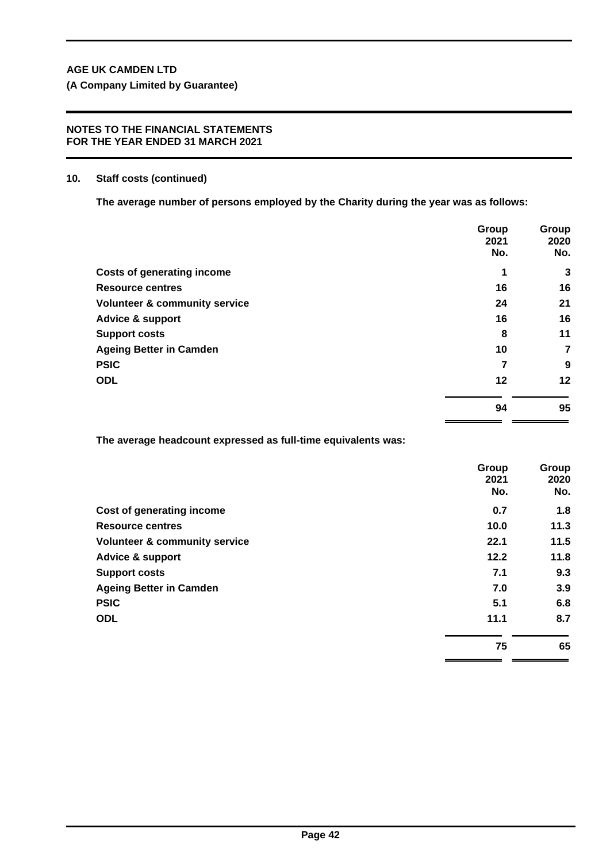## **NOTES TO THE FINANCIAL STATEMENTS FOR THE YEAR ENDED 31 MARCH 2021**

## **10. Staff costs (continued)**

**The average number of persons employed by the Charity during the year was as follows:**

|                                          | Group<br>2021<br>No. | Group<br>2020<br>No. |
|------------------------------------------|----------------------|----------------------|
| <b>Costs of generating income</b>        | 1                    | 3                    |
| <b>Resource centres</b>                  | 16                   | 16                   |
| <b>Volunteer &amp; community service</b> | 24                   | 21                   |
| <b>Advice &amp; support</b>              | 16                   | 16                   |
| <b>Support costs</b>                     | 8                    | 11                   |
| <b>Ageing Better in Camden</b>           | 10                   | 7                    |
| <b>PSIC</b>                              | 7                    | 9                    |
| <b>ODL</b>                               | 12                   | 12                   |
|                                          | 94                   | 95                   |

**The average headcount expressed as full-time equivalents was:**

|                                          | Group<br>2021<br>No. | Group<br>2020<br>No. |
|------------------------------------------|----------------------|----------------------|
| Cost of generating income                | 0.7                  | 1.8                  |
| <b>Resource centres</b>                  | 10.0                 | 11.3                 |
| <b>Volunteer &amp; community service</b> | 22.1                 | 11.5                 |
| <b>Advice &amp; support</b>              | 12.2                 | 11.8                 |
| <b>Support costs</b>                     | 7.1                  | 9.3                  |
| <b>Ageing Better in Camden</b>           | 7.0                  | 3.9                  |
| <b>PSIC</b>                              | 5.1                  | 6.8                  |
| <b>ODL</b>                               | 11.1                 | 8.7                  |
|                                          | 75                   | 65                   |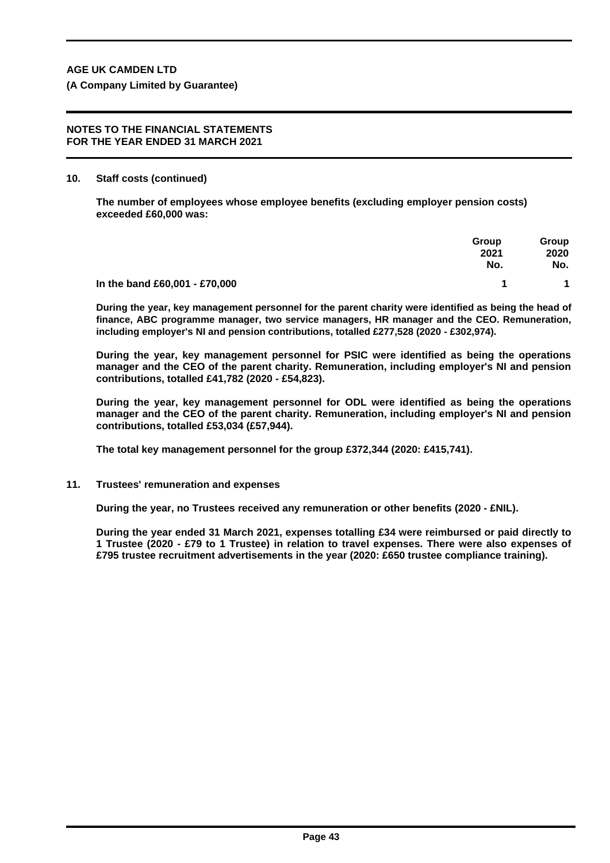#### **NOTES TO THE FINANCIAL STATEMENTS FOR THE YEAR ENDED 31 MARCH 2021**

#### **10. Staff costs (continued)**

**The number of employees whose employee benefits (excluding employer pension costs) exceeded £60,000 was:**

|                               | Group<br>2021<br>No. | Group<br>2020<br>No. |
|-------------------------------|----------------------|----------------------|
| In the band £60,001 - £70,000 |                      |                      |

**During the year, key management personnel for the parent charity were identified as being the head of finance, ABC programme manager, two service managers, HR manager and the CEO. Remuneration, including employer's NI and pension contributions, totalled £277,528 (2020 - £302,974).**

**During the year, key management personnel for PSIC were identified as being the operations manager and the CEO of the parent charity. Remuneration, including employer's NI and pension contributions, totalled £41,782 (2020 - £54,823).**

**During the year, key management personnel for ODL were identified as being the operations manager and the CEO of the parent charity. Remuneration, including employer's NI and pension contributions, totalled £53,034 (£57,944).**

**The total key management personnel for the group £372,344 (2020: £415,741).**

# **11. Trustees' remuneration and expenses**

**During the year, no Trustees received any remuneration or other benefits (2020 - £NIL).**

**During the year ended 31 March 2021, expenses totalling £34 were reimbursed or paid directly to 1 Trustee (2020 - £79 to 1 Trustee) in relation to travel expenses. There were also expenses of £795 trustee recruitment advertisements in the year (2020: £650 trustee compliance training).**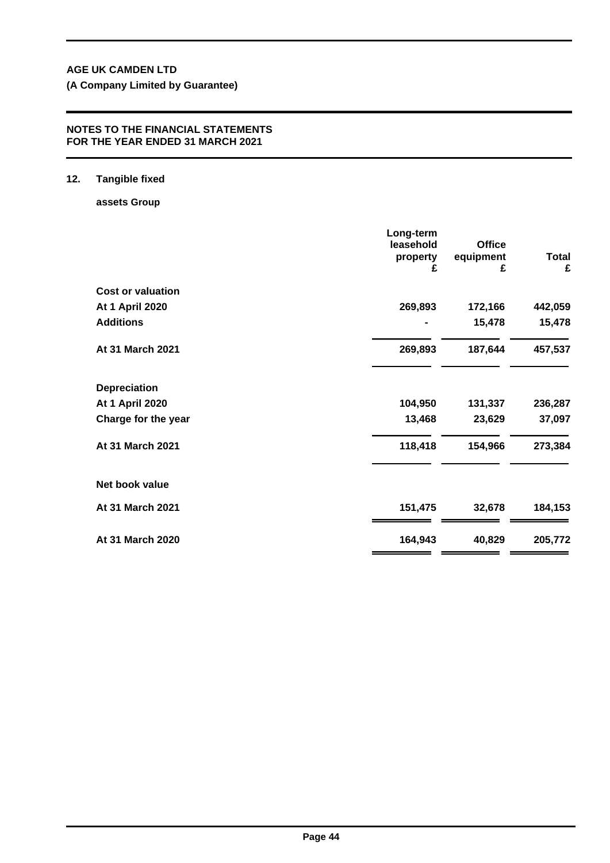**(A Company Limited by Guarantee)**

# **NOTES TO THE FINANCIAL STATEMENTS FOR THE YEAR ENDED 31 MARCH 2021**

# **12. Tangible fixed**

**assets Group**

|                          | Long-term<br>leasehold | <b>Office</b>  |                   |
|--------------------------|------------------------|----------------|-------------------|
|                          | property<br>£          | equipment<br>£ | <b>Total</b><br>£ |
| <b>Cost or valuation</b> |                        |                |                   |
| <b>At 1 April 2020</b>   | 269,893                | 172,166        | 442,059           |
| <b>Additions</b>         |                        | 15,478         | 15,478            |
| At 31 March 2021         | 269,893                | 187,644        | 457,537           |
| <b>Depreciation</b>      |                        |                |                   |
| <b>At 1 April 2020</b>   | 104,950                | 131,337        | 236,287           |
| Charge for the year      | 13,468                 | 23,629         | 37,097            |
| At 31 March 2021         | 118,418                | 154,966        | 273,384           |
| Net book value           |                        |                |                   |
| At 31 March 2021         | 151,475                | 32,678         | 184,153           |
| At 31 March 2020         | 164,943                | 40,829         | 205,772           |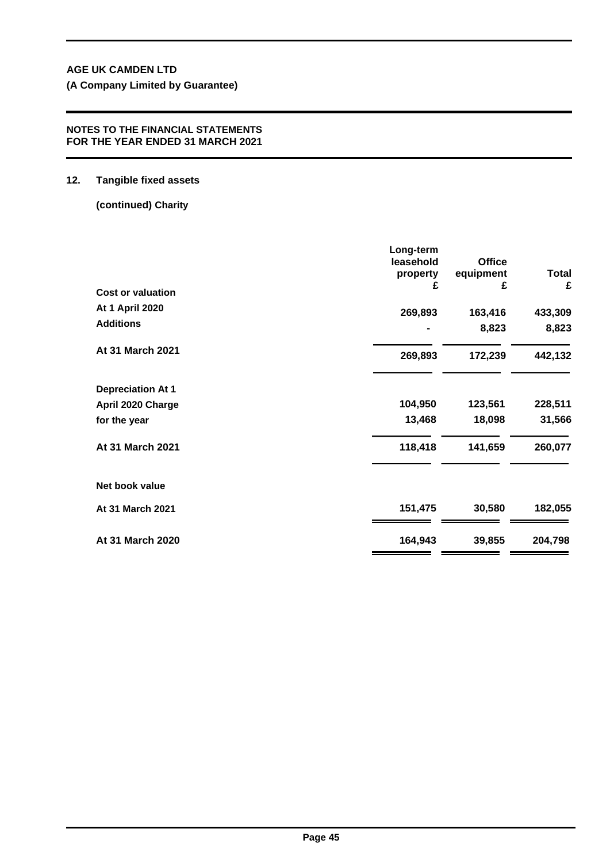**(A Company Limited by Guarantee)**

# **NOTES TO THE FINANCIAL STATEMENTS FOR THE YEAR ENDED 31 MARCH 2021**

# **12. Tangible fixed assets**

**(continued) Charity**

| <b>Cost or valuation</b> | Long-term<br>leasehold<br>property<br>£ | <b>Office</b><br>equipment<br>£ | Total<br>£ |
|--------------------------|-----------------------------------------|---------------------------------|------------|
| <b>At 1 April 2020</b>   | 269,893                                 | 163,416                         | 433,309    |
| <b>Additions</b>         | ۰                                       | 8,823                           | 8,823      |
| At 31 March 2021         | 269,893                                 | 172,239                         | 442,132    |
| <b>Depreciation At 1</b> |                                         |                                 |            |
| April 2020 Charge        | 104,950                                 | 123,561                         | 228,511    |
| for the year             | 13,468                                  | 18,098                          | 31,566     |
| At 31 March 2021         | 118,418                                 | 141,659                         | 260,077    |
| Net book value           |                                         |                                 |            |
| At 31 March 2021         | 151,475                                 | 30,580                          | 182,055    |
| At 31 March 2020         | 164,943                                 | 39,855                          | 204,798    |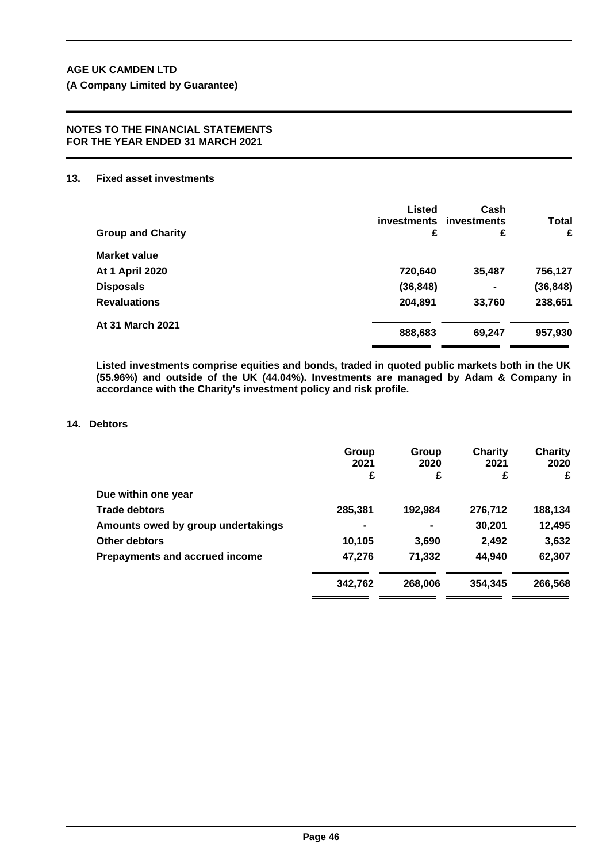#### **NOTES TO THE FINANCIAL STATEMENTS FOR THE YEAR ENDED 31 MARCH 2021**

# **13. Fixed asset investments**

| <b>Group and Charity</b> | Listed<br><b>investments</b><br>£ | Cash<br>investments<br>£ | <b>Total</b><br>£ |
|--------------------------|-----------------------------------|--------------------------|-------------------|
| <b>Market value</b>      |                                   |                          |                   |
| At 1 April 2020          | 720,640                           | 35,487                   | 756,127           |
| <b>Disposals</b>         | (36, 848)                         | $\blacksquare$           | (36, 848)         |
| <b>Revaluations</b>      | 204,891                           | 33,760                   | 238,651           |
| At 31 March 2021         | 888,683                           | 69,247                   | 957,930           |

**Listed investments comprise equities and bonds, traded in quoted public markets both in the UK (55.96%) and outside of the UK (44.04%). Investments are managed by Adam & Company in accordance with the Charity's investment policy and risk profile.**

# **14. Debtors**

|                                    | Group<br>2021  | Group<br>2020 | Charity<br>2021 | <b>Charity</b><br>2020 |
|------------------------------------|----------------|---------------|-----------------|------------------------|
|                                    | £              | £             | £               | £                      |
| Due within one year                |                |               |                 |                        |
| <b>Trade debtors</b>               | 285,381        | 192,984       | 276,712         | 188,134                |
| Amounts owed by group undertakings | $\blacksquare$ |               | 30,201          | 12,495                 |
| Other debtors                      | 10,105         | 3,690         | 2,492           | 3,632                  |
| Prepayments and accrued income     | 47,276         | 71,332        | 44,940          | 62,307                 |
|                                    | 342,762        | 268,006       | 354,345         | 266,568                |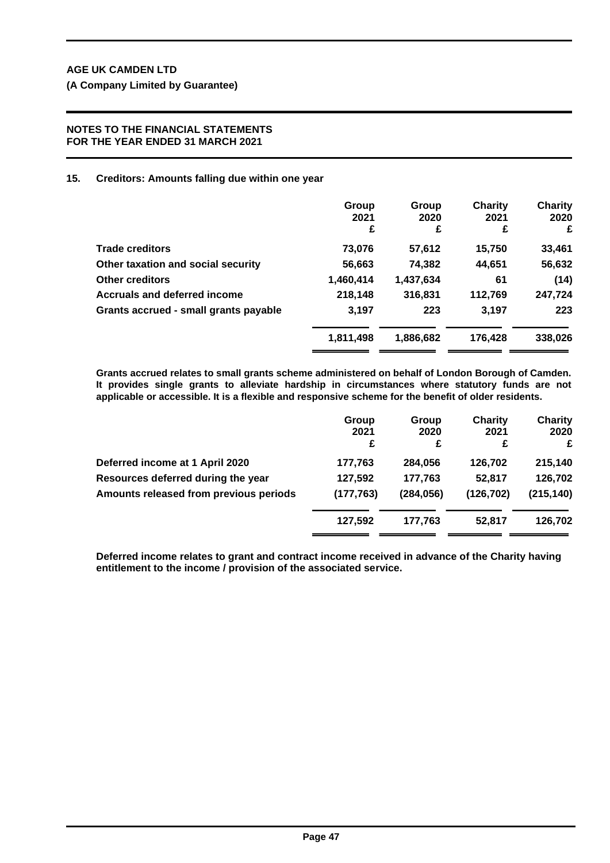## **NOTES TO THE FINANCIAL STATEMENTS FOR THE YEAR ENDED 31 MARCH 2021**

# **15. Creditors: Amounts falling due within one year**

|                                       | Group<br>2021<br>£ | Group<br>2020<br>£ | Charity<br>2021<br>£ | <b>Charity</b><br>2020<br>£ |
|---------------------------------------|--------------------|--------------------|----------------------|-----------------------------|
| <b>Trade creditors</b>                | 73,076             | 57,612             | 15,750               | 33,461                      |
| Other taxation and social security    | 56,663             | 74,382             | 44,651               | 56,632                      |
| <b>Other creditors</b>                | 1,460,414          | 1,437,634          | 61                   | (14)                        |
| <b>Accruals and deferred income</b>   | 218,148            | 316,831            | 112,769              | 247,724                     |
| Grants accrued - small grants payable | 3,197              | 223                | 3,197                | 223                         |
|                                       | 1,811,498          | 1,886,682          | 176,428              | 338,026                     |
|                                       |                    |                    |                      |                             |

**Grants accrued relates to small grants scheme administered on behalf of London Borough of Camden. It provides single grants to alleviate hardship in circumstances where statutory funds are not applicable or accessible. It is a flexible and responsive scheme for the benefit of older residents.**

|                                        | Group<br>2021 | Group<br>2020 | <b>Charity</b><br>2021 | <b>Charity</b><br>2020 |
|----------------------------------------|---------------|---------------|------------------------|------------------------|
|                                        | £             | £             | £                      | £                      |
| Deferred income at 1 April 2020        | 177,763       | 284,056       | 126,702                | 215,140                |
| Resources deferred during the year     | 127,592       | 177,763       | 52,817                 | 126,702                |
| Amounts released from previous periods | (177, 763)    | (284, 056)    | (126, 702)             | (215, 140)             |
|                                        | 127,592       | 177.763       | 52.817                 | 126,702                |

**Deferred income relates to grant and contract income received in advance of the Charity having entitlement to the income / provision of the associated service.**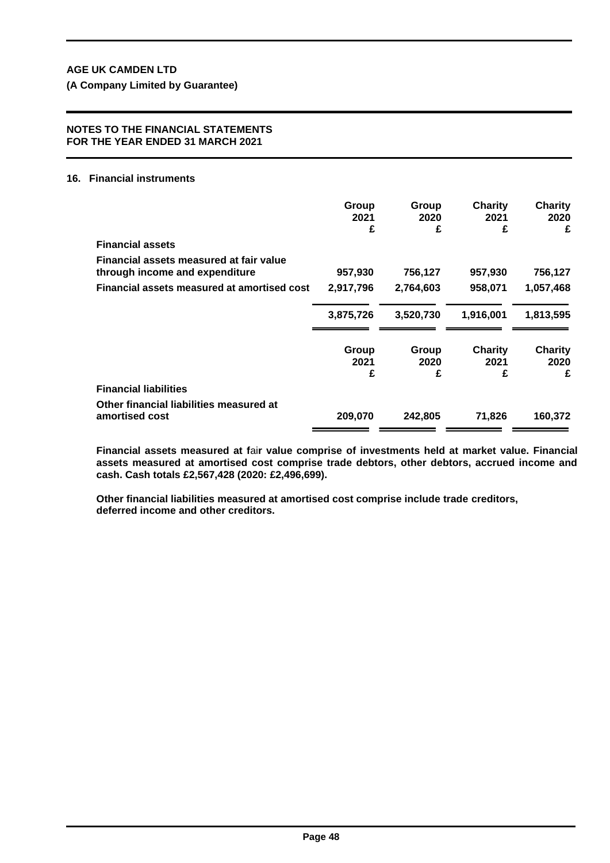**(A Company Limited by Guarantee)**

#### **NOTES TO THE FINANCIAL STATEMENTS FOR THE YEAR ENDED 31 MARCH 2021**

## **16. Financial instruments**

|                                                                           | Group<br>2021<br>£ | Group<br>2020<br>£ | <b>Charity</b><br>2021<br>£ | <b>Charity</b><br>2020<br>£ |
|---------------------------------------------------------------------------|--------------------|--------------------|-----------------------------|-----------------------------|
| <b>Financial assets</b>                                                   |                    |                    |                             |                             |
| Financial assets measured at fair value<br>through income and expenditure | 957,930            | 756,127            | 957,930                     | 756,127                     |
| Financial assets measured at amortised cost                               | 2,917,796          | 2,764,603          | 958,071                     | 1,057,468                   |
|                                                                           | 3,875,726          | 3,520,730          | 1,916,001                   | 1,813,595                   |
|                                                                           | Group<br>2021<br>£ | Group<br>2020<br>£ | Charity<br>2021<br>£        | <b>Charity</b><br>2020<br>£ |
| <b>Financial liabilities</b>                                              |                    |                    |                             |                             |
| Other financial liabilities measured at<br>amortised cost                 | 209,070            | 242,805            | 71,826                      | 160,372                     |

**Financial assets measured at f**ai**r value comprise of investments held at market value. Financial assets measured at amortised cost comprise trade debtors, other debtors, accrued income and cash. Cash totals £2,567,428 (2020: £2,496,699).**

**Other financial liabilities measured at amortised cost comprise include trade creditors, deferred income and other creditors.**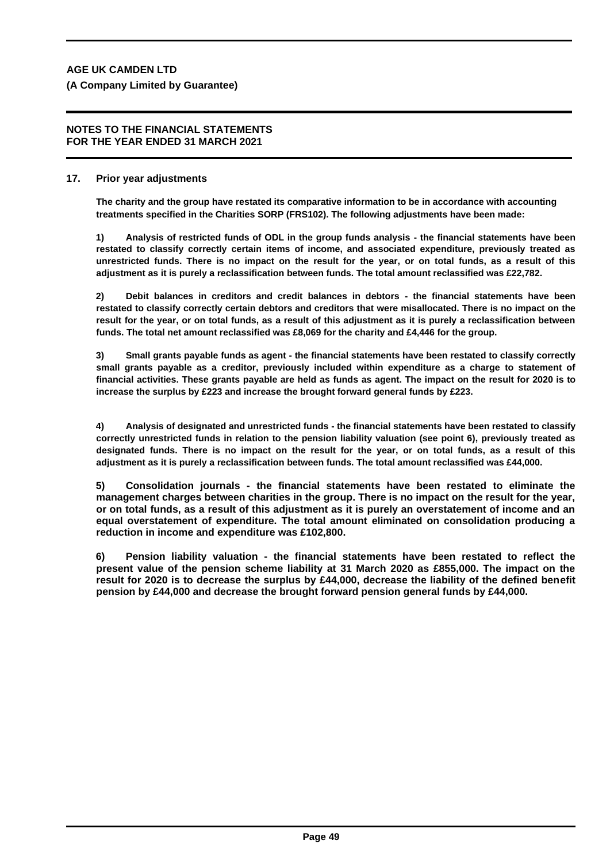#### **NOTES TO THE FINANCIAL STATEMENTS FOR THE YEAR ENDED 31 MARCH 2021**

## **17. Prior year adjustments**

**The charity and the group have restated its comparative information to be in accordance with accounting treatments specified in the Charities SORP (FRS102). The following adjustments have been made:**

**1) Analysis of restricted funds of ODL in the group funds analysis - the financial statements have been restated to classify correctly certain items of income, and associated expenditure, previously treated as unrestricted funds. There is no impact on the result for the year, or on total funds, as a result of this adjustment as it is purely a reclassification between funds. The total amount reclassified was £22,782.**

**2) Debit balances in creditors and credit balances in debtors - the financial statements have been restated to classify correctly certain debtors and creditors that were misallocated. There is no impact on the result for the year, or on total funds, as a result of this adjustment as it is purely a reclassification between funds. The total net amount reclassified was £8,069 for the charity and £4,446 for the group.**

**3) Small grants payable funds as agent - the financial statements have been restated to classify correctly small grants payable as a creditor, previously included within expenditure as a charge to statement of financial activities. These grants payable are held as funds as agent. The impact on the result for 2020 is to increase the surplus by £223 and increase the brought forward general funds by £223.**

**4) Analysis of designated and unrestricted funds - the financial statements have been restated to classify correctly unrestricted funds in relation to the pension liability valuation (see point 6), previously treated as designated funds. There is no impact on the result for the year, or on total funds, as a result of this adjustment as it is purely a reclassification between funds. The total amount reclassified was £44,000.**

**5) Consolidation journals - the financial statements have been restated to eliminate the management charges between charities in the group. There is no impact on the result for the year, or on total funds, as a result of this adjustment as it is purely an overstatement of income and an equal overstatement of expenditure. The total amount eliminated on consolidation producing a reduction in income and expenditure was £102,800.**

**6) Pension liability valuation - the financial statements have been restated to reflect the present value of the pension scheme liability at 31 March 2020 as £855,000. The impact on the result for 2020 is to decrease the surplus by £44,000, decrease the liability of the defined benefit pension by £44,000 and decrease the brought forward pension general funds by £44,000.**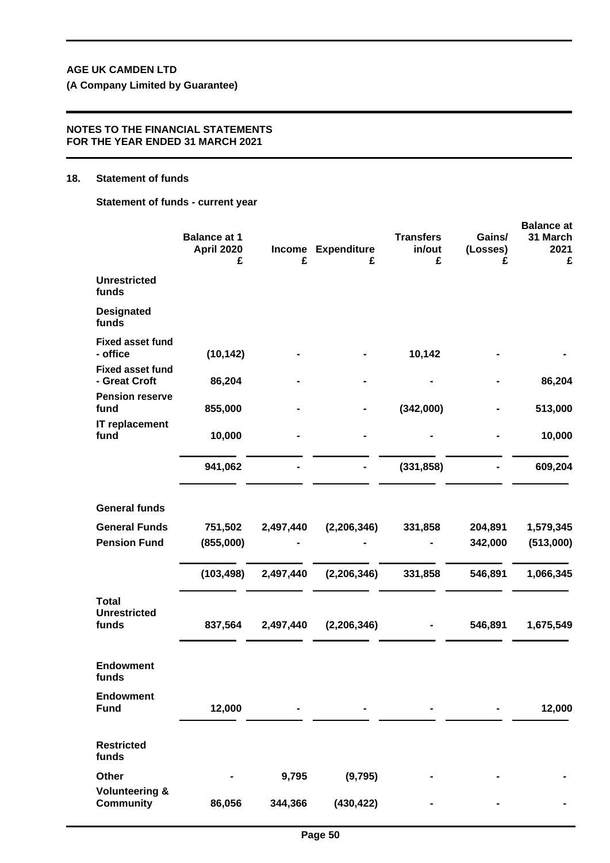**(A Company Limited by Guarantee)**

### **NOTES TO THE FINANCIAL STATEMENTS FOR THE YEAR ENDED 31 MARCH 2021**

#### **18. Statement of funds**

**Statement of funds - current year**

|                                               |                                               |           |                         |                                 |                         | <b>Balance at</b>     |  |  |
|-----------------------------------------------|-----------------------------------------------|-----------|-------------------------|---------------------------------|-------------------------|-----------------------|--|--|
|                                               | <b>Balance at 1</b><br><b>April 2020</b><br>£ | £         | Income Expenditure<br>£ | <b>Transfers</b><br>in/out<br>£ | Gains/<br>(Losses)<br>£ | 31 March<br>2021<br>£ |  |  |
| <b>Unrestricted</b><br>funds                  |                                               |           |                         |                                 |                         |                       |  |  |
| <b>Designated</b><br>funds                    |                                               |           |                         |                                 |                         |                       |  |  |
| <b>Fixed asset fund</b><br>- office           | (10, 142)                                     |           |                         | 10,142                          |                         |                       |  |  |
| <b>Fixed asset fund</b><br>- Great Croft      | 86,204                                        |           |                         |                                 |                         | 86,204                |  |  |
| <b>Pension reserve</b><br>fund                | 855,000                                       |           |                         | (342,000)                       |                         | 513,000               |  |  |
| IT replacement<br>fund                        | 10,000                                        |           |                         |                                 |                         | 10,000                |  |  |
|                                               | 941,062                                       |           |                         | (331, 858)                      |                         | 609,204               |  |  |
| <b>General funds</b>                          |                                               |           |                         |                                 |                         |                       |  |  |
| <b>General Funds</b>                          | 751,502                                       | 2,497,440 | (2, 206, 346)           | 331,858                         | 204,891                 | 1,579,345             |  |  |
| <b>Pension Fund</b>                           | (855,000)                                     |           |                         |                                 | 342,000                 | (513,000)             |  |  |
|                                               | (103, 498)                                    | 2,497,440 | (2, 206, 346)           | 331,858                         | 546,891                 | 1,066,345             |  |  |
| <b>Total</b><br><b>Unrestricted</b>           |                                               |           |                         |                                 |                         |                       |  |  |
| funds                                         | 837,564                                       | 2,497,440 | (2, 206, 346)           |                                 | 546,891                 | 1,675,549             |  |  |
| <b>Endowment</b><br>funds                     |                                               |           |                         |                                 |                         |                       |  |  |
| <b>Endowment</b><br><b>Fund</b>               | 12,000                                        |           |                         |                                 |                         | 12,000                |  |  |
| <b>Restricted</b><br>funds                    |                                               |           |                         |                                 |                         |                       |  |  |
| Other                                         |                                               | 9,795     | (9, 795)                |                                 |                         |                       |  |  |
| <b>Volunteering &amp;</b><br><b>Community</b> | 86,056                                        | 344,366   | (430, 422)              |                                 |                         |                       |  |  |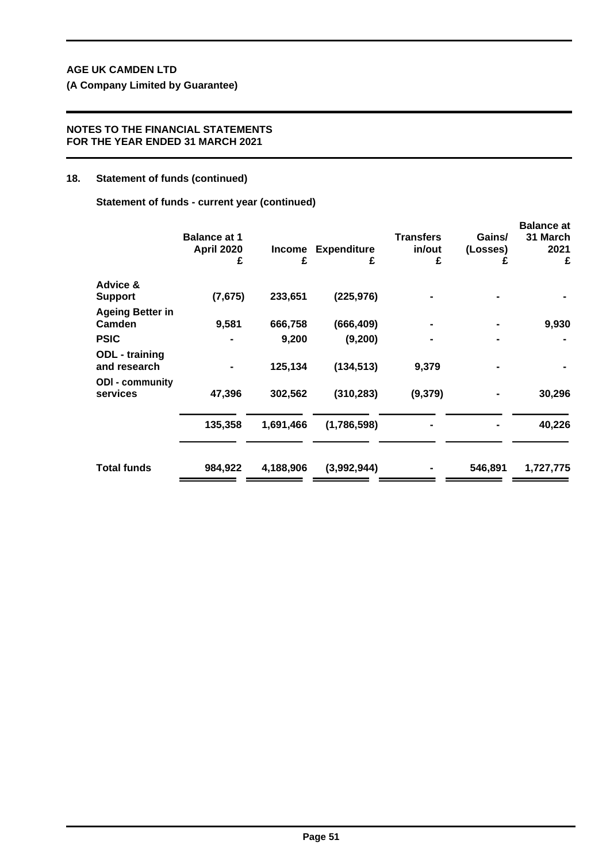**(A Company Limited by Guarantee)**

## **NOTES TO THE FINANCIAL STATEMENTS FOR THE YEAR ENDED 31 MARCH 2021**

# **18. Statement of funds (continued)**

**Statement of funds - current year (continued)**

|                                       | <b>Balance at 1</b><br><b>April 2020</b><br>£ | Income<br>£ | <b>Expenditure</b><br>£ | <b>Transfers</b><br>in/out<br>£ | Gains/<br>(Losses)<br>£ | <b>Balance at</b><br>31 March<br>2021<br>£ |
|---------------------------------------|-----------------------------------------------|-------------|-------------------------|---------------------------------|-------------------------|--------------------------------------------|
| Advice &                              |                                               |             |                         |                                 |                         |                                            |
| <b>Support</b>                        | (7, 675)                                      | 233,651     | (225, 976)              |                                 |                         |                                            |
| <b>Ageing Better in</b><br>Camden     | 9,581                                         | 666,758     | (666, 409)              |                                 |                         | 9,930                                      |
| <b>PSIC</b>                           |                                               | 9,200       | (9, 200)                |                                 |                         |                                            |
| <b>ODL</b> - training<br>and research |                                               | 125,134     | (134, 513)              | 9,379                           |                         |                                            |
| <b>ODI</b> - community<br>services    | 47,396                                        | 302,562     | (310, 283)              | (9,379)                         |                         | 30,296                                     |
|                                       | 135,358                                       | 1,691,466   | (1,786,598)             |                                 |                         | 40,226                                     |
| <b>Total funds</b>                    | 984,922                                       | 4,188,906   | (3,992,944)             |                                 | 546,891                 | 1,727,775                                  |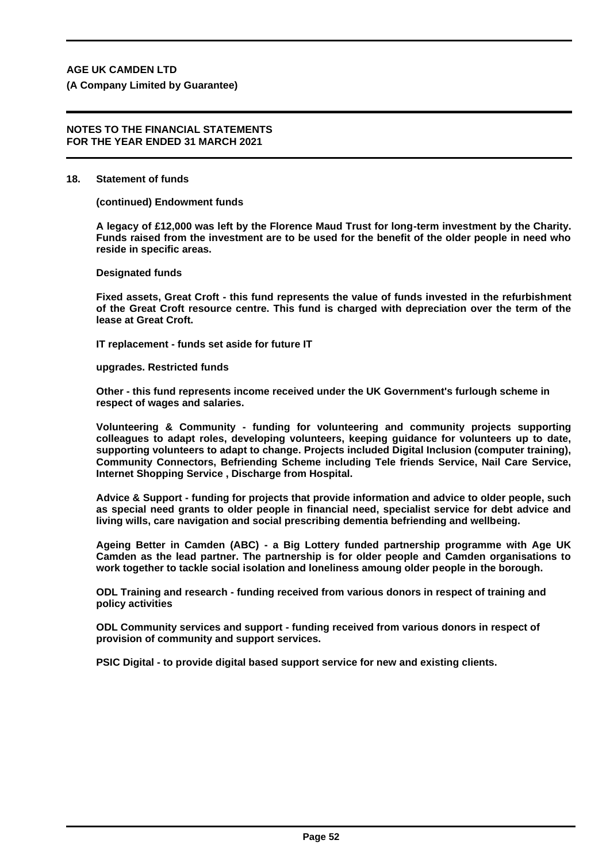**(A Company Limited by Guarantee)**

#### **NOTES TO THE FINANCIAL STATEMENTS FOR THE YEAR ENDED 31 MARCH 2021**

#### **18. Statement of funds**

**(continued) Endowment funds**

**A legacy of £12,000 was left by the Florence Maud Trust for long-term investment by the Charity. Funds raised from the investment are to be used for the benefit of the older people in need who reside in specific areas.**

**Designated funds**

**Fixed assets, Great Croft - this fund represents the value of funds invested in the refurbishment of the Great Croft resource centre. This fund is charged with depreciation over the term of the lease at Great Croft.**

**IT replacement - funds set aside for future IT** 

**upgrades. Restricted funds**

**Other - this fund represents income received under the UK Government's furlough scheme in respect of wages and salaries.**

**Volunteering & Community - funding for volunteering and community projects supporting colleagues to adapt roles, developing volunteers, keeping guidance for volunteers up to date, supporting volunteers to adapt to change. Projects included Digital Inclusion (computer training), Community Connectors, Befriending Scheme including Tele friends Service, Nail Care Service, Internet Shopping Service , Discharge from Hospital.**

**Advice & Support - funding for projects that provide information and advice to older people, such as special need grants to older people in financial need, specialist service for debt advice and living wills, care navigation and social prescribing dementia befriending and wellbeing.**

**Ageing Better in Camden (ABC) - a Big Lottery funded partnership programme with Age UK Camden as the lead partner. The partnership is for older people and Camden organisations to work together to tackle social isolation and loneliness amoung older people in the borough.**

**ODL Training and research - funding received from various donors in respect of training and policy activities**

**ODL Community services and support - funding received from various donors in respect of provision of community and support services.**

**PSIC Digital - to provide digital based support service for new and existing clients.**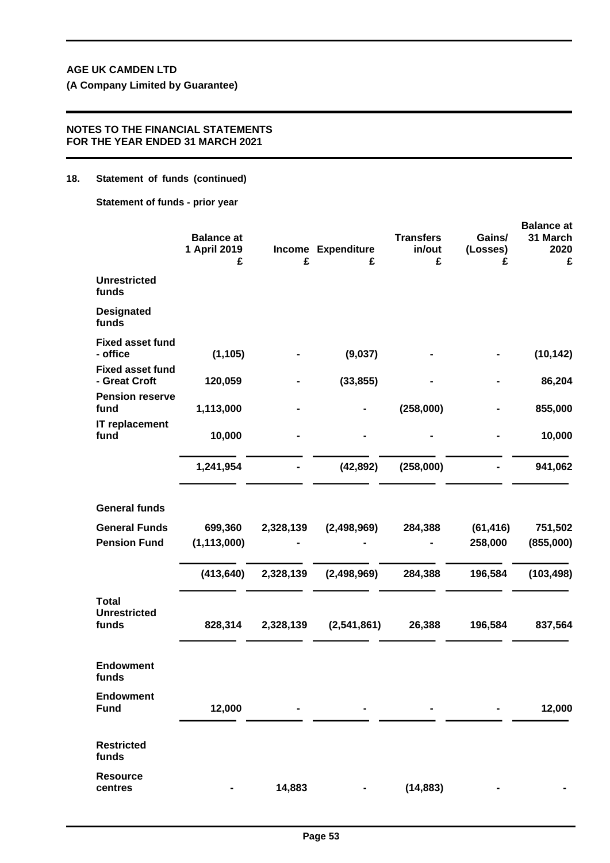## **NOTES TO THE FINANCIAL STATEMENTS FOR THE YEAR ENDED 31 MARCH 2021**

## **18. Statement of funds (continued)**

**Statement of funds - prior year**

|                                              |                                        |           |                         |                                 |                         | <b>Balance at</b>     |
|----------------------------------------------|----------------------------------------|-----------|-------------------------|---------------------------------|-------------------------|-----------------------|
|                                              | <b>Balance at</b><br>1 April 2019<br>£ | £         | Income Expenditure<br>£ | <b>Transfers</b><br>in/out<br>£ | Gains/<br>(Losses)<br>£ | 31 March<br>2020<br>£ |
| <b>Unrestricted</b><br>funds                 |                                        |           |                         |                                 |                         |                       |
| <b>Designated</b><br>funds                   |                                        |           |                         |                                 |                         |                       |
| <b>Fixed asset fund</b><br>- office          | (1, 105)                               |           | (9,037)                 |                                 |                         | (10, 142)             |
| <b>Fixed asset fund</b><br>- Great Croft     | 120,059                                |           | (33, 855)               |                                 |                         | 86,204                |
| <b>Pension reserve</b><br>fund               | 1,113,000                              |           |                         | (258,000)                       |                         | 855,000               |
| IT replacement<br>fund                       | 10,000                                 |           |                         |                                 |                         | 10,000                |
|                                              | 1,241,954                              |           | (42, 892)               | (258,000)                       |                         | 941,062               |
| <b>General funds</b>                         |                                        |           |                         |                                 |                         |                       |
| <b>General Funds</b>                         | 699,360                                | 2,328,139 | (2,498,969)             | 284,388                         | (61, 416)               | 751,502               |
| <b>Pension Fund</b>                          | (1, 113, 000)                          |           |                         |                                 | 258,000                 | (855,000)             |
|                                              | (413, 640)                             | 2,328,139 | (2,498,969)             | 284,388                         | 196,584                 | (103, 498)            |
| <b>Total</b><br><b>Unrestricted</b><br>funds | 828,314                                | 2,328,139 | (2,541,861)             | 26,388                          | 196,584                 | 837,564               |
| <b>Endowment</b><br>funds                    |                                        |           |                         |                                 |                         |                       |
| <b>Endowment</b><br><b>Fund</b>              | 12,000                                 |           |                         |                                 |                         | 12,000                |
| <b>Restricted</b><br>funds                   |                                        |           |                         |                                 |                         |                       |
| <b>Resource</b><br>centres                   |                                        | 14,883    |                         | (14, 883)                       |                         |                       |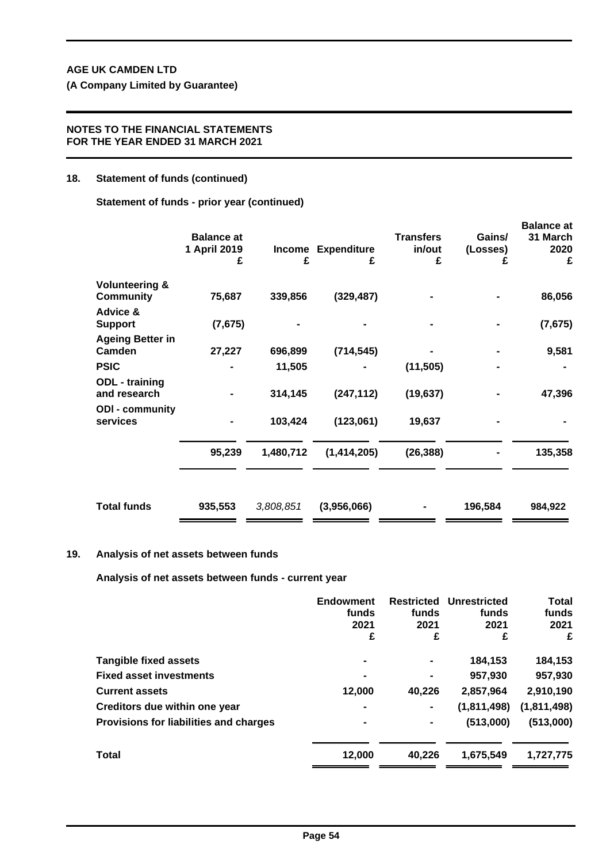## **NOTES TO THE FINANCIAL STATEMENTS FOR THE YEAR ENDED 31 MARCH 2021**

## **18. Statement of funds (continued)**

**Statement of funds - prior year (continued)**

|                                               | <b>Balance at</b><br>1 April 2019<br>£ | Income<br>£ | <b>Expenditure</b><br>£ | <b>Transfers</b><br>in/out<br>£ | Gains/<br>(Losses)<br>£ | <b>Balance at</b><br>31 March<br>2020<br>£ |
|-----------------------------------------------|----------------------------------------|-------------|-------------------------|---------------------------------|-------------------------|--------------------------------------------|
| <b>Volunteering &amp;</b><br><b>Community</b> | 75,687                                 | 339,856     | (329, 487)              |                                 |                         | 86,056                                     |
| Advice &                                      |                                        |             |                         |                                 |                         |                                            |
| <b>Support</b>                                | (7,675)                                |             |                         |                                 |                         | (7, 675)                                   |
| <b>Ageing Better in</b><br>Camden             | 27,227                                 | 696,899     | (714, 545)              |                                 |                         | 9,581                                      |
| <b>PSIC</b>                                   |                                        | 11,505      |                         | (11, 505)                       |                         |                                            |
| <b>ODL</b> - training<br>and research         |                                        | 314,145     | (247, 112)              | (19, 637)                       |                         | 47,396                                     |
| <b>ODI - community</b><br>services            |                                        | 103,424     | (123,061)               | 19,637                          |                         |                                            |
|                                               | 95,239                                 | 1,480,712   | (1,414,205)             | (26, 388)                       |                         | 135,358                                    |
| <b>Total funds</b>                            | 935,553                                | 3,808,851   | (3,956,066)             |                                 | 196,584                 | 984,922                                    |

## **19. Analysis of net assets between funds**

**Analysis of net assets between funds - current year**

|                                        | <b>Endowment</b><br>funds<br>2021<br>£ | <b>Restricted</b><br>funds<br>2021<br>£ | <b>Unrestricted</b><br>funds<br>2021<br>£ | <b>Total</b><br>funds<br>2021<br>£ |
|----------------------------------------|----------------------------------------|-----------------------------------------|-------------------------------------------|------------------------------------|
|                                        |                                        |                                         |                                           |                                    |
| <b>Tangible fixed assets</b>           | $\blacksquare$                         | ٠                                       | 184,153                                   | 184,153                            |
| <b>Fixed asset investments</b>         | $\blacksquare$                         | $\blacksquare$                          | 957,930                                   | 957,930                            |
| <b>Current assets</b>                  | 12,000                                 | 40.226                                  | 2,857,964                                 | 2,910,190                          |
| Creditors due within one year          | $\blacksquare$                         | ۰                                       | (1,811,498)                               | (1, 811, 498)                      |
| Provisions for liabilities and charges | ۰                                      | $\blacksquare$                          | (513,000)                                 | (513,000)                          |
| <b>Total</b>                           | 12,000                                 | 40.226                                  | 1,675,549                                 | 1,727,775                          |
|                                        |                                        |                                         |                                           |                                    |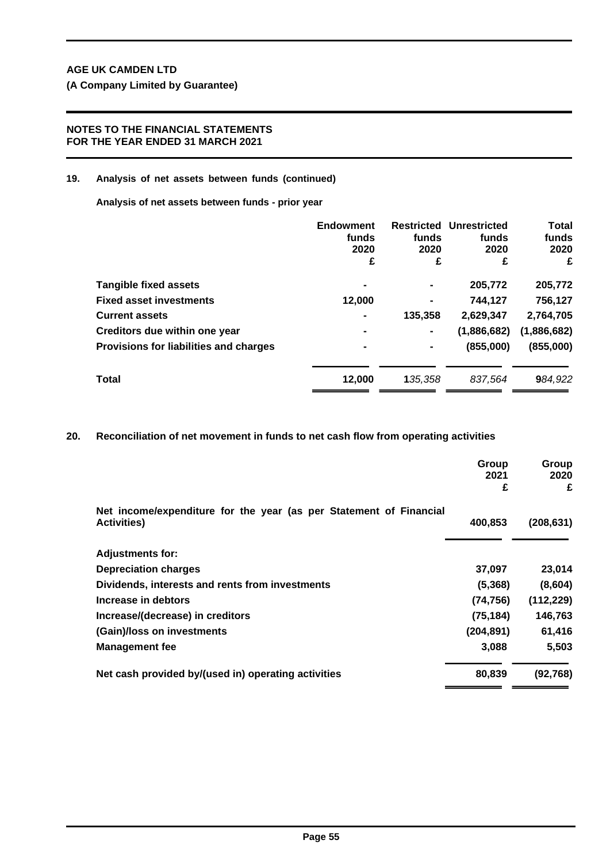# **NOTES TO THE FINANCIAL STATEMENTS FOR THE YEAR ENDED 31 MARCH 2021**

## **19. Analysis of net assets between funds (continued)**

**Analysis of net assets between funds - prior year**

|                                        | <b>Endowment</b> |                | <b>Restricted Unrestricted</b> | <b>Total</b> |
|----------------------------------------|------------------|----------------|--------------------------------|--------------|
|                                        | funds            | funds          | funds                          | funds        |
|                                        | 2020             | 2020           | 2020                           | 2020         |
|                                        | £                | £              | £                              | £            |
| <b>Tangible fixed assets</b>           |                  | ۰              | 205,772                        | 205,772      |
| <b>Fixed asset investments</b>         | 12.000           | $\blacksquare$ | 744.127                        | 756,127      |
| <b>Current assets</b>                  | $\blacksquare$   | 135,358        | 2,629,347                      | 2,764,705    |
| Creditors due within one year          | $\blacksquare$   | $\blacksquare$ | (1,886,682)                    | (1,886,682)  |
| Provisions for liabilities and charges |                  | $\blacksquare$ | (855,000)                      | (855,000)    |
| Total                                  | 12,000           | 135.358        | 837.564                        | 984,922      |

**20. Reconciliation of net movement in funds to net cash flow from operating activities**

|                                                                                          | Group<br>2021<br>£ | Group<br>2020<br>£ |
|------------------------------------------------------------------------------------------|--------------------|--------------------|
| Net income/expenditure for the year (as per Statement of Financial<br><b>Activities)</b> | 400,853            | (208, 631)         |
| <b>Adjustments for:</b>                                                                  |                    |                    |
| <b>Depreciation charges</b>                                                              | 37,097             | 23,014             |
| Dividends, interests and rents from investments                                          | (5,368)            | (8,604)            |
| Increase in debtors                                                                      | (74, 756)          | (112, 229)         |
| Increase/(decrease) in creditors                                                         | (75, 184)          | 146,763            |
| (Gain)/loss on investments                                                               | (204, 891)         | 61,416             |
| <b>Management fee</b>                                                                    | 3,088              | 5,503              |
| Net cash provided by/(used in) operating activities                                      | 80,839             | (92, 768)          |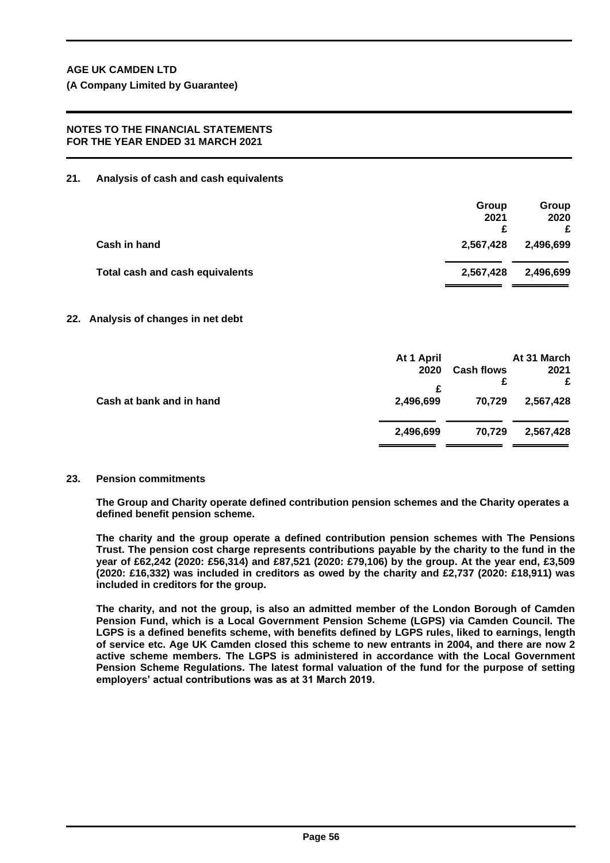## **NOTES TO THE FINANCIAL STATEMENTS FOR THE YEAR ENDED 31 MARCH 2021**

**21. Analysis of cash and cash equivalents**

|                                              | Group<br>2021<br>c | Group<br>2020<br>£ |
|----------------------------------------------|--------------------|--------------------|
| Cash in hand<br>2,567,428                    |                    | 2,496,699          |
| Total cash and cash equivalents<br>2,567,428 |                    | 2,496,699          |

# **22. Analysis of changes in net debt**

|                          | At 1 April |                   | At 31 March |
|--------------------------|------------|-------------------|-------------|
|                          | 2020       | <b>Cash flows</b> | 2021        |
|                          | £          |                   | £           |
| Cash at bank and in hand | 2,496,699  | 70,729            | 2,567,428   |
|                          | 2,496,699  | 70,729            | 2,567,428   |
|                          |            |                   |             |

# **23. Pension commitments**

**The Group and Charity operate defined contribution pension schemes and the Charity operates a defined benefit pension scheme.**

**The charity and the group operate a defined contribution pension schemes with The Pensions Trust. The pension cost charge represents contributions payable by the charity to the fund in the year of £62,242 (2020: £56,314) and £87,521 (2020: £79,106) by the group. At the year end, £3,509 (2020: £16,332) was included in creditors as owed by the charity and £2,737 (2020: £18,911) was included in creditors for the group.**

**The charity, and not the group, is also an admitted member of the London Borough of Camden Pension Fund, which is a Local Government Pension Scheme (LGPS) via Camden Council. The LGPS is a defined benefits scheme, with benefits defined by LGPS rules, liked to earnings, length of service etc. Age UK Camden closed this scheme to new entrants in 2004, and there are now 2 active scheme members. The LGPS is administered in accordance with the Local Government Pension Scheme Regulations. The latest formal valuation of the fund for the purpose of setting employers' actual contributions was as at 31 March 2019.**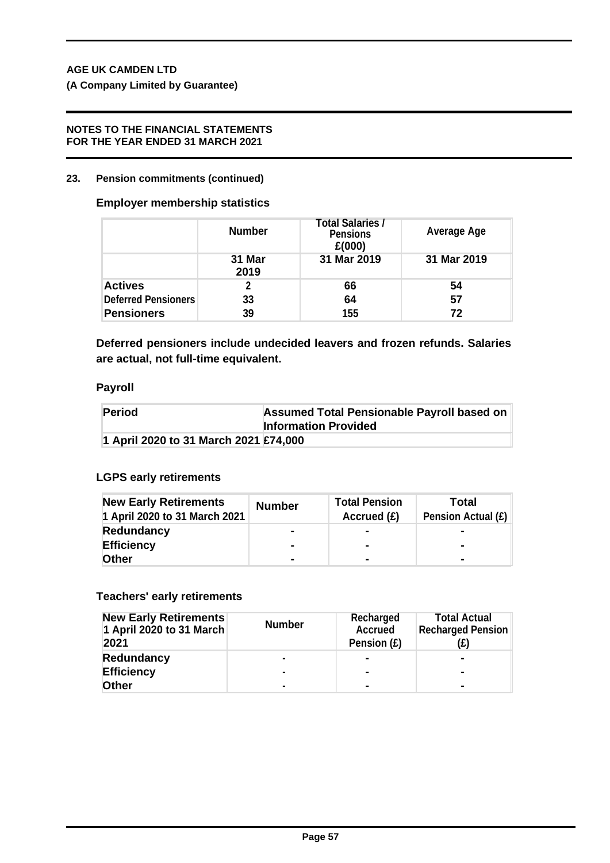# **NOTES TO THE FINANCIAL STATEMENTS FOR THE YEAR ENDED 31 MARCH 2021**

# **23. Pension commitments (continued)**

# **Employer membership statistics**

|                            | <b>Number</b>  | Total Salaries /<br><b>Pensions</b><br>£(000) | <b>Average Age</b> |
|----------------------------|----------------|-----------------------------------------------|--------------------|
|                            | 31 Mar<br>2019 | 31 Mar 2019                                   | 31 Mar 2019        |
| <b>Actives</b>             |                | 66                                            | 54                 |
| <b>Deferred Pensioners</b> | 33             | 64                                            | 57                 |
| <b>Pensioners</b>          | 39             | 155                                           | 72                 |

**Deferred pensioners include undecided leavers and frozen refunds. Salaries are actual, not full-time equivalent.**

# **Payroll**

| Period                                | Assumed Total Pensionable Payroll based on<br><b>Information Provided</b> |
|---------------------------------------|---------------------------------------------------------------------------|
| 1 April 2020 to 31 March 2021 £74,000 |                                                                           |

# **LGPS early retirements**

| <b>New Early Retirements</b><br>1 April 2020 to 31 March 2021 | <b>Number</b>  | <b>Total Pension</b><br>Accrued $(E)$ | Total<br><b>Pension Actual (£)</b> |
|---------------------------------------------------------------|----------------|---------------------------------------|------------------------------------|
| Redundancy                                                    | -              | $\blacksquare$                        |                                    |
| <b>Efficiency</b>                                             | -              | $\blacksquare$                        | $\blacksquare$                     |
| <b>Other</b>                                                  | $\blacksquare$ | $\blacksquare$                        |                                    |

# **Teachers' early retirements**

| <b>New Early Retirements</b><br>1 April 2020 to 31 March<br>2021 | <b>Number</b>  | Recharged<br><b>Accrued</b><br>Pension (£) | <b>Total Actual</b><br><b>Recharged Pension</b><br>(£) |
|------------------------------------------------------------------|----------------|--------------------------------------------|--------------------------------------------------------|
| <b>Redundancy</b>                                                | $\blacksquare$ | ۰                                          | $\blacksquare$                                         |
| <b>Efficiency</b>                                                |                | $\blacksquare$                             | $\blacksquare$                                         |
| <b>Other</b>                                                     | $\blacksquare$ | $\blacksquare$                             | $\blacksquare$                                         |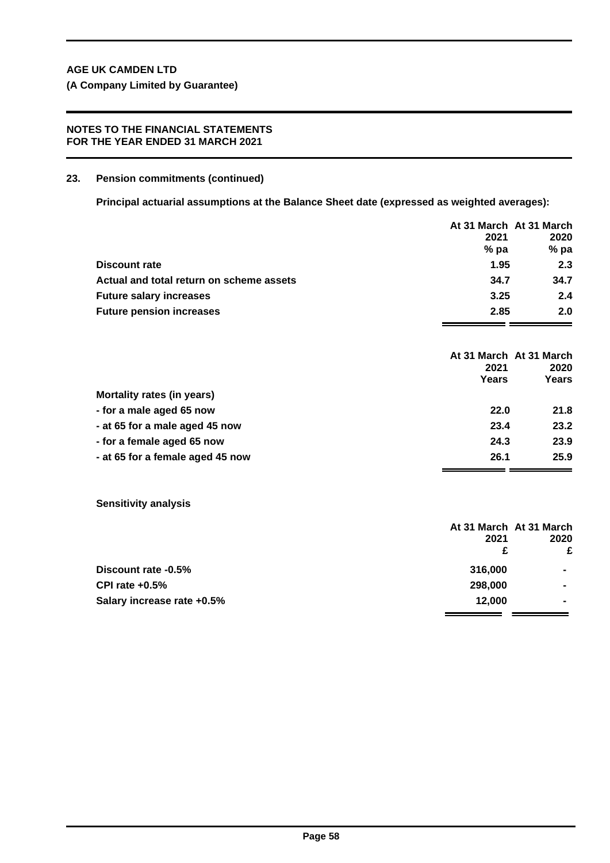**(A Company Limited by Guarantee)**

# **NOTES TO THE FINANCIAL STATEMENTS FOR THE YEAR ENDED 31 MARCH 2021**

## **23. Pension commitments (continued)**

**Principal actuarial assumptions at the Balance Sheet date (expressed as weighted averages):**

|                                          |               | At 31 March At 31 March                  |
|------------------------------------------|---------------|------------------------------------------|
|                                          | 2021          | 2020                                     |
|                                          | $%$ pa        | %pa                                      |
| <b>Discount rate</b>                     | 1.95          | 2.3                                      |
| Actual and total return on scheme assets | 34.7          | 34.7                                     |
| <b>Future salary increases</b>           | 3.25          | 2.4                                      |
| <b>Future pension increases</b>          | 2.85          | 2.0                                      |
|                                          | 2021<br>Years | At 31 March At 31 March<br>2020<br>Years |
| Mortality rates (in years)               |               |                                          |
| - for a male aged 65 now                 | 22.0          | 21.8                                     |
| - at 65 for a male aged 45 now           | 23.4          | 23.2                                     |
| - for a female aged 65 now               | 24.3          | 23.9                                     |
| - at 65 for a female aged 45 now         | 26.1          | 25.9                                     |

**Sensitivity analysis**

|                            | At 31 March At 31 March<br>2021 | 2020           |
|----------------------------|---------------------------------|----------------|
|                            | £                               | £              |
| Discount rate -0.5%        | 316,000                         | $\blacksquare$ |
| CPI rate $+0.5%$           | 298,000                         | $\blacksquare$ |
| Salary increase rate +0.5% | 12.000                          | $\blacksquare$ |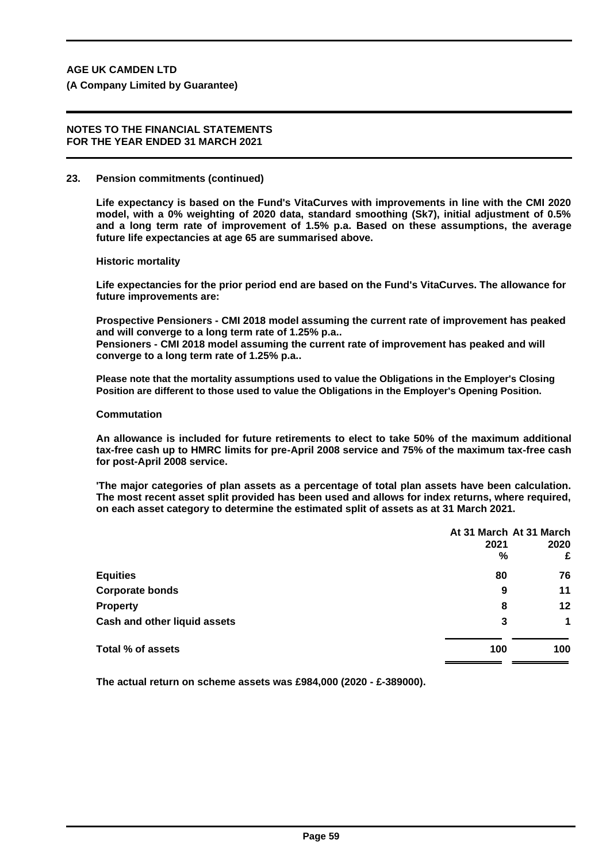#### **NOTES TO THE FINANCIAL STATEMENTS FOR THE YEAR ENDED 31 MARCH 2021**

#### **23. Pension commitments (continued)**

**Life expectancy is based on the Fund's VitaCurves with improvements in line with the CMI 2020 model, with a 0% weighting of 2020 data, standard smoothing (Sk7), initial adjustment of 0.5% and a long term rate of improvement of 1.5% p.a. Based on these assumptions, the average future life expectancies at age 65 are summarised above.**

**Historic mortality**

**Life expectancies for the prior period end are based on the Fund's VitaCurves. The allowance for future improvements are:**

**Prospective Pensioners - CMI 2018 model assuming the current rate of improvement has peaked and will converge to a long term rate of 1.25% p.a.. Pensioners - CMI 2018 model assuming the current rate of improvement has peaked and will converge to a long term rate of 1.25% p.a..**

**Please note that the mortality assumptions used to value the Obligations in the Employer's Closing Position are different to those used to value the Obligations in the Employer's Opening Position.**

#### **Commutation**

**An allowance is included for future retirements to elect to take 50% of the maximum additional tax-free cash up to HMRC limits for pre-April 2008 service and 75% of the maximum tax-free cash for post-April 2008 service.**

**'The major categories of plan assets as a percentage of total plan assets have been calculation. The most recent asset split provided has been used and allows for index returns, where required, on each asset category to determine the estimated split of assets as at 31 March 2021.**

|                              | At 31 March At 31 March |      |
|------------------------------|-------------------------|------|
|                              | 2021                    | 2020 |
|                              | %                       | £    |
| <b>Equities</b>              | 80                      | 76   |
| <b>Corporate bonds</b>       | 9                       | 11   |
| <b>Property</b>              | 8                       | 12   |
| Cash and other liquid assets | 3                       | 1    |
| Total % of assets            | 100                     | 100  |
|                              |                         |      |

**The actual return on scheme assets was £984,000 (2020 - £-389000).**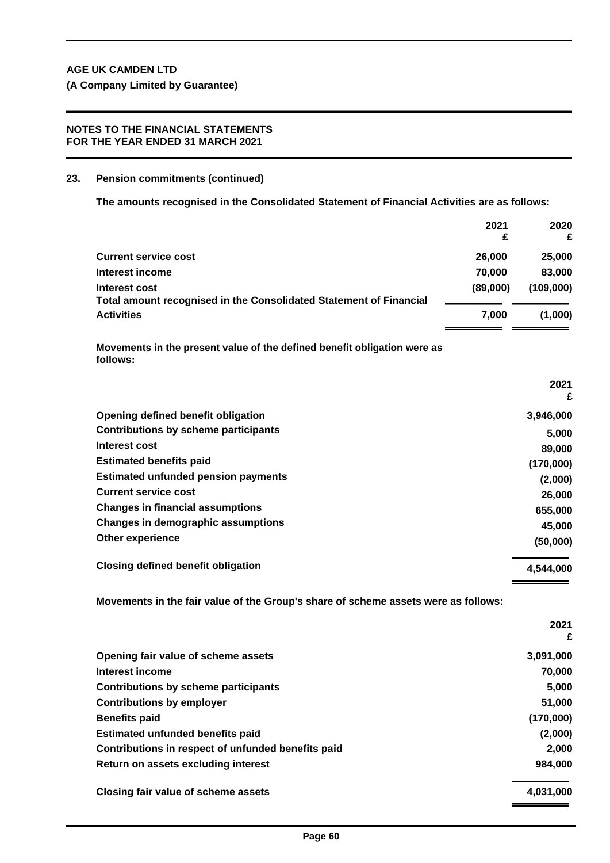# **NOTES TO THE FINANCIAL STATEMENTS FOR THE YEAR ENDED 31 MARCH 2021**

# **23. Pension commitments (continued)**

**The amounts recognised in the Consolidated Statement of Financial Activities are as follows:**

|                                                                                      | 2021<br>£ | 2020      |
|--------------------------------------------------------------------------------------|-----------|-----------|
|                                                                                      |           |           |
| <b>Current service cost</b>                                                          | 26,000    | 25,000    |
| Interest income                                                                      | 70,000    | 83,000    |
| Interest cost                                                                        | (89,000)  | (109,000) |
| Total amount recognised in the Consolidated Statement of Financial                   |           |           |
| <b>Activities</b>                                                                    | 7,000     | (1,000)   |
| Movements in the present value of the defined benefit obligation were as<br>follows: |           |           |
|                                                                                      |           | 2021<br>£ |
| Opening defined benefit obligation                                                   |           | 3,946,000 |
| <b>Contributions by scheme participants</b>                                          |           | 5,000     |
| Interest cost                                                                        |           | 89,000    |
| <b>Estimated benefits paid</b>                                                       |           | (170,000) |
| <b>Estimated unfunded pension payments</b>                                           |           | (2,000)   |
| <b>Current service cost</b>                                                          |           | 26,000    |
| <b>Changes in financial assumptions</b>                                              |           | 655,000   |
| Changes in demographic assumptions                                                   |           | 45,000    |
| Other experience                                                                     |           | (50,000)  |
| <b>Closing defined benefit obligation</b>                                            |           | 4,544,000 |
| Movements in the fair value of the Group's share of scheme assets were as follows:   |           |           |

|                                                    | 2021<br>£ |
|----------------------------------------------------|-----------|
| Opening fair value of scheme assets                | 3,091,000 |
| Interest income                                    | 70,000    |
| <b>Contributions by scheme participants</b>        | 5,000     |
| <b>Contributions by employer</b>                   | 51,000    |
| <b>Benefits paid</b>                               | (170,000) |
| <b>Estimated unfunded benefits paid</b>            | (2,000)   |
| Contributions in respect of unfunded benefits paid | 2,000     |
| Return on assets excluding interest                | 984,000   |
| Closing fair value of scheme assets                | 4,031,000 |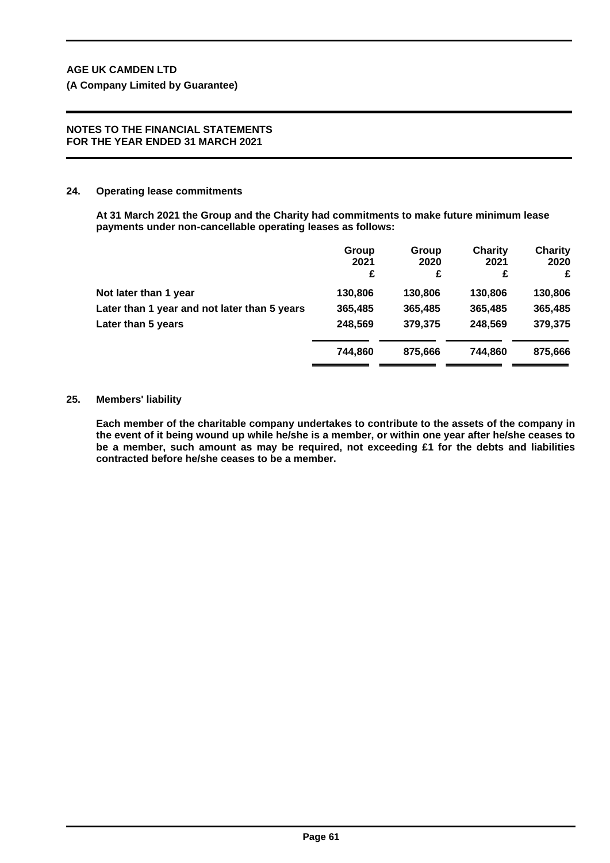#### **NOTES TO THE FINANCIAL STATEMENTS FOR THE YEAR ENDED 31 MARCH 2021**

## **24. Operating lease commitments**

**At 31 March 2021 the Group and the Charity had commitments to make future minimum lease payments under non-cancellable operating leases as follows:**

|                                              | Group<br>2021<br>£ | Group<br>2020<br>£ | Charity<br>2021<br>£ | <b>Charity</b><br>2020<br>£ |
|----------------------------------------------|--------------------|--------------------|----------------------|-----------------------------|
| Not later than 1 year                        | 130,806            | 130,806            | 130,806              | 130,806                     |
| Later than 1 year and not later than 5 years | 365,485            | 365,485            | 365,485              | 365,485                     |
| Later than 5 years                           | 248,569            | 379,375            | 248,569              | 379,375                     |
|                                              | 744.860            | 875.666            | 744.860              | 875,666                     |

#### **25. Members' liability**

**Each member of the charitable company undertakes to contribute to the assets of the company in the event of it being wound up while he/she is a member, or within one year after he/she ceases to be a member, such amount as may be required, not exceeding £1 for the debts and liabilities contracted before he/she ceases to be a member.**